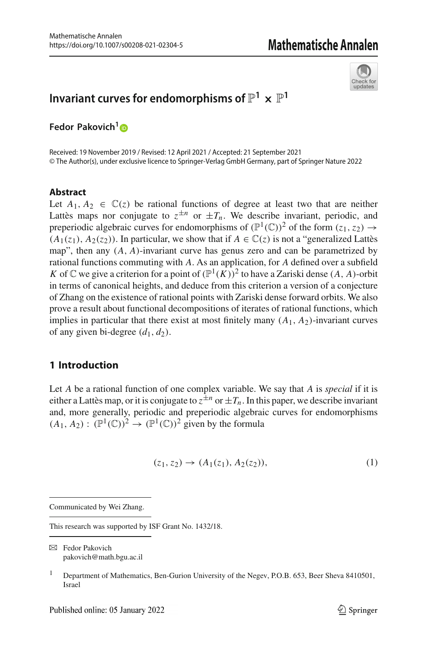

# **Invariant curves for endomorphisms of**  $\mathbb{P}^1 \times \mathbb{P}^1$

**Fedor Pakovich[1](http://orcid.org/0000-0002-0096-9781)**

Received: 19 November 2019 / Revised: 12 April 2021 / Accepted: 21 September 2021 © The Author(s), under exclusive licence to Springer-Verlag GmbH Germany, part of Springer Nature 2022

## **Abstract**

Let  $A_1, A_2 \in \mathbb{C}(\mathfrak{z})$  be rational functions of degree at least two that are neither Lattès maps nor conjugate to  $z^{\pm n}$  or  $\pm T_n$ . We describe invariant, periodic, and preperiodic algebraic curves for endomorphisms of  $(\mathbb{P}^1(\mathbb{C}))^2$  of the form  $(z_1, z_2) \rightarrow$  $(A_1(z_1), A_2(z_2))$ . In particular, we show that if  $A \in \mathbb{C}(z)$  is not a "generalized Lattès" map", then any (*A*, *A*)-invariant curve has genus zero and can be parametrized by rational functions commuting with *A*. As an application, for *A* defined over a subfield *K* of  $\mathbb C$  we give a criterion for a point of  $(\mathbb P^1(K))^2$  to have a Zariski dense  $(A, A)$ -orbit in terms of canonical heights, and deduce from this criterion a version of a conjecture of Zhang on the existence of rational points with Zariski dense forward orbits. We also prove a result about functional decompositions of iterates of rational functions, which implies in particular that there exist at most finitely many  $(A_1, A_2)$ -invariant curves of any given bi-degree  $(d_1, d_2)$ .

# **1 Introduction**

Let *A* be a rational function of one complex variable. We say that *A* is *special* if it is either a Lattès map, or it is conjugate to  $z^{\pm n}$  or  $\pm T_n$ . In this paper, we describe invariant and, more generally, periodic and preperiodic algebraic curves for endomorphisms  $(A_1, A_2) : (\mathbb{P}^1(\mathbb{C}))^2 \to (\mathbb{P}^1(\mathbb{C}))^2$  given by the formula

<span id="page-0-0"></span>
$$
(z_1, z_2) \to (A_1(z_1), A_2(z_2)), \tag{1}
$$

Communicated by Wei Zhang.

This research was supported by ISF Grant No. 1432/18.

B Fedor Pakovich pakovich@math.bgu.ac.il

<sup>&</sup>lt;sup>1</sup> Department of Mathematics, Ben-Gurion University of the Negev, P.O.B. 653, Beer Sheva 8410501, Israel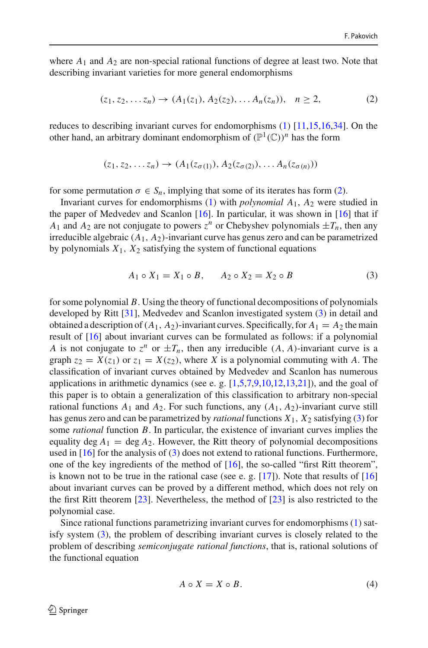where  $A_1$  and  $A_2$  are non-special rational functions of degree at least two. Note that describing invariant varieties for more general endomorphisms

<span id="page-1-0"></span>
$$
(z_1, z_2, \dots z_n) \to (A_1(z_1), A_2(z_2), \dots A_n(z_n)), \quad n \ge 2,
$$
 (2)

reduces to describing invariant curves for endomorphisms [\(1\)](#page-0-0) [\[11](#page-47-0)[,15](#page-47-1)[,16](#page-47-2)[,34](#page-48-0)]. On the other hand, an arbitrary dominant endomorphism of  $(\mathbb{P}^1(\mathbb{C}))^n$  has the form

$$
(z_1, z_2, \ldots z_n) \rightarrow (A_1(z_{\sigma(1)}), A_2(z_{\sigma(2)}), \ldots A_n(z_{\sigma(n)}))
$$

for some permutation  $\sigma \in S_n$ , implying that some of its iterates has form [\(2\)](#page-1-0).

Invariant curves for endomorphisms [\(1\)](#page-0-0) with *polynomial A*1, *A*<sup>2</sup> were studied in the paper of Medvedev and Scanlon [\[16](#page-47-2)]. In particular, it was shown in [\[16](#page-47-2)] that if *A*<sub>1</sub> and *A*<sub>2</sub> are not conjugate to powers  $z^n$  or Chebyshev polynomials  $\pm T_n$ , then any irreducible algebraic  $(A_1, A_2)$ -invariant curve has genus zero and can be parametrized by polynomials  $X_1$ ,  $X_2$  satisfying the system of functional equations

<span id="page-1-1"></span>
$$
A_1 \circ X_1 = X_1 \circ B, \qquad A_2 \circ X_2 = X_2 \circ B \tag{3}
$$

for some polynomial *B*. Using the theory of functional decompositions of polynomials developed by Ritt [\[31\]](#page-47-3), Medvedev and Scanlon investigated system [\(3\)](#page-1-1) in detail and obtained a description of  $(A_1, A_2)$ -invariant curves. Specifically, for  $A_1 = A_2$  the main result of [\[16](#page-47-2)] about invariant curves can be formulated as follows: if a polynomial *A* is not conjugate to  $z^n$  or  $\pm T_n$ , then any irreducible  $(A, A)$ -invariant curve is a graph  $z_2 = X(z_1)$  or  $z_1 = X(z_2)$ , where *X* is a polynomial commuting with *A*. The classification of invariant curves obtained by Medvedev and Scanlon has numerous applications in arithmetic dynamics (see e.g.  $[1,5,7,9,10,12,13,21]$  $[1,5,7,9,10,12,13,21]$  $[1,5,7,9,10,12,13,21]$  $[1,5,7,9,10,12,13,21]$  $[1,5,7,9,10,12,13,21]$  $[1,5,7,9,10,12,13,21]$  $[1,5,7,9,10,12,13,21]$  $[1,5,7,9,10,12,13,21]$ ), and the goal of this paper is to obtain a generalization of this classification to arbitrary non-special rational functions  $A_1$  and  $A_2$ . For such functions, any  $(A_1, A_2)$ -invariant curve still has genus zero and can be parametrized by *rational* functions *X*1, *X*<sup>2</sup> satisfying [\(3\)](#page-1-1) for some *rational* function *B*. In particular, the existence of invariant curves implies the equality deg  $A_1 = \deg A_2$ . However, the Ritt theory of polynomial decompositions used in [\[16\]](#page-47-2) for the analysis of [\(3\)](#page-1-1) does not extend to rational functions. Furthermore, one of the key ingredients of the method of [\[16](#page-47-2)], the so-called "first Ritt theorem", is known not to be true in the rational case (see e. g.  $[17]$  $[17]$ ). Note that results of  $[16]$ about invariant curves can be proved by a different method, which does not rely on the first Ritt theorem [\[23\]](#page-47-12). Nevertheless, the method of [\[23\]](#page-47-12) is also restricted to the polynomial case.

Since rational functions parametrizing invariant curves for endomorphisms [\(1\)](#page-0-0) satisfy system [\(3\)](#page-1-1), the problem of describing invariant curves is closely related to the problem of describing *semiconjugate rational functions*, that is, rational solutions of the functional equation

<span id="page-1-2"></span>
$$
A \circ X = X \circ B. \tag{4}
$$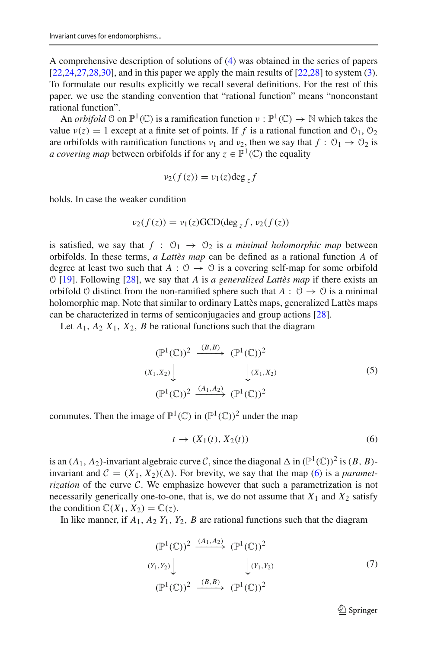A comprehensive description of solutions of [\(4\)](#page-1-2) was obtained in the series of papers  $[22,24,27,28,30]$  $[22,24,27,28,30]$  $[22,24,27,28,30]$  $[22,24,27,28,30]$  $[22,24,27,28,30]$ , and in this paper we apply the main results of  $[22,28]$  $[22,28]$  to system  $(3)$ . To formulate our results explicitly we recall several definitions. For the rest of this paper, we use the standing convention that "rational function" means "nonconstant rational function".

An *orbifold*  $\varphi$  on  $\mathbb{P}^1(\mathbb{C})$  is a ramification function  $\nu : \mathbb{P}^1(\mathbb{C}) \to \mathbb{N}$  which takes the value  $v(z) = 1$  except at a finite set of points. If f is a rational function and  $\mathcal{O}_1$ ,  $\mathcal{O}_2$ are orbifolds with ramification functions  $v_1$  and  $v_2$ , then we say that  $f: \mathcal{O}_1 \to \mathcal{O}_2$  is *a covering map* between orbifolds if for any  $z \in \mathbb{P}^1(\mathbb{C})$  the equality

$$
\nu_2(f(z)) = \nu_1(z) \deg_z f
$$

holds. In case the weaker condition

$$
\nu_2(f(z)) = \nu_1(z) \text{GCD}(\deg_z f, \nu_2(f(z))
$$

is satisfied, we say that  $f : \mathcal{O}_1 \rightarrow \mathcal{O}_2$  is *a minimal holomorphic map* between orbifolds. In these terms, *a Lattès map* can be defined as a rational function *A* of degree at least two such that  $A: \mathcal{O} \to \mathcal{O}$  is a covering self-map for some orbifold O [\[19](#page-47-18)]. Following [\[28\]](#page-47-16), we say that *A* is *a generalized Lattès map* if there exists an orbifold  $\theta$  distinct from the non-ramified sphere such that  $A: \theta \rightarrow \theta$  is a minimal holomorphic map. Note that similar to ordinary Lattès maps, generalized Lattès maps can be characterized in terms of semiconjugacies and group actions [\[28](#page-47-16)].

Let  $A_1$ ,  $A_2$   $X_1$ ,  $X_2$ ,  $B$  be rational functions such that the diagram

<span id="page-2-1"></span>
$$
(\mathbb{P}^1(\mathbb{C}))^2 \xrightarrow{(B,B)} (\mathbb{P}^1(\mathbb{C}))^2
$$
  

$$
(X_1, X_2) \downarrow \qquad \qquad \downarrow (X_1, X_2)
$$
  

$$
(\mathbb{P}^1(\mathbb{C}))^2 \xrightarrow{(A_1, A_2)} (\mathbb{P}^1(\mathbb{C}))^2
$$
 (5)

commutes. Then the image of  $\mathbb{P}^1(\mathbb{C})$  in  $(\mathbb{P}^1(\mathbb{C}))^2$  under the map

<span id="page-2-0"></span>
$$
t \to (X_1(t), X_2(t)) \tag{6}
$$

is an  $(A_1, A_2)$ -invariant algebraic curve *C*, since the diagonal  $\Delta$  in  $(\mathbb{P}^1(\mathbb{C}))^2$  is  $(B, B)$ invariant and  $C = (X_1, X_2)(\Delta)$ . For brevity, we say that the map [\(6\)](#page-2-0) is a *parametrization* of the curve *C*. We emphasize however that such a parametrization is not necessarily generically one-to-one, that is, we do not assume that  $X_1$  and  $X_2$  satisfy the condition  $\mathbb{C}(X_1, X_2) = \mathbb{C}(z)$ .

In like manner, if  $A_1$ ,  $A_2$   $Y_1$ ,  $Y_2$ ,  $B$  are rational functions such that the diagram

<span id="page-2-2"></span>
$$
(\mathbb{P}^1(\mathbb{C}))^2 \xrightarrow{(A_1, A_2)} (\mathbb{P}^1(\mathbb{C}))^2
$$
  
\n
$$
(Y_1, Y_2) \downarrow \qquad \qquad \downarrow (Y_1, Y_2)
$$
  
\n
$$
(\mathbb{P}^1(\mathbb{C}))^2 \xrightarrow{(B, B)} (\mathbb{P}^1(\mathbb{C}))^2
$$
 (7)

 $\mathcal{D}$  Springer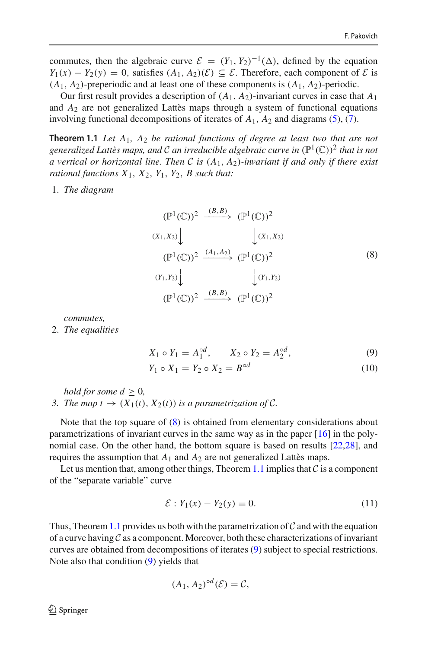commutes, then the algebraic curve  $\mathcal{E} = (Y_1, Y_2)^{-1}(\Delta)$ , defined by the equation *Y*<sub>1</sub>(*x*) − *Y*<sub>2</sub>(*y*) = 0, satisfies  $(A_1, A_2)(\mathcal{E}) \subseteq \mathcal{E}$ . Therefore, each component of  $\mathcal{E}$  is  $(A_1, A_2)$ -preperiodic and at least one of these components is  $(A_1, A_2)$ -periodic.

Our first result provides a description of  $(A_1, A_2)$ -invariant curves in case that  $A_1$ and *A*<sup>2</sup> are not generalized Lattès maps through a system of functional equations involving functional decompositions of iterates of *A*1, *A*<sup>2</sup> and diagrams [\(5\)](#page-2-1), [\(7\)](#page-2-2).

<span id="page-3-1"></span>**Theorem 1.1** *Let A*1*, A*<sup>2</sup> *be rational functions of degree at least two that are not generalized Lattès maps, and* C *an irreducible algebraic curve in*  $(\mathbb{P}^1(\mathbb{C}))^2$  *that is not a vertical or horizontal line. Then C is* (*A*1, *A*2)*-invariant if and only if there exist rational functions*  $X_1$ ,  $X_2$ ,  $Y_1$ ,  $Y_2$ ,  $B$  *such that:* 

1. *The diagram*

<span id="page-3-0"></span>
$$
(\mathbb{P}^1(\mathbb{C}))^2 \xrightarrow{(B,B)} (\mathbb{P}^1(\mathbb{C}))^2
$$
  
\n
$$
(X_1, X_2) \downarrow \qquad \qquad \downarrow (X_1, X_2)
$$
  
\n
$$
(\mathbb{P}^1(\mathbb{C}))^2 \xrightarrow{(A_1, A_2)} (\mathbb{P}^1(\mathbb{C}))^2
$$
  
\n
$$
(Y_1, Y_2) \downarrow \qquad \qquad \downarrow (Y_1, Y_2)
$$
  
\n
$$
(\mathbb{P}^1(\mathbb{C}))^2 \xrightarrow{(B,B)} (\mathbb{P}^1(\mathbb{C}))^2
$$
  
\n(8)

*commutes,*

2. *The equalities*

<span id="page-3-2"></span>
$$
X_1 \circ Y_1 = A_1^{\circ d}, \qquad X_2 \circ Y_2 = A_2^{\circ d}, \tag{9}
$$

$$
Y_1 \circ X_1 = Y_2 \circ X_2 = B^{\circ d} \tag{10}
$$

*hold for some*  $d \geq 0$ *, 3. The map t*  $\rightarrow$   $(X_1(t), X_2(t))$  *is a parametrization of C.* 

Note that the top square of [\(8\)](#page-3-0) is obtained from elementary considerations about parametrizations of invariant curves in the same way as in the paper [\[16](#page-47-2)] in the polynomial case. On the other hand, the bottom square is based on results [\[22](#page-47-13)[,28\]](#page-47-16), and requires the assumption that  $A_1$  and  $A_2$  are not generalized Lattès maps.

Let us mention that, among other things, Theorem [1.1](#page-3-1) implies that  $C$  is a component of the "separate variable" curve

<span id="page-3-3"></span>
$$
\mathcal{E}: Y_1(x) - Y_2(y) = 0. \tag{11}
$$

Thus, Theorem [1.1](#page-3-1) provides us both with the parametrization of  $\mathcal C$  and with the equation of a curve having *C* as a component. Moreover, both these characterizations of invariant curves are obtained from decompositions of iterates [\(9\)](#page-3-2) subject to special restrictions. Note also that condition [\(9\)](#page-3-2) yields that

$$
(A_1, A_2)^{\circ d}(\mathcal{E}) = \mathcal{C},
$$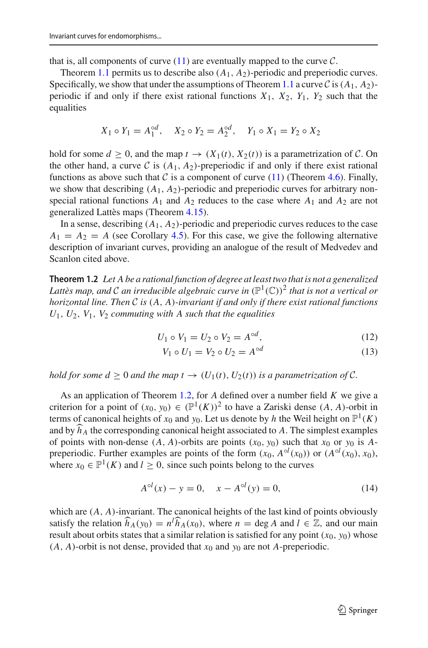that is, all components of curve  $(11)$  are eventually mapped to the curve  $C$ .

Theorem [1.1](#page-3-1) permits us to describe also  $(A_1, A_2)$ -periodic and preperiodic curves. Specifically, we show that under the assumptions of Theorem [1.1](#page-3-1) a curve  $\mathcal C$  is  $(A_1, A_2)$ periodic if and only if there exist rational functions  $X_1$ ,  $X_2$ ,  $Y_1$ ,  $Y_2$  such that the equalities

$$
X_1 \circ Y_1 = A_1^{\circ d}, \quad X_2 \circ Y_2 = A_2^{\circ d}, \quad Y_1 \circ X_1 = Y_2 \circ X_2
$$

hold for some  $d \geq 0$ , and the map  $t \to (X_1(t), X_2(t))$  is a parametrization of C. On the other hand, a curve  $C$  is  $(A_1, A_2)$ -preperiodic if and only if there exist rational functions as above such that  $C$  is a component of curve [\(11\)](#page-3-3) (Theorem [4.6\)](#page-19-0). Finally, we show that describing  $(A_1, A_2)$ -periodic and preperiodic curves for arbitrary nonspecial rational functions  $A_1$  and  $A_2$  reduces to the case where  $A_1$  and  $A_2$  are not generalized Lattès maps (Theorem [4.15\)](#page-27-0).

In a sense, describing  $(A_1, A_2)$ -periodic and preperiodic curves reduces to the case  $A_1 = A_2 = A$  (see Corollary [4.5\)](#page-18-0). For this case, we give the following alternative description of invariant curves, providing an analogue of the result of Medvedev and Scanlon cited above.

<span id="page-4-0"></span>**Theorem 1.2** *Let A be a rational function of degree at least two that is not a generalized Lattès map, and C an irreducible algebraic curve in*  $(\mathbb{P}^1(\mathbb{C}))^2$  *that is not a vertical or horizontal line. Then C is* (*A*, *A*)*-invariant if and only if there exist rational functions U*1, *U*2, *V*1, *V*<sup>2</sup> *commuting with A such that the equalities*

<span id="page-4-2"></span>
$$
U_1 \circ V_1 = U_2 \circ V_2 = A^{\circ d}, \tag{12}
$$

$$
V_1 \circ U_1 = V_2 \circ U_2 = A^{\circ d} \tag{13}
$$

*hold for some*  $d \geq 0$  *and the map*  $t \to (U_1(t), U_2(t))$  *is a parametrization of C.* 

As an application of Theorem [1.2,](#page-4-0) for *A* defined over a number field *K* we give a criterion for a point of  $(x_0, y_0) \in (\mathbb{P}^1(K))^2$  to have a Zariski dense  $(A, A)$ -orbit in terms of canonical heights of  $x_0$  and  $y_0$ . Let us denote by *h* the Weil height on  $\mathbb{P}^1(K)$ and by  $\widehat{h}_A$  the corresponding canonical height associated to *A*. The simplest examples of points with non-dense  $(A, A)$ -orbits are points  $(x_0, y_0)$  such that  $x_0$  or  $y_0$  is  $A$ preperiodic. Further examples are points of the form  $(x_0, A^{\circ l}(x_0))$  or  $(A^{\circ l}(x_0), x_0)$ , where  $x_0 \in \mathbb{P}^1(K)$  and  $l > 0$ , since such points belong to the curves

<span id="page-4-1"></span>
$$
A^{\circ l}(x) - y = 0, \quad x - A^{\circ l}(y) = 0,\tag{14}
$$

which are  $(A, A)$ -invariant. The canonical heights of the last kind of points obviously satisfy the relation  $\widehat{h}_A(y_0) = n^l \widehat{h}_A(x_0)$ , where  $n = \deg A$  and  $l \in \mathbb{Z}$ , and our main result about orbits states that a similar relation is satisfied for any point  $(x_0, y_0)$  whose  $(A, A)$ -orbit is not dense, provided that  $x_0$  and  $y_0$  are not *A*-preperiodic.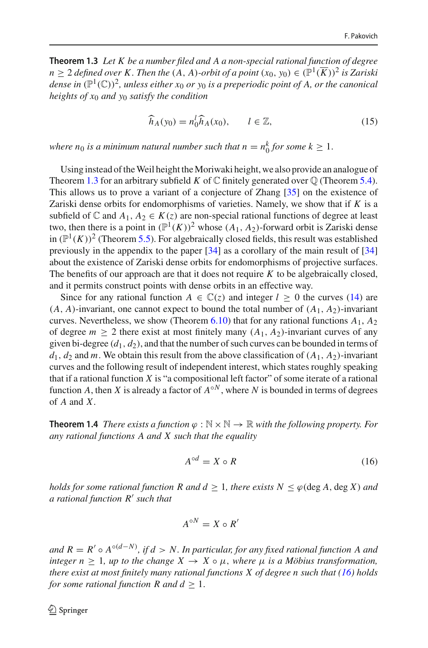<span id="page-5-0"></span>**Theorem 1.3** *Let K be a number filed and A a non-special rational function of degree*  $n > 2$  *defined over K. Then the*  $(A, A)$ -*orbit of a point*  $(x_0, y_0) \in (\mathbb{P}^1(\overline{K}))^2$  *is Zariski dense in*  $(\mathbb{P}^1(\mathbb{C}))^2$ , *unless either*  $x_0$  *or*  $y_0$  *is a preperiodic point of A, or the canonical heights of x*<sup>0</sup> *and y*<sup>0</sup> *satisfy the condition*

<span id="page-5-3"></span>
$$
\widehat{h}_A(y_0) = n_0^l \widehat{h}_A(x_0), \qquad l \in \mathbb{Z}, \tag{15}
$$

*where n*<sub>0</sub> *is a minimum natural number such that n* =  $n_0^k$  *for some k*  $\geq 1$ *.* 

Using instead of theWeil height theMoriwaki height, we also provide an analogue of Theorem [1.3](#page-5-0) for an arbitrary subfield *K* of  $\mathbb C$  finitely generated over  $\mathbb Q$  (Theorem [5.4\)](#page-33-0). This allows us to prove a variant of a conjecture of Zhang [\[35\]](#page-48-1) on the existence of Zariski dense orbits for endomorphisms of varieties. Namely, we show that if *K* is a subfield of  $\mathbb C$  and  $A_1, A_2 \in K(z)$  are non-special rational functions of degree at least two, then there is a point in  $(\mathbb{P}^1(K))^2$  whose  $(A_1, A_2)$ -forward orbit is Zariski dense in  $(\mathbb{P}^1(K))^2$  (Theorem [5.5\)](#page-33-1). For algebraically closed fields, this result was established previously in the appendix to the paper [\[34\]](#page-48-0) as a corollary of the main result of [\[34\]](#page-48-0) about the existence of Zariski dense orbits for endomorphisms of projective surfaces. The benefits of our approach are that it does not require *K* to be algebraically closed, and it permits construct points with dense orbits in an effective way.

Since for any rational function  $A \in \mathbb{C}(z)$  and integer  $l \geq 0$  the curves [\(14\)](#page-4-1) are  $(A, A)$ -invariant, one cannot expect to bound the total number of  $(A_1, A_2)$ -invariant curves. Nevertheless, we show (Theorem [6.10\)](#page-44-0) that for any rational functions  $A_1$ ,  $A_2$ of degree  $m \geq 2$  there exist at most finitely many  $(A_1, A_2)$ -invariant curves of any given bi-degree  $(d_1, d_2)$ , and that the number of such curves can be bounded in terms of  $d_1, d_2$  and *m*. We obtain this result from the above classification of  $(A_1, A_2)$ -invariant curves and the following result of independent interest, which states roughly speaking that if a rational function *X* is "a compositional left factor" of some iterate of a rational function *A*, then *X* is already a factor of  $A^{\circ N}$ , where *N* is bounded in terms of degrees of *A* and *X*.

<span id="page-5-2"></span>**Theorem 1.4** *There exists a function*  $\varphi : \mathbb{N} \times \mathbb{N} \to \mathbb{R}$  *with the following property. For any rational functions A and X such that the equality*

<span id="page-5-1"></span>
$$
A^{\circ d} = X \circ R \tag{16}
$$

*holds for some rational function R and*  $d \geq 1$ *, there exists*  $N \leq \varphi$  *(deg A, deg X) and a rational function R such that*

$$
A^{\circ N} = X \circ R'
$$

*and R* <sup>=</sup> *<sup>R</sup>* ◦ *<sup>A</sup>*◦(*d*−*N*) *, if d* > *N. In particular, for any fixed rational function A and integer*  $n \geq 1$ *, up to the change*  $X \to X \circ \mu$ *, where*  $\mu$  *is a Möbius transformation, there exist at most finitely many rational functions X of degree n such that [\(16\)](#page-5-1) holds for some rational function R and*  $d > 1$ *.*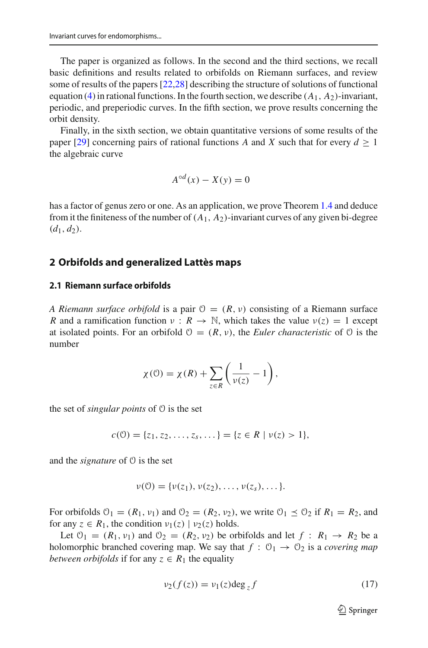The paper is organized as follows. In the second and the third sections, we recall basic definitions and results related to orbifolds on Riemann surfaces, and review some of results of the papers [\[22](#page-47-13)[,28\]](#page-47-16) describing the structure of solutions of functional equation [\(4\)](#page-1-2) in rational functions. In the fourth section, we describe (*A*1, *A*2)-invariant, periodic, and preperiodic curves. In the fifth section, we prove results concerning the orbit density.

Finally, in the sixth section, we obtain quantitative versions of some results of the paper [\[29\]](#page-47-19) concerning pairs of rational functions *A* and *X* such that for every  $d \ge 1$ the algebraic curve

$$
A^{\circ d}(x) - X(y) = 0
$$

has a factor of genus zero or one. As an application, we prove Theorem [1.4](#page-5-2) and deduce from it the finiteness of the number of  $(A_1, A_2)$ -invariant curves of any given bi-degree  $(d_1, d_2).$ 

## **2 Orbifolds and generalized Lattès maps**

#### **2.1 Riemann surface orbifolds**

*A Riemann surface orbifold* is a pair  $\mathcal{O} = (R, \nu)$  consisting of a Riemann surface *R* and a ramification function  $v : R \to \mathbb{N}$ , which takes the value  $v(z) = 1$  except at isolated points. For an orbifold  $\mathcal{O} = (R, v)$ , the *Euler characteristic* of  $\mathcal{O}$  is the number

$$
\chi(\mathcal{O}) = \chi(R) + \sum_{z \in R} \left( \frac{1}{\nu(z)} - 1 \right),
$$

the set of *singular points* of O is the set

$$
c(\mathcal{O}) = \{z_1, z_2, \dots, z_s, \dots\} = \{z \in R \mid \nu(z) > 1\},\
$$

and the *signature* of O is the set

$$
\nu(0)=\{\nu(z_1),\nu(z_2),\ldots,\nu(z_s),\ldots\}.
$$

For orbifolds  $\mathcal{O}_1 = (R_1, \nu_1)$  and  $\mathcal{O}_2 = (R_2, \nu_2)$ , we write  $\mathcal{O}_1 \preceq \mathcal{O}_2$  if  $R_1 = R_2$ , and for any  $z \in R_1$ , the condition  $v_1(z) \mid v_2(z)$  holds.

Let  $\mathcal{O}_1 = (R_1, \nu_1)$  and  $\mathcal{O}_2 = (R_2, \nu_2)$  be orbifolds and let  $f : R_1 \rightarrow R_2$  be a holomorphic branched covering map. We say that  $f : \mathcal{O}_1 \rightarrow \mathcal{O}_2$  is a *covering map between orbifolds* if for any  $z \in R_1$  the equality

<span id="page-6-0"></span>
$$
\nu_2(f(z)) = \nu_1(z) \deg_z f \tag{17}
$$

 $\mathcal{D}$  Springer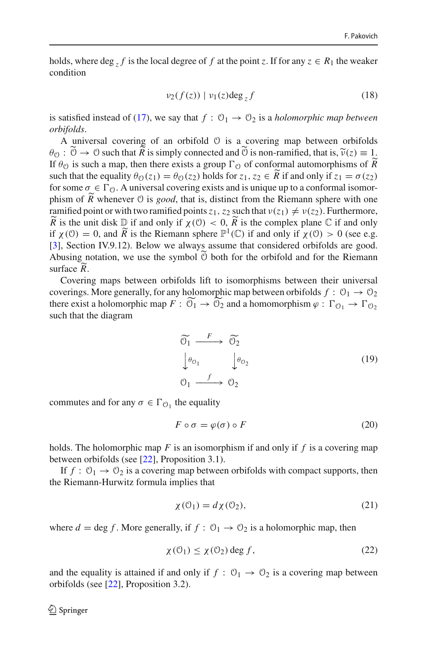holds, where deg  $\overline{z}$  *f* is the local degree of *f* at the point *z*. If for any  $z \in R_1$  the weaker condition

<span id="page-7-0"></span>
$$
\nu_2(f(z)) \mid \nu_1(z) \deg_z f \tag{18}
$$

is satisfied instead of [\(17\)](#page-6-0), we say that  $f: \mathcal{O}_1 \to \mathcal{O}_2$  is a *holomorphic map between orbifolds*.

A universal covering of an orbifold O is a covering map between orbifolds  $\theta_{\mathcal{O}}: \mathcal{O} \to \mathcal{O}$  such that *R* is simply connected and  $\mathcal{O}$  is non-ramified, that is,  $\widetilde{\nu}(z) \equiv 1$ .<br>If  $\theta_{\mathcal{O}}$  is such a man, then there exists a group  $\Gamma_{\mathcal{O}}$  of conformal automorphisms of  $\widetilde{$ If  $\theta_{\mathcal{O}}$  is such a map, then there exists a group  $\Gamma_{\mathcal{O}}$  of conformal automorphisms of *R* such that the equality  $\theta_0(z_1) = \theta_0(z_2)$  holds for  $z_1, z_2 \in \tilde{R}$  if and only if  $z_1 = \sigma(z_2)$  for some  $z \in \tilde{R}$ . A universal equality axists and is universal to each formal isomerfor some  $\sigma \in \Gamma_0$ . A universal covering exists and is unique up to a conformal isomorphism of *R* whenever  $\theta$  is *good*, that is, distinct from the Riemann sphere with one ramified point or with two ramified points  $z_1$ ,  $z_2$  such that  $v(z_1) \neq v(z_2)$ . Furthermore,  $\widetilde{R}$  is the unit disk  $\mathbb{D}$  if and only if  $\chi(\mathbb{O}) < 0$ ,  $\widetilde{R}$  is the complex plane  $\mathbb{C}$  if and only if  $\chi(\mathbb{O}) > 0$  (see a g a g if  $\chi(\mathbb{O}) > 0$ ). if  $\chi(0) = 0$ , and  $\widetilde{R}$  is the Riemann sphere  $\mathbb{P}^1(\mathbb{C})$  if and only if  $\chi(0) > 0$  (see e.g. [\[3](#page-47-20)], Section IV.9.12). Below we always assume that considered orbifolds are good. Abusing notation, we use the symbol  $\ddot{\odot}$  both for the orbifold and for the Riemann surface *R* .

Covering maps between orbifolds lift to isomorphisms between their universal coverings. More generally, for any holomorphic map between orbifolds  $f: \mathcal{O}_1 \rightarrow \mathcal{O}_2$ there exist a holomorphic map  $F: \mathcal{O}_1 \to \mathcal{O}_2$  and a homomorphism  $\varphi: \Gamma_{\mathcal{O}_1} \to \Gamma_{\mathcal{O}_2}$ such that the diagram

<span id="page-7-3"></span>
$$
\begin{array}{ccc}\n\widetilde{\mathfrak{O}}_1 & \xrightarrow{F} & \widetilde{\mathfrak{O}}_2 \\
\downarrow \theta_{\mathfrak{O}_1} & \downarrow \theta_{\mathfrak{O}_2} \\
\mathfrak{O}_1 & \xrightarrow{f} & \mathfrak{O}_2\n\end{array} \tag{19}
$$

commutes and for any  $\sigma \in \Gamma_{\mathcal{O}_1}$  the equality

<span id="page-7-4"></span>
$$
F \circ \sigma = \varphi(\sigma) \circ F \tag{20}
$$

holds. The holomorphic map *F* is an isomorphism if and only if *f* is a covering map between orbifolds (see [\[22\]](#page-47-13), Proposition 3.1).

If  $f: \mathcal{O}_1 \to \mathcal{O}_2$  is a covering map between orbifolds with compact supports, then the Riemann-Hurwitz formula implies that

<span id="page-7-1"></span>
$$
\chi(\mathcal{O}_1) = d\chi(\mathcal{O}_2),\tag{21}
$$

where  $d = \deg f$ . More generally, if  $f : \mathcal{O}_1 \to \mathcal{O}_2$  is a holomorphic map, then

<span id="page-7-2"></span>
$$
\chi(\mathcal{O}_1) \le \chi(\mathcal{O}_2) \deg f,\tag{22}
$$

and the equality is attained if and only if  $f: \mathcal{O}_1 \to \mathcal{O}_2$  is a covering map between orbifolds (see [\[22](#page-47-13)], Proposition 3.2).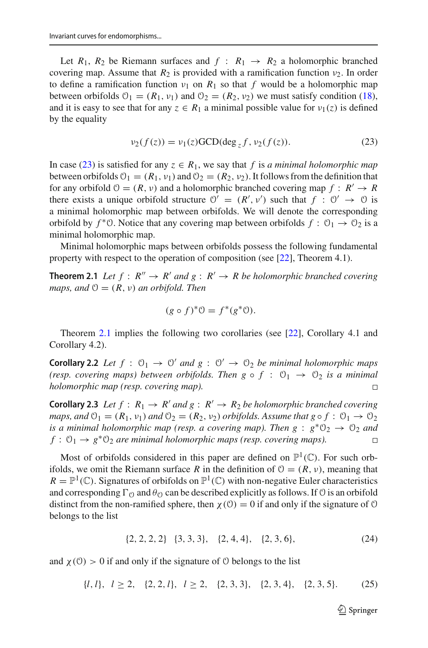Let  $R_1$ ,  $R_2$  be Riemann surfaces and  $f: R_1 \rightarrow R_2$  a holomorphic branched covering map. Assume that  $R_2$  is provided with a ramification function  $v_2$ . In order to define a ramification function  $v_1$  on  $R_1$  so that f would be a holomorphic map between orbifolds  $\mathcal{O}_1 = (R_1, \nu_1)$  and  $\mathcal{O}_2 = (R_2, \nu_2)$  we must satisfy condition [\(18\)](#page-7-0), and it is easy to see that for any  $z \in R_1$  a minimal possible value for  $v_1(z)$  is defined by the equality

<span id="page-8-0"></span>
$$
\nu_2(f(z)) = \nu_1(z) \text{GCD}(\deg_z f, \nu_2(f(z)). \tag{23}
$$

In case [\(23\)](#page-8-0) is satisfied for any  $z \in R_1$ , we say that f is *a minimal holomorphic map* between orbifolds  $\mathcal{O}_1 = (R_1, \nu_1)$  and  $\mathcal{O}_2 = (R_2, \nu_2)$ . It follows from the definition that for any orbifold  $\mathcal{O} = (R, v)$  and a holomorphic branched covering map  $f : R' \to R$ there exists a unique orbifold structure  $\mathcal{O}' = (R', v')$  such that  $f : \mathcal{O}' \to \mathcal{O}$  is a minimal holomorphic map between orbifolds. We will denote the corresponding orbifold by  $f^*0$ . Notice that any covering map between orbifolds  $f: \mathcal{O}_1 \to \mathcal{O}_2$  is a minimal holomorphic map.

<span id="page-8-1"></span>Minimal holomorphic maps between orbifolds possess the following fundamental property with respect to the operation of composition (see [\[22](#page-47-13)], Theorem 4.1).

**Theorem 2.1** *Let*  $f : R'' \to R'$  *and*  $g : R' \to R$  *be holomorphic branched covering maps, and*  $\mathcal{O} = (R, v)$  *an orbifold. Then* 

$$
(g \circ f)^* \mathcal{O} = f^*(g^* \mathcal{O}).
$$

Theorem [2.1](#page-8-1) implies the following two corollaries (see [\[22](#page-47-13)], Corollary 4.1 and Corollary 4.2).

**Corollary 2.2** *Let*  $f : \mathcal{O}_1 \to \mathcal{O}'$  *and*  $g : \mathcal{O}' \to \mathcal{O}_2$  *be minimal holomorphic maps (resp. covering maps) between orbifolds. Then g*  $\circ$  *f* :  $\mathcal{O}_1 \rightarrow \mathcal{O}_2$  *is a minimal holomorphic map (resp. covering map).*  $\Box$ 

<span id="page-8-4"></span>**Corollary 2.3** *Let*  $f : R_1 \rightarrow R'$  *and*  $g : R' \rightarrow R_2$  *be holomorphic branched covering maps, and*  $\mathcal{O}_1 = (R_1, v_1)$  *and*  $\mathcal{O}_2 = (R_2, v_2)$  *orbifolds. Assume that*  $g \circ f : \mathcal{O}_1 \to \mathcal{O}_2$ *is a minimal holomorphic map (resp. a covering map). Then*  $g : g^* \mathbb{O}_2 \to \mathbb{O}_2$  *and*  $f: \mathcal{O}_1 \rightarrow g^* \mathcal{O}_2$  *are minimal holomorphic maps (resp. covering maps).* 

Most of orbifolds considered in this paper are defined on  $\mathbb{P}^1(\mathbb{C})$ . For such orbifolds, we omit the Riemann surface *R* in the definition of  $\mathcal{O} = (R, \nu)$ , meaning that  $R = \mathbb{P}^1(\mathbb{C})$ . Signatures of orbifolds on  $\mathbb{P}^1(\mathbb{C})$  with non-negative Euler characteristics and corresponding  $\Gamma_{\Omega}$  and  $\theta_{\Omega}$  can be described explicitly as follows. If  $\Omega$  is an orbifold distinct from the non-ramified sphere, then  $\chi$  (0) = 0 if and only if the signature of 0 belongs to the list

<span id="page-8-2"></span>
$$
\{2, 2, 2, 2\} \quad \{3, 3, 3\}, \quad \{2, 4, 4\}, \quad \{2, 3, 6\}, \tag{24}
$$

and  $\chi$  (0) > 0 if and only if the signature of 0 belongs to the list

<span id="page-8-3"></span>
$$
\{l, l\}, l \ge 2, \{2, 2, l\}, l \ge 2, \{2, 3, 3\}, \{2, 3, 4\}, \{2, 3, 5\}.\tag{25}
$$

 $\mathcal{D}$  Springer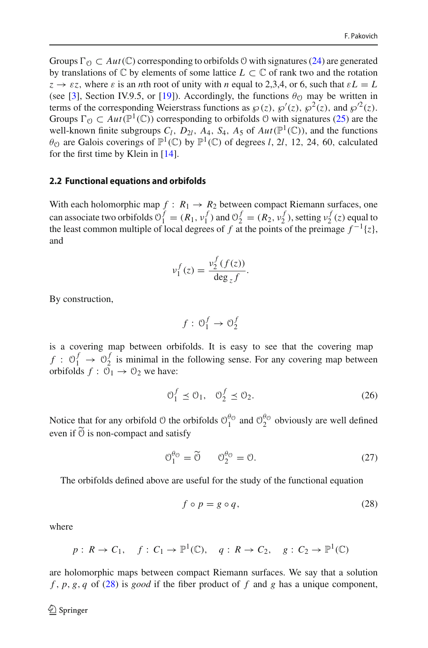Groups  $\Gamma_{\mathcal{O}} \subset Aut(\mathbb{C})$  corresponding to orbifolds  $\mathcal{O}$  with signatures [\(24\)](#page-8-2) are generated by translations of  $\mathbb C$  by elements of some lattice  $L \subset \mathbb C$  of rank two and the rotation  $z \rightarrow \varepsilon z$ , where  $\varepsilon$  is an *n*th root of unity with *n* equal to 2,3,4, or 6, such that  $\varepsilon L = L$ (see [\[3\]](#page-47-20), Section IV.9.5, or [\[19](#page-47-18)]). Accordingly, the functions  $\theta_{\Omega}$  may be written in terms of the corresponding Weierstrass functions as  $\wp(z)$ ,  $\wp'(z)$ ,  $\wp^2(z)$ , and  $\wp'^2(z)$ . Groups  $\Gamma_{\Omega} \subset Aut(\mathbb{P}^1(\mathbb{C}))$  corresponding to orbifolds  $\mathcal O$  with signatures [\(25\)](#page-8-3) are the well-known finite subgroups  $C_l$ ,  $D_{2l}$ ,  $A_4$ ,  $S_4$ ,  $A_5$  of  $Aut(\mathbb{P}^1(\mathbb{C}))$ , and the functions  $\theta$ <sup>O</sup> are Galois coverings of  $\mathbb{P}^1(\mathbb{C})$  by  $\mathbb{P}^1(\mathbb{C})$  of degrees *l*, 2*l*, 12, 24, 60, calculated for the first time by Klein in [\[14](#page-47-21)].

#### **2.2 Functional equations and orbifolds**

With each holomorphic map  $f : R_1 \rightarrow R_2$  between compact Riemann surfaces, one can associate two orbifolds  $\mathcal{O}_1^f = (R_1, v_1^f)$  and  $\mathcal{O}_2^f = (R_2, v_2^f)$ , setting  $v_2^f(z)$  equal to the least common multiple of local degrees of *f* at the points of the preimage  $f^{-1}{z}$ , and

$$
v_1^f(z) = \frac{v_2^f(f(z))}{\deg_z f}.
$$

By construction,

$$
f:\,\mathfrak{O}^f_1\rightarrow\mathfrak{O}^f_2
$$

is a covering map between orbifolds. It is easy to see that the covering map  $f: \mathbb{O}_1^f \to \mathbb{O}_2^f$  is minimal in the following sense. For any covering map between orbifolds  $f: \mathcal{O}_1 \rightarrow \mathcal{O}_2$  we have:

<span id="page-9-1"></span>
$$
\mathcal{O}_1^f \le \mathcal{O}_1, \quad \mathcal{O}_2^f \le \mathcal{O}_2. \tag{26}
$$

Notice that for any orbifold  $\circ$  the orbifolds  $\circ_1^{\theta_0}$  and  $\circ_2^{\theta_0}$  obviously are well defined even if  $\widetilde{O}$  is non-compact and satisfy

<span id="page-9-2"></span>
$$
\mathcal{O}_1^{\theta_0} = \widetilde{\mathcal{O}} \qquad \mathcal{O}_2^{\theta_0} = \mathcal{O}. \tag{27}
$$

The orbifolds defined above are useful for the study of the functional equation

<span id="page-9-0"></span>
$$
f \circ p = g \circ q,\tag{28}
$$

where

$$
p: R \to C_1
$$
,  $f: C_1 \to \mathbb{P}^1(\mathbb{C})$ ,  $q: R \to C_2$ ,  $g: C_2 \to \mathbb{P}^1(\mathbb{C})$ 

are holomorphic maps between compact Riemann surfaces. We say that a solution *f* , *p*, *g*, *q* of [\(28\)](#page-9-0) is *good* if the fiber product of *f* and *g* has a unique component,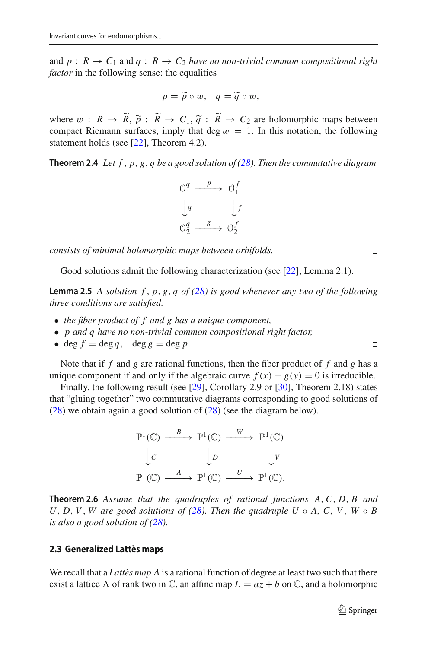and  $p: R \to C_1$  and  $q: R \to C_2$  *have no non-trivial common compositional right factor* in the following sense: the equalities

$$
p = \widetilde{p} \circ w, \quad q = \widetilde{q} \circ w,
$$

where  $w : R \to R$ ,  $\tilde{p} : R \to C_1$ ,  $\tilde{q} : R \to C_2$  are holomorphic maps between<br>compact Riemann surfaces imply that deg  $w = 1$ . In this notation, the following compact Riemann surfaces, imply that deg  $w = 1$ . In this notation, the following statement holds (see [\[22](#page-47-13)], Theorem 4.2).

<span id="page-10-2"></span>**Theorem 2.4** *Let*  $f$ ,  $p$ ,  $g$ ,  $q$  *be a good solution of [\(28\)](#page-9-0). Then the commutative diagram* 



*consists of minimal holomorphic maps between orbifolds.*

<span id="page-10-0"></span>Good solutions admit the following characterization (see [\[22\]](#page-47-13), Lemma 2.1).

**Lemma 2.5** *A solution f* , *p*, *g*, *q of [\(28\)](#page-9-0) is good whenever any two of the following three conditions are satisfied:*

- *the fiber product of f and g has a unique component,*
- *p and q have no non-trivial common compositional right factor,*
- deg  $f = \deg q$ , deg  $g = \deg p$ .

Note that if *f* and *g* are rational functions, then the fiber product of *f* and *g* has a unique component if and only if the algebraic curve  $f(x) - g(y) = 0$  is irreducible.

Finally, the following result (see [\[29](#page-47-19)], Corollary 2.9 or [\[30\]](#page-47-17), Theorem 2.18) states that "gluing together" two commutative diagrams corresponding to good solutions of [\(28\)](#page-9-0) we obtain again a good solution of [\(28\)](#page-9-0) (see the diagram below).

$$
\mathbb{P}^1(\mathbb{C}) \xrightarrow{B} \mathbb{P}^1(\mathbb{C}) \xrightarrow{W} \mathbb{P}^1(\mathbb{C})
$$
  

$$
\downarrow c \qquad \qquad \downarrow D \qquad \qquad \downarrow V
$$
  

$$
\mathbb{P}^1(\mathbb{C}) \xrightarrow{A} \mathbb{P}^1(\mathbb{C}) \xrightarrow{U} \mathbb{P}^1(\mathbb{C}).
$$

<span id="page-10-1"></span>**Theorem 2.6** *Assume that the quadruples of rational functions A*,*C*, *D*, *B and*  $U, D, V, W$  are good solutions of [\(28\)](#page-9-0)*. Then the quadruple*  $U \circ A, C, V, W \circ B$ *is also a good solution of [\(28\)](#page-9-0).*  $\Box$ 

## **2.3 Generalized Lattès maps**

We recall that a *Lattès map A* is a rational function of degree at least two such that there exist a lattice  $\Lambda$  of rank two in  $\mathbb{C}$ , an affine map  $L = az + b$  on  $\mathbb{C}$ , and a holomorphic

 $\Box$ 

 $\Box$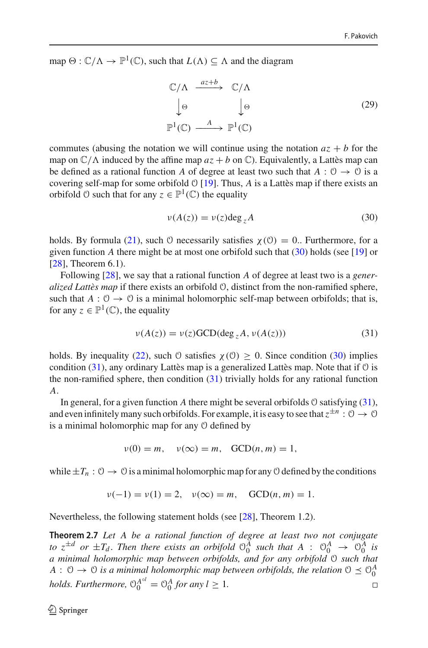map  $\Theta : \mathbb{C}/\Lambda \to \mathbb{P}^1(\mathbb{C})$ , such that  $L(\Lambda) \subseteq \Lambda$  and the diagram

<span id="page-11-3"></span>
$$
\mathbb{C}/\Lambda \xrightarrow{az+b} \mathbb{C}/\Lambda
$$
  
\n
$$
\downarrow \Theta \qquad \qquad \downarrow \Theta \qquad (29)
$$
  
\n
$$
\mathbb{P}^1(\mathbb{C}) \xrightarrow{A} \mathbb{P}^1(\mathbb{C})
$$

commutes (abusing the notation we will continue using the notation  $az + b$  for the map on  $\mathbb{C}/\Lambda$  induced by the affine map  $az + b$  on  $\mathbb{C}$ ). Equivalently, a Lattès map can be defined as a rational function *A* of degree at least two such that  $A: \mathcal{O} \to \mathcal{O}$  is a covering self-map for some orbifold O [\[19](#page-47-18)]. Thus, *A* is a Lattès map if there exists an orbifold  $\emptyset$  such that for any  $z \in \mathbb{P}^1(\mathbb{C})$  the equality

<span id="page-11-0"></span>
$$
\nu(A(z)) = \nu(z) \deg_z A \tag{30}
$$

holds. By formula [\(21\)](#page-7-1), such O necessarily satisfies  $\chi$  (0) = 0. Furthermore, for a given function *A* there might be at most one orbifold such that [\(30\)](#page-11-0) holds (see [\[19](#page-47-18)] or [\[28](#page-47-16)], Theorem 6.1).

Following [\[28](#page-47-16)], we say that a rational function *A* of degree at least two is a *generalized Lattès map* if there exists an orbifold O, distinct from the non-ramified sphere, such that  $A: \mathcal{O} \to \mathcal{O}$  is a minimal holomorphic self-map between orbifolds; that is, for any  $z \in \mathbb{P}^1(\mathbb{C})$ , the equality

<span id="page-11-1"></span>
$$
\nu(A(z)) = \nu(z) \text{GCD}(\text{deg}_z A, \nu(A(z))) \tag{31}
$$

holds. By inequality [\(22\)](#page-7-2), such  $\theta$  satisfies  $\chi(\theta) \ge 0$ . Since condition [\(30\)](#page-11-0) implies condition  $(31)$ , any ordinary Lattès map is a generalized Lattès map. Note that if  $\mathcal O$  is the non-ramified sphere, then condition  $(31)$  trivially holds for any rational function *A*.

In general, for a given function *A* there might be several orbifolds  $\theta$  satisfying [\(31\)](#page-11-1), and even infinitely many such orbifolds. For example, it is easy to see that  $z^{\pm n}$  :  $0 \to 0$ is a minimal holomorphic map for any O defined by

$$
\nu(0) = m, \quad \nu(\infty) = m, \quad \text{GCD}(n, m) = 1,
$$

while  $\pm T_n$ :  $0 \rightarrow 0$  is a minimal holomorphic map for any 0 defined by the conditions

$$
\nu(-1) = \nu(1) = 2, \quad \nu(\infty) = m, \quad GCD(n, m) = 1.
$$

<span id="page-11-2"></span>Nevertheless, the following statement holds (see [\[28](#page-47-16)], Theorem 1.2).

**Theorem 2.7** *Let A be a rational function of degree at least two not conjugate to*  $z^{\pm d}$  *or*  $\pm T_d$ . Then there exists an orbifold  $\mathcal{O}_0^A$  such that  $A$  :  $\mathcal{O}_0^A$   $\rightarrow$   $\mathcal{O}_0^A$  is *a minimal holomorphic map between orbifolds, and for any orbifold* O *such that*  $A: \emptyset \to \emptyset$  is a minimal holomorphic map between orbifolds, the relation  $\emptyset \preceq \emptyset_0^A$ *holds. Furthermore,*  $\Theta_0^{A^{\circ l}} = \Theta_0^A$  *for any*  $l \geq 1$ *.*  $\Box$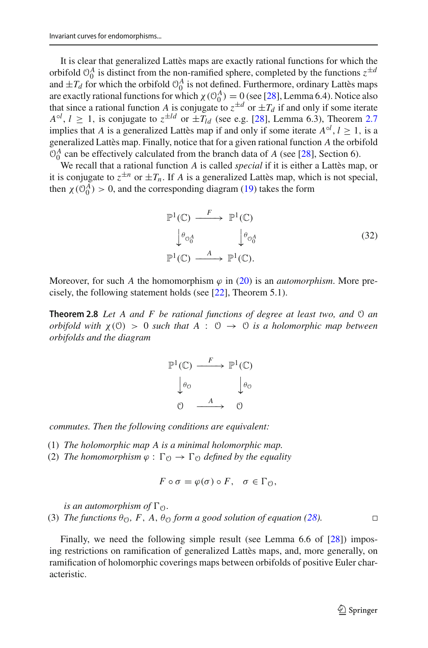It is clear that generalized Lattès maps are exactly rational functions for which the orbifold  $\theta_0^A$  is distinct from the non-ramified sphere, completed by the functions  $z^{\pm a}$ and  $\pm T_d$  for which the orbifold  $\mathcal{O}_0^A$  is not defined. Furthermore, ordinary Lattès maps are exactly rational functions for which  $\chi$  ( $\mathcal{O}_0^A$ ) = 0 (see [\[28\]](#page-47-16), Lemma 6.4). Notice also that since a rational function *A* is conjugate to  $z^{\pm d}$  or  $\pm T_d$  if and only if some iterate  $A^{\circ l}$ ,  $l \ge 1$ , is conjugate to  $z^{\pm ld}$  or  $\pm T_{ld}$  (see e.g. [\[28\]](#page-47-16), Lemma 6.3), Theorem [2.7](#page-11-2) implies that *A* is a generalized Lattès map if and only if some iterate  $A^{\circ l}$ ,  $l \ge 1$ , is a generalized Lattès map. Finally, notice that for a given rational function *A* the orbifold  $\mathcal{O}_0^A$  can be effectively calculated from the branch data of *A* (see [\[28](#page-47-16)], Section 6).

We recall that a rational function *A* is called *special* if it is either a Lattès map, or it is conjugate to  $z^{\pm n}$  or  $\pm T_n$ . If *A* is a generalized Lattès map, which is not special, then  $\chi$  ( $\mathcal{O}_0^A$ ) > 0, and the corresponding diagram [\(19\)](#page-7-3) takes the form

<span id="page-12-2"></span>
$$
\mathbb{P}^{1}(\mathbb{C}) \xrightarrow{F} \mathbb{P}^{1}(\mathbb{C})
$$
\n
$$
\downarrow^{\theta_{0_{0}^{A}}} \qquad \qquad \downarrow^{\theta_{0_{0}^{A}}} \qquad (32)
$$
\n
$$
\mathbb{P}^{1}(\mathbb{C}) \xrightarrow{A} \mathbb{P}^{1}(\mathbb{C}).
$$

<span id="page-12-0"></span>Moreover, for such *A* the homomorphism  $\varphi$  in [\(20\)](#page-7-4) is an *automorphism*. More precisely, the following statement holds (see [\[22\]](#page-47-13), Theorem 5.1).

**Theorem 2.8** *Let A and F be rational functions of degree at least two, and* O *an orbifold with*  $\chi$  (0) > 0 *such that*  $A : 0 \rightarrow 0$  *is a holomorphic map between orbifolds and the diagram*



*commutes. Then the following conditions are equivalent:*

- (1) *The holomorphic map A is a minimal holomorphic map.*
- (2) *The homomorphism*  $\varphi : \Gamma_{\mathcal{O}} \to \Gamma_{\mathcal{O}}$  *defined by the equality*

$$
F\circ\sigma=\varphi(\sigma)\circ F,\quad\sigma\in\Gamma_{\mathcal{O}},
$$

*is an automorphism of*  $\Gamma_{\mathcal{O}}$ *.* 

(3) *The functions*  $\theta_0$ *, F, A,*  $\theta_0$  *form a good solution of equation [\(28\)](#page-9-0).* 

<span id="page-12-1"></span>Finally, we need the following simple result (see Lemma 6.6 of [\[28](#page-47-16)]) imposing restrictions on ramification of generalized Lattès maps, and, more generally, on ramification of holomorphic coverings maps between orbifolds of positive Euler characteristic.

 $\Box$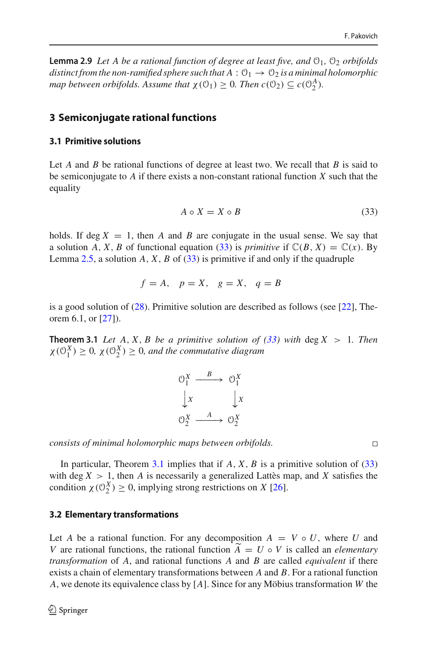**Lemma 2.9** *Let A be a rational function of degree at least five, and*  $\mathcal{O}_1$ ,  $\mathcal{O}_2$  *orbifolds distinct from the non-ramified sphere such that*  $A: \mathcal{O}_1 \rightarrow \mathcal{O}_2$  *is a minimal holomorphic map between orbifolds. Assume that*  $\chi(\mathcal{O}_1) \geq 0$ *. Then*  $c(\mathcal{O}_2) \subseteq c(\mathcal{O}_2^A)$ *.* 

# **3 Semiconjugate rational functions**

## **3.1 Primitive solutions**

Let *A* and *B* be rational functions of degree at least two. We recall that *B* is said to be semiconjugate to *A* if there exists a non-constant rational function *X* such that the equality

<span id="page-13-0"></span>
$$
A \circ X = X \circ B \tag{33}
$$

holds. If deg  $X = 1$ , then A and B are conjugate in the usual sense. We say that a solution *A*, *X*, *B* of functional equation [\(33\)](#page-13-0) is *primitive* if  $\mathbb{C}(B, X) = \mathbb{C}(x)$ . By Lemma [2.5,](#page-10-0) a solution *A*, *X*, *B* of [\(33\)](#page-13-0) is primitive if and only if the quadruple

$$
f = A, \quad p = X, \quad g = X, \quad q = B
$$

<span id="page-13-1"></span>is a good solution of  $(28)$ . Primitive solution are described as follows (see [\[22\]](#page-47-13), Theorem 6.1, or [\[27](#page-47-15)]).

**Theorem 3.1** *Let*  $A$ ,  $X$ ,  $B$  *be a primitive solution of [\(33\)](#page-13-0) with* deg  $X > 1$ *. Then*  $\chi(\mathcal{O}_1^X) \geq 0$ ,  $\chi(\mathcal{O}_2^X) \geq 0$ , and the commutative diagram



*consists of minimal holomorphic maps between orbifolds.*

In particular, Theorem [3.1](#page-13-1) implies that if  $A$ ,  $X$ ,  $B$  is a primitive solution of  $(33)$ with deg  $X > 1$ , then A is necessarily a generalized Lattès map, and X satisfies the condition  $\chi$  ( $\mathcal{O}_2^X$ )  $\geq$  0, implying strong restrictions on *X* [\[26](#page-47-22)].

## **3.2 Elementary transformations**

Let *A* be a rational function. For any decomposition  $A = V \circ U$ , where *U* and *V* are rational functions, the rational function  $A = U \circ V$  is called an *elementary transformation* of *A*, and rational functions *A* and *B* are called *equivalent* if there exists a chain of elementary transformations between *A* and *B*. For a rational function *A*, we denote its equivalence class by [*A*]. Since for any Möbius transformation *W* the

 $\Box$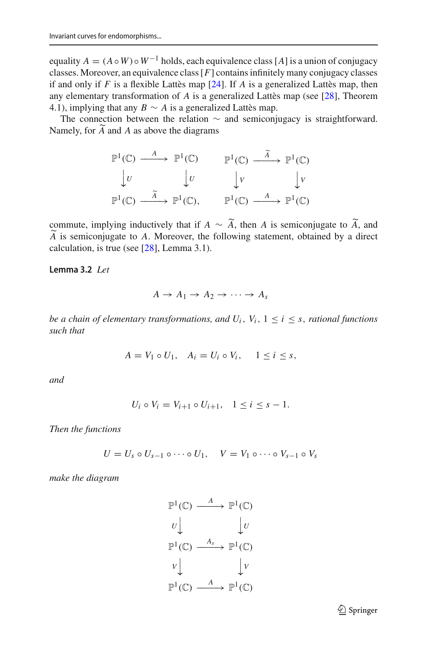equality  $A = (A \circ W) \circ W^{-1}$  holds, each equivalence class [*A*] is a union of conjugacy classes. Moreover, an equivalence class[*F*] contains infinitely many conjugacy classes if and only if *F* is a flexible Lattès map [\[24](#page-47-14)]. If *A* is a generalized Lattès map, then any elementary transformation of *A* is a generalized Lattès map (see [\[28](#page-47-16)], Theorem 4.1), implying that any  $B \sim A$  is a generalized Lattès map.

The connection between the relation  $\sim$  and semiconjugacy is straightforward. Namely, for *A* and *<sup>A</sup>* as above the diagrams

$$
\mathbb{P}^{1}(\mathbb{C}) \xrightarrow{A} \mathbb{P}^{1}(\mathbb{C}) \qquad \mathbb{P}^{1}(\mathbb{C}) \xrightarrow{\widetilde{A}} \mathbb{P}^{1}(\mathbb{C})
$$
  

$$
\downarrow U \qquad \qquad \downarrow U \qquad \qquad \downarrow V \qquad \qquad \downarrow V
$$
  

$$
\mathbb{P}^{1}(\mathbb{C}) \xrightarrow{\widetilde{A}} \mathbb{P}^{1}(\mathbb{C}), \qquad \mathbb{P}^{1}(\mathbb{C}) \xrightarrow{A} \mathbb{P}^{1}(\mathbb{C})
$$

commute, implying inductively that if *A* ∼ *A*, then *A* is semiconjugate to *A*, and  $\tilde{A}$  is semiconjugate to *A*. Mereover, the following attempt, obtained by a direct *A* is semiconjugate to *A*. Moreover, the following statement, obtained by a direct realization is two (see  $[281]$  Amme 2.1) calculation, is true (see [\[28](#page-47-16)], Lemma 3.1).

<span id="page-14-0"></span>**Lemma 3.2** *Let*

$$
A \to A_1 \to A_2 \to \cdots \to A_s
$$

*be a chain of elementary transformations, and*  $U_i$ *,*  $V_i$ *,*  $1 \le i \le s$ *, rational functions such that*

$$
A = V_1 \circ U_1, \quad A_i = U_i \circ V_i, \quad 1 \leq i \leq s,
$$

*and*

$$
U_i \circ V_i = V_{i+1} \circ U_{i+1}, \quad 1 \le i \le s-1.
$$

*Then the functions*

$$
U = U_s \circ U_{s-1} \circ \cdots \circ U_1, \quad V = V_1 \circ \cdots \circ V_{s-1} \circ V_s
$$

*make the diagram*

$$
\mathbb{P}^{1}(\mathbb{C}) \xrightarrow{A} \mathbb{P}^{1}(\mathbb{C})
$$
\n
$$
U \downarrow \qquad \qquad \downarrow U
$$
\n
$$
\mathbb{P}^{1}(\mathbb{C}) \xrightarrow{A_{s}} \mathbb{P}^{1}(\mathbb{C})
$$
\n
$$
V \downarrow \qquad \qquad \downarrow V
$$
\n
$$
\mathbb{P}^{1}(\mathbb{C}) \xrightarrow{A} \mathbb{P}^{1}(\mathbb{C})
$$

<sup>2</sup> Springer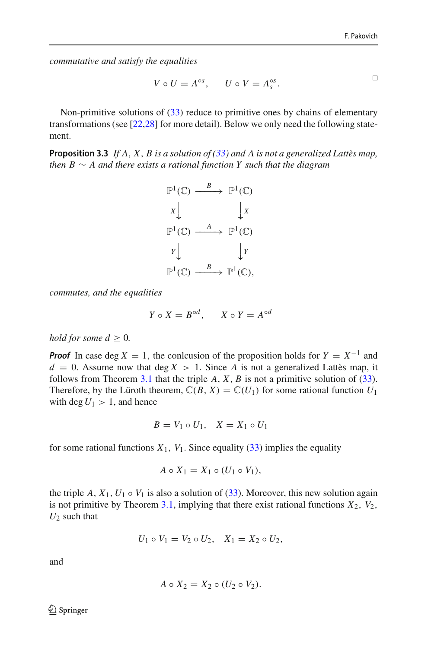$\Box$ 

*commutative and satisfy the equalities*

$$
V \circ U = A^{\circ s}, \qquad U \circ V = A^{\circ s}_s.
$$

Non-primitive solutions of [\(33\)](#page-13-0) reduce to primitive ones by chains of elementary transformations (see [\[22](#page-47-13)[,28\]](#page-47-16) for more detail). Below we only need the following statement.

<span id="page-15-0"></span>**Proposition 3.3** *If A*, *X*, *B is a solution of [\(33\)](#page-13-0) and A is not a generalized Lattès map, then B* ∼ *A and there exists a rational function Y such that the diagram*



*commutes, and the equalities*

$$
Y \circ X = B^{\circ d}, \qquad X \circ Y = A^{\circ d}
$$

#### *hold for some*  $d > 0$ *.*

*Proof* In case deg  $X = 1$ , the conlcusion of the proposition holds for  $Y = X^{-1}$  and  $d = 0$ . Assume now that deg  $X > 1$ . Since A is not a generalized Lattès map, it follows from Theorem [3.1](#page-13-1) that the triple  $A$ ,  $X$ ,  $B$  is not a primitive solution of [\(33\)](#page-13-0). Therefore, by the Lüroth theorem,  $\mathbb{C}(B, X) = \mathbb{C}(U_1)$  for some rational function  $U_1$ with deg  $U_1 > 1$ , and hence

$$
B = V_1 \circ U_1, \quad X = X_1 \circ U_1
$$

for some rational functions  $X_1$ ,  $V_1$ . Since equality [\(33\)](#page-13-0) implies the equality

$$
A \circ X_1 = X_1 \circ (U_1 \circ V_1),
$$

the triple  $A$ ,  $X_1$ ,  $U_1 \circ V_1$  is also a solution of [\(33\)](#page-13-0). Moreover, this new solution again is not primitive by Theorem [3.1,](#page-13-1) implying that there exist rational functions  $X_2$ ,  $V_2$ , *U*<sup>2</sup> such that

$$
U_1 \circ V_1 = V_2 \circ U_2, \quad X_1 = X_2 \circ U_2,
$$

and

$$
A \circ X_2 = X_2 \circ (U_2 \circ V_2).
$$

 $\textcircled{2}$  Springer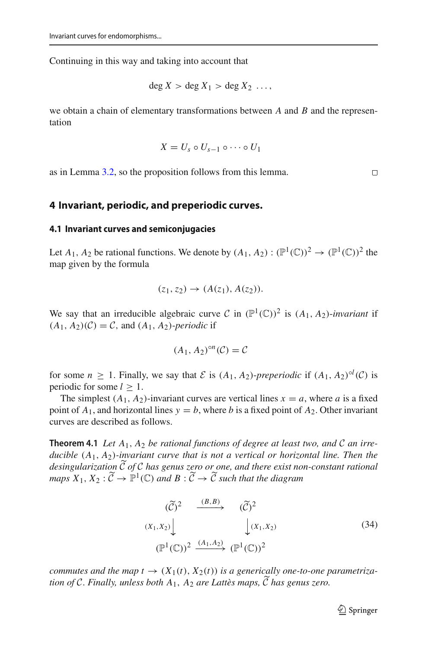Continuing in this way and taking into account that

$$
\deg X > \deg X_1 > \deg X_2 \ldots,
$$

we obtain a chain of elementary transformations between *A* and *B* and the representation

$$
X=U_s\circ U_{s-1}\circ\cdots\circ U_1
$$

as in Lemma [3.2,](#page-14-0) so the proposition follows from this lemma.

### **4 Invariant, periodic, and preperiodic curves.**

#### **4.1 Invariant curves and semiconjugacies**

Let  $A_1$ ,  $A_2$  be rational functions. We denote by  $(A_1, A_2) : (\mathbb{P}^1(\mathbb{C}))^2 \to (\mathbb{P}^1(\mathbb{C}))^2$  the map given by the formula

$$
(z_1, z_2) \to (A(z_1), A(z_2)).
$$

We say that an irreducible algebraic curve *C* in  $(\mathbb{P}^1(\mathbb{C}))^2$  is  $(A_1, A_2)$ -*invariant* if  $(A_1, A_2)(\mathcal{C}) = \mathcal{C}$ , and  $(A_1, A_2)$ -*periodic* if

$$
(A_1, A_2)^{\circ n}(\mathcal{C}) = \mathcal{C}
$$

for some  $n \ge 1$ . Finally, we say that  $\mathcal E$  is  $(A_1, A_2)$ -preperiodic if  $(A_1, A_2)^{ol}(\mathcal C)$  is periodic for some  $l \geq 1$ .

<span id="page-16-1"></span>The simplest  $(A_1, A_2)$ -invariant curves are vertical lines  $x = a$ , where *a* is a fixed point of  $A_1$ , and horizontal lines  $y = b$ , where *b* is a fixed point of  $A_2$ . Other invariant curves are described as follows.

**Theorem 4.1** Let  $A_1$ ,  $A_2$  be rational functions of degree at least two, and C an irre*ducible* (*A*1, *A*2)*-invariant curve that is not a vertical or horizontal line. Then the desingularization C of <sup>C</sup> has genus zero or one, and there exist non-constant rational maps*  $X_1, X_2 : \widetilde{C} \to \mathbb{P}^1(\mathbb{C})$  *and*  $B : \widetilde{C} \to \widetilde{C}$  *such that the diagram* 

<span id="page-16-0"></span>
$$
(\widetilde{C})^2 \xrightarrow{(B,B)} (\widetilde{C})^2
$$
  

$$
(X_1, X_2) \downarrow \qquad \qquad \downarrow (X_1, X_2)
$$
  

$$
(\mathbb{P}^1(\mathbb{C}))^2 \xrightarrow{(A_1, A_2)} (\mathbb{P}^1(\mathbb{C}))^2
$$
 (34)

*commutes and the map t*  $\rightarrow$   $(X_1(t), X_2(t))$  *is a generically one-to-one parametrization of C*. *Finally, unless both A*1, *A*<sup>2</sup> *are Lattès maps, C has genus zero.*

 $\Box$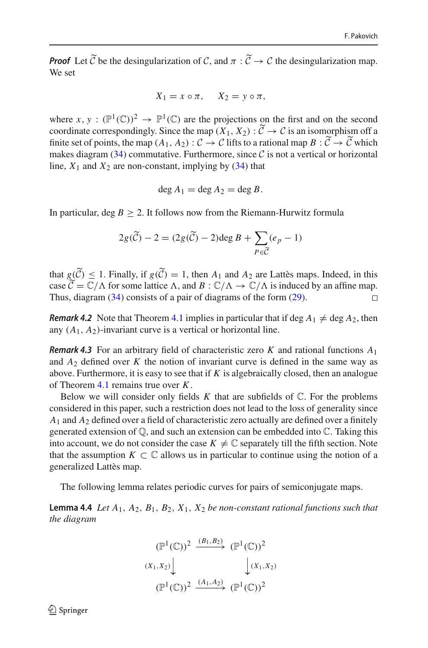*Proof* Let  $\tilde{C}$  be the desingularization of *C*, and  $\pi : \tilde{C} \to C$  the desingularization map. We set

$$
X_1 = x \circ \pi, \quad X_2 = y \circ \pi,
$$

where  $x, y : (\mathbb{P}^1(\mathbb{C}))^2 \to \mathbb{P}^1(\mathbb{C})$  are the projections on the first and on the second coordinate correspondingly. Since the map  $(X_1, X_2)$ :  $C \rightarrow C$  is an isomorphism off a<br>finite set of points, the map  $(A_1, A_2)$ :  $C \rightarrow C$  is the top a miscal map  $B \times \widetilde{C} \rightarrow \widetilde{C}$  which finite set of points, the map  $(A_1, A_2)$ :  $C \rightarrow C$  lifts to a rational map  $B: C \rightarrow C$  which makes diagram  $(34)$  commutative. Furthermore, since  $\mathcal C$  is not a vertical or horizontal line,  $X_1$  and  $X_2$  are non-constant, implying by [\(34\)](#page-16-0) that

$$
\deg A_1 = \deg A_2 = \deg B.
$$

In particular, deg  $B \ge 2$ . It follows now from the Riemann-Hurwitz formula

$$
2g(\widetilde{C}) - 2 = (2g(\widetilde{C}) - 2)\deg B + \sum_{P \in \widetilde{C}} (e_P - 1)
$$

that  $g(C) \leq 1$ . Finally, if  $g(C) = 1$ , then  $A_1$  and  $A_2$  are Lattès maps. Indeed, in this case  $\widetilde{C} = \mathbb{C}/\Lambda$  for some lattice  $\Lambda$ , and  $B : \mathbb{C}/\Lambda \to \mathbb{C}/\Lambda$  is induced by an affine map.<br>Thus, discusses (24) consists of a poin of discusses of the form (20) Thus, diagram [\(34\)](#page-16-0) consists of a pair of diagrams of the form [\(29\)](#page-11-3).

*Remark 4.2* Note that Theorem [4.1](#page-16-1) implies in particular that if deg  $A_1 \neq \text{deg } A_2$ , then any  $(A_1, A_2)$ -invariant curve is a vertical or horizontal line.

<span id="page-17-1"></span>*Remark 4.3* For an arbitrary field of characteristic zero *K* and rational functions *A*<sup>1</sup> and  $A_2$  defined over  $K$  the notion of invariant curve is defined in the same way as above. Furthermore, it is easy to see that if  $K$  is algebraically closed, then an analogue of Theorem [4.1](#page-16-1) remains true over *K*.

Below we will consider only fields  $K$  that are subfields of  $\mathbb C$ . For the problems considered in this paper, such a restriction does not lead to the loss of generality since *A*<sup>1</sup> and *A*<sup>2</sup> defined over a field of characteristic zero actually are defined over a finitely generated extension of Q, and such an extension can be embedded into C. Taking this into account, we do not consider the case  $K \neq \mathbb{C}$  separately till the fifth section. Note that the assumption  $K \subset \mathbb{C}$  allows us in particular to continue using the notion of a generalized Lattès map.

<span id="page-17-0"></span>The following lemma relates periodic curves for pairs of semiconjugate maps.

**Lemma 4.4** *Let A*1, *A*2, *B*1, *B*2, *X*1, *X*<sup>2</sup> *be non-constant rational functions such that the diagram*

$$
(\mathbb{P}^1(\mathbb{C}))^2 \xrightarrow{(B_1, B_2)} (\mathbb{P}^1(\mathbb{C}))^2
$$
  

$$
(X_1, X_2) \downarrow \qquad \qquad \downarrow (X_1, X_2)
$$
  

$$
(\mathbb{P}^1(\mathbb{C}))^2 \xrightarrow{(A_1, A_2)} (\mathbb{P}^1(\mathbb{C}))^2
$$

 $\mathcal{L}$  Springer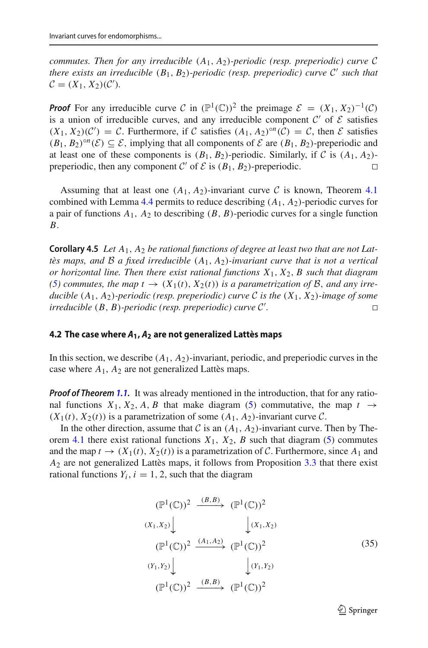*commutes. Then for any irreducible*  $(A_1, A_2)$ *-periodic (resp. preperiodic) curve*  $C$ *there exists an irreducible*  $(B_1, B_2)$ *-periodic (resp. preperiodic) curve*  $C'$  *such that*  $C = (X_1, X_2)(C').$ 

*Proof* For any irreducible curve *C* in  $(\mathbb{P}^1(\mathbb{C}))^2$  the preimage  $\mathcal{E} = (X_1, X_2)^{-1}(\mathcal{C})$ is a union of irreducible curves, and any irreducible component  $C'$  of  $E$  satisfies  $(X_1, X_2)(C') = C$ . Furthermore, if *C* satisfies  $(A_1, A_2)^{on}(C) = C$ , then *E* satisfies  $(B_1, B_2)^{\circ n}(\mathcal{E}) \subseteq \mathcal{E}$ , implying that all components of  $\mathcal{E}$  are  $(B_1, B_2)$ -preperiodic and at least one of these components is  $(B_1, B_2)$ -periodic. Similarly, if *C* is  $(A_1, A_2)$ -<br>preperiodic then any component *C'* of *F* is  $(B_1, B_2)$ -preperiodic preperiodic, then any component  $C'$  of  $\mathcal E$  is  $(B_1, B_2)$ -preperiodic.

Assuming that at least one  $(A_1, A_2)$ -invariant curve C is known, Theorem [4.1](#page-16-1) combined with Lemma [4.4](#page-17-0) permits to reduce describing  $(A_1, A_2)$ -periodic curves for a pair of functions  $A_1$ ,  $A_2$  to describing  $(B, B)$ -periodic curves for a single function *B*.

<span id="page-18-0"></span>**Corollary 4.5** *Let A*1, *A*<sup>2</sup> *be rational functions of degree at least two that are not Lattès maps, and B a fixed irreducible* (*A*1, *A*2)*-invariant curve that is not a vertical or horizontal line. Then there exist rational functions X*1, *X*2, *B such that diagram [\(5\)](#page-2-1)* commutes, the map  $t \rightarrow (X_1(t), X_2(t))$  is a parametrization of B, and any irre*ducible*  $(A_1, A_2)$ *-periodic (resp. preperiodic) curve*  $C$  *is the*  $(X_1, X_2)$ *-image of some irreducible*  $(B, B)$ *-periodic (resp. preperiodic) curve*  $C'$ . *irreducible* (*B*, *B*)*-periodic (resp. preperiodic) curve C .*

#### **4.2 The case where** *A***1,** *A***<sup>2</sup> are not generalized Lattès maps**

In this section, we describe  $(A_1, A_2)$ -invariant, periodic, and preperiodic curves in the case where  $A_1$ ,  $A_2$  are not generalized Lattès maps.

*Proof of Theorem [1.1.](#page-3-1)* It was already mentioned in the introduction, that for any rational functions  $X_1, X_2, A, B$  that make diagram [\(5\)](#page-2-1) commutative, the map  $t \rightarrow$  $(X_1(t), X_2(t))$  is a parametrization of some  $(A_1, A_2)$ -invariant curve  $C$ .

In the other direction, assume that  $C$  is an  $(A_1, A_2)$ -invariant curve. Then by The-orem [4.1](#page-16-1) there exist rational functions  $X_1$ ,  $X_2$ ,  $B$  such that diagram [\(5\)](#page-2-1) commutes and the map  $t \to (X_1(t), X_2(t))$  is a parametrization of C. Furthermore, since  $A_1$  and *A*<sup>2</sup> are not generalized Lattès maps, it follows from Proposition [3.3](#page-15-0) that there exist rational functions  $Y_i$ ,  $i = 1, 2$ , such that the diagram

<span id="page-18-1"></span>
$$
(\mathbb{P}^1(\mathbb{C}))^2 \xrightarrow{(B,B)} (\mathbb{P}^1(\mathbb{C}))^2
$$
  
\n
$$
(X_1, X_2) \downarrow \qquad \qquad (\chi_1, X_2)
$$
  
\n
$$
(\mathbb{P}^1(\mathbb{C}))^2 \xrightarrow{(A_1, A_2)} (\mathbb{P}^1(\mathbb{C}))^2
$$
  
\n
$$
(Y_1, Y_2) \downarrow \qquad \qquad (\chi_1, \chi_2)
$$
  
\n
$$
(\mathbb{P}^1(\mathbb{C}))^2 \xrightarrow{(B,B)} (\mathbb{P}^1(\mathbb{C}))^2
$$
  
\n(35)

 $\mathcal{D}$  Springer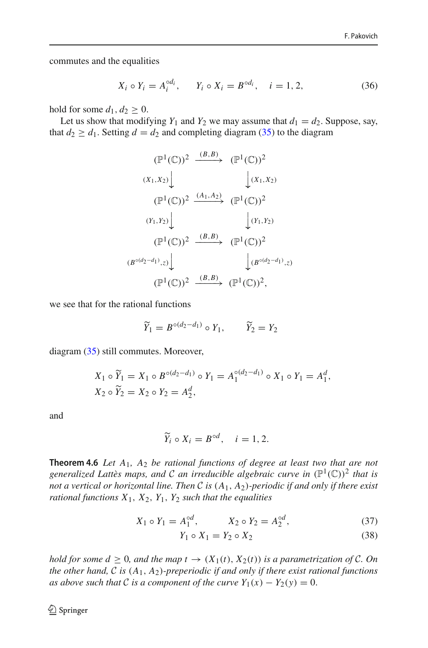commutes and the equalities

<span id="page-19-2"></span>
$$
X_i \circ Y_i = A_i^{\circ d_i}, \qquad Y_i \circ X_i = B^{\circ d_i}, \quad i = 1, 2, \tag{36}
$$

hold for some  $d_1, d_2 \geq 0$ .

Let us show that modifying  $Y_1$  and  $Y_2$  we may assume that  $d_1 = d_2$ . Suppose, say, that  $d_2 \geq d_1$ . Setting  $d = d_2$  and completing diagram [\(35\)](#page-18-1) to the diagram

$$
(\mathbb{P}^1(\mathbb{C}))^2 \xrightarrow{(B,B)} (\mathbb{P}^1(\mathbb{C}))^2
$$
  
\n
$$
(x_1, x_2) \downarrow \qquad \qquad (\mathbb{P}^1(\mathbb{C}))^2
$$
  
\n
$$
(\mathbb{P}^1(\mathbb{C}))^2 \xrightarrow{(A_1, A_2)} (\mathbb{P}^1(\mathbb{C}))^2
$$
  
\n
$$
(Y_1, Y_2) \downarrow \qquad \qquad (\mathbb{P}^1(\mathbb{C}))^2
$$
  
\n
$$
(\mathbb{P}^1(\mathbb{C}))^2 \xrightarrow{(B,B)} (\mathbb{P}^1(\mathbb{C}))^2
$$
  
\n
$$
(B^{\circ(d_2-d_1)}, z) \downarrow \qquad \qquad (\mathbb{P}^1(\mathbb{C}))^2,
$$
  
\n
$$
(\mathbb{P}^1(\mathbb{C}))^2 \xrightarrow{(B,B)} (\mathbb{P}^1(\mathbb{C}))^2,
$$

we see that for the rational functions

$$
\widetilde{Y}_1 = B^{\circ (d_2 - d_1)} \circ Y_1, \qquad \widetilde{Y}_2 = Y_2
$$

diagram [\(35\)](#page-18-1) still commutes. Moreover,

$$
X_1 \circ \widetilde{Y}_1 = X_1 \circ B^{\circ (d_2 - d_1)} \circ Y_1 = A_1^{\circ (d_2 - d_1)} \circ X_1 \circ Y_1 = A_1^d,
$$
  

$$
X_2 \circ \widetilde{Y}_2 = X_2 \circ Y_2 = A_2^d,
$$

and

$$
\widetilde{Y}_i \circ X_i = B^{\circ d}, \quad i = 1, 2.
$$

<span id="page-19-0"></span>**Theorem 4.6** *Let A*1*, A*<sup>2</sup> *be rational functions of degree at least two that are not generalized Lattès maps, and*  $C$  *an irreducible algebraic curve in*  $(\mathbb{P}^1(\mathbb{C}))^2$  *that is not a vertical or horizontal line. Then C is* (*A*1, *A*2)*-periodic if and only if there exist rational functions X*1, *X*2, *Y*1, *Y*<sup>2</sup> *such that the equalities*

<span id="page-19-1"></span>
$$
X_1 \circ Y_1 = A_1^{\circ d}, \qquad X_2 \circ Y_2 = A_2^{\circ d}, \tag{37}
$$

$$
Y_1 \circ X_1 = Y_2 \circ X_2 \tag{38}
$$

*hold for some*  $d \geq 0$ *, and the map*  $t \to (X_1(t), X_2(t))$  *is a parametrization of C. On the other hand, C is* (*A*1, *A*2)*-preperiodic if and only if there exist rational functions as above such that C is a component of the curve*  $Y_1(x) - Y_2(y) = 0$ .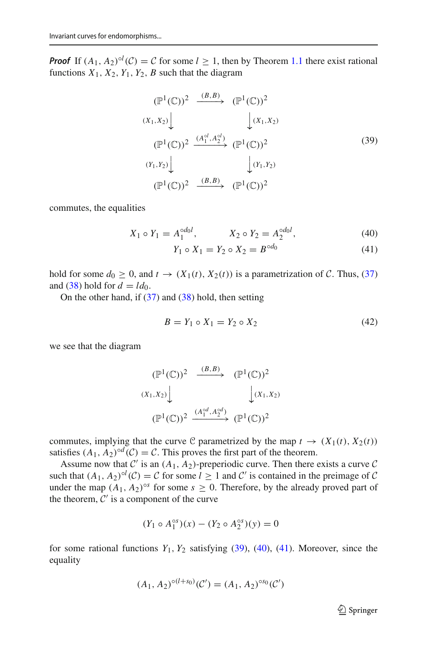**Proof** If  $(A_1, A_2)^{ol}$  (*C*) = *C* for some  $l \ge 1$ , then by Theorem [1.1](#page-3-1) there exist rational functions  $X_1, X_2, Y_1, Y_2, B$  such that the diagram

<span id="page-20-0"></span>
$$
(\mathbb{P}^{1}(\mathbb{C}))^{2} \xrightarrow{(B,B)} (\mathbb{P}^{1}(\mathbb{C}))^{2}
$$
  
\n
$$
(x_{1},x_{2}) \downarrow \qquad \qquad \downarrow (x_{1},x_{2})
$$
  
\n
$$
(\mathbb{P}^{1}(\mathbb{C}))^{2} \xrightarrow{(A_{1}^{o,l},A_{2}^{o,l})} (\mathbb{P}^{1}(\mathbb{C}))^{2}
$$
  
\n
$$
(x_{1},x_{2}) \downarrow \qquad \qquad \downarrow (x_{1},x_{2})
$$
  
\n
$$
(\mathbb{P}^{1}(\mathbb{C}))^{2} \xrightarrow{(B,B)} (\mathbb{P}^{1}(\mathbb{C}))^{2}
$$
  
\n(39)

commutes, the equalities

<span id="page-20-1"></span>
$$
X_1 \circ Y_1 = A_1^{\circ d_0 l}, \qquad X_2 \circ Y_2 = A_2^{\circ d_0 l}, \tag{40}
$$

$$
Y_1 \circ X_1 = Y_2 \circ X_2 = B^{\circ d_0} \tag{41}
$$

hold for some  $d_0 \geq 0$ , and  $t \to (X_1(t), X_2(t))$  is a parametrization of *C*. Thus, [\(37\)](#page-19-1) and [\(38\)](#page-19-1) hold for  $d = ld_0$ .

On the other hand, if  $(37)$  and  $(38)$  hold, then setting

<span id="page-20-2"></span>
$$
B = Y_1 \circ X_1 = Y_2 \circ X_2 \tag{42}
$$

we see that the diagram

$$
(\mathbb{P}^1(\mathbb{C}))^2 \xrightarrow{(B,B)} (\mathbb{P}^1(\mathbb{C}))^2
$$
  

$$
(X_1, X_2) \downarrow \qquad \qquad (\mathbb{P}^1(\mathbb{C}))^2
$$
  

$$
(\mathbb{P}^1(\mathbb{C}))^2 \xrightarrow{(A_1^{\circ d}, A_2^{\circ d})} (\mathbb{P}^1(\mathbb{C}))^2
$$

commutes, implying that the curve C parametrized by the map  $t \to (X_1(t), X_2(t))$ satisfies  $(A_1, A_2)$ <sup>od</sup> $(C) = C$ . This proves the first part of the theorem.

Assume now that  $C'$  is an  $(A_1, A_2)$ -preperiodic curve. Then there exists a curve  $C$ such that  $(A_1, A_2)^{ol}(\mathcal{C}) = \mathcal{C}$  for some  $l \ge 1$  and  $\mathcal{C}'$  is contained in the preimage of  $\mathcal{C}$ under the map  $(A_1, A_2)$ <sup>os</sup> for some  $s \ge 0$ . Therefore, by the already proved part of the theorem,  $C'$  is a component of the curve

$$
(Y_1 \circ A_1^{\circ s})(x) - (Y_2 \circ A_2^{\circ s})(y) = 0
$$

for some rational functions  $Y_1, Y_2$  satisfying  $(39)$ ,  $(40)$ ,  $(41)$ . Moreover, since the equality

$$
(A_1, A_2)^{\circ (l+s_0)}(\mathcal{C}') = (A_1, A_2)^{\circ s_0}(\mathcal{C}')
$$

<sup>2</sup> Springer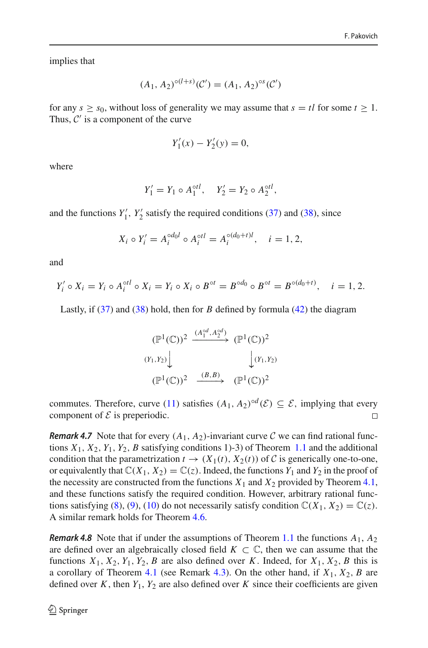implies that

$$
(A_1, A_2)^{\circ (l+s)}(\mathcal{C}') = (A_1, A_2)^{\circ s}(\mathcal{C}')
$$

for any  $s \geq s_0$ , without loss of generality we may assume that  $s = tl$  for some  $t \geq 1$ . Thus,  $C'$  is a component of the curve

$$
Y_1'(x) - Y_2'(y) = 0,
$$

where

$$
Y_1' = Y_1 \circ A_1^{\circ tl}, \quad Y_2' = Y_2 \circ A_2^{\circ tl},
$$

and the functions  $Y_1'$ ,  $Y_2'$  satisfy the required conditions [\(37\)](#page-19-1) and [\(38\)](#page-19-1), since

$$
X_i \circ Y'_i = A_i^{\circ d_0 l} \circ A_i^{\circ t l} = A_i^{\circ (d_0 + t) l}, \quad i = 1, 2,
$$

and

$$
Y_i' \circ X_i = Y_i \circ A_i^{otl} \circ X_i = Y_i \circ X_i \circ B^{ot} = B^{od_0} \circ B^{ot} = B^{od_0(d_0 + t)}, \quad i = 1, 2.
$$

Lastly, if [\(37\)](#page-19-1) and [\(38\)](#page-19-1) hold, then for *B* defined by formula [\(42\)](#page-20-2) the diagram

$$
(\mathbb{P}^1(\mathbb{C}))^2 \xrightarrow{(A_1^{\circ d}, A_2^{\circ d})} (\mathbb{P}^1(\mathbb{C}))^2
$$
  

$$
(Y_1, Y_2) \downarrow \qquad \qquad (\mathbb{P}^1(\mathbb{C}))^2
$$
  

$$
(\mathbb{P}^1(\mathbb{C}))^2 \xrightarrow{(B, B)} (\mathbb{P}^1(\mathbb{C}))^2
$$

commutes. Therefore, curve [\(11\)](#page-3-3) satisfies  $(A_1, A_2)^{\circ d}(\mathcal{E}) \subseteq \mathcal{E}$ , implying that every component of  $\mathcal{E}$  is preperiodic. component of  $\mathcal E$  is preperiodic.

*Remark 4.7* Note that for every  $(A_1, A_2)$ -invariant curve C we can find rational functions  $X_1, X_2, Y_1, Y_2, B$  satisfying conditions 1)-3) of Theorem [1.1](#page-3-1) and the additional condition that the parametrization  $t \to (X_1(t), X_2(t))$  of C is generically one-to-one, or equivalently that  $\mathbb{C}(X_1, X_2) = \mathbb{C}(z)$ . Indeed, the functions  $Y_1$  and  $Y_2$  in the proof of the necessity are constructed from the functions  $X_1$  and  $X_2$  provided by Theorem [4.1,](#page-16-1) and these functions satisfy the required condition. However, arbitrary rational func-tions satisfying [\(8\)](#page-3-0), [\(9\)](#page-3-2), [\(10\)](#page-3-2) do not necessarily satisfy condition  $\mathbb{C}(X_1, X_2) = \mathbb{C}(z)$ . A similar remark holds for Theorem [4.6.](#page-19-0)

<span id="page-21-0"></span>*Remark 4.8* Note that if under the assumptions of Theorem [1.1](#page-3-1) the functions *A*1, *A*<sup>2</sup> are defined over an algebraically closed field  $K \subset \mathbb{C}$ , then we can assume that the functions  $X_1, X_2, Y_1, Y_2, B$  are also defined over *K*. Indeed, for  $X_1, X_2, B$  this is a corollary of Theorem [4.1](#page-16-1) (see Remark [4.3\)](#page-17-1). On the other hand, if  $X_1, X_2, B$  are defined over  $K$ , then  $Y_1$ ,  $Y_2$  are also defined over  $K$  since their coefficients are given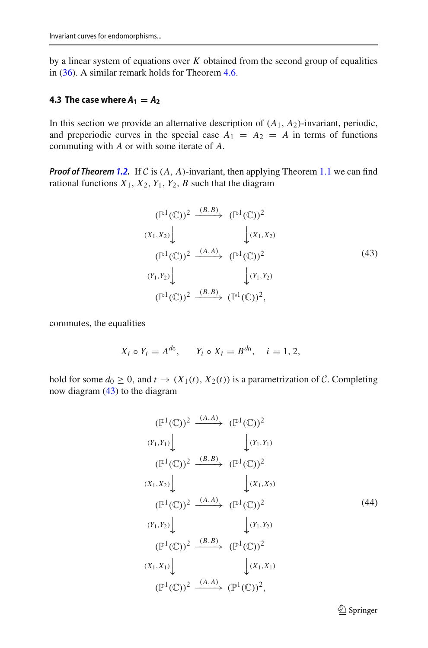by a linear system of equations over *K* obtained from the second group of equalities in [\(36\)](#page-19-2). A similar remark holds for Theorem [4.6.](#page-19-0)

## **4.3 The case where**  $A_1 = A_2$

In this section we provide an alternative description of  $(A_1, A_2)$ -invariant, periodic, and preperiodic curves in the special case  $A_1 = A_2 = A$  in terms of functions commuting with *A* or with some iterate of *A*.

*Proof of Theorem [1.2.](#page-4-0)* If *C* is  $(A, A)$ -invariant, then applying Theorem [1.1](#page-3-1) we can find rational functions  $X_1$ ,  $X_2$ ,  $Y_1$ ,  $Y_2$ ,  $B$  such that the diagram

<span id="page-22-0"></span>
$$
(\mathbb{P}^1(\mathbb{C}))^2 \xrightarrow{(B,B)} (\mathbb{P}^1(\mathbb{C}))^2
$$
  
\n
$$
(X_1, X_2) \downarrow \qquad \qquad (\mathbb{P}^1(\mathbb{C}))^2
$$
  
\n
$$
(\mathbb{P}^1(\mathbb{C}))^2 \xrightarrow{(A,A)} (\mathbb{P}^1(\mathbb{C}))^2
$$
  
\n
$$
(Y_1, Y_2) \downarrow \qquad \qquad (\mathbb{P}^1(\mathbb{C}))^2
$$
  
\n
$$
(\mathbb{P}^1(\mathbb{C}))^2 \xrightarrow{(B,B)} (\mathbb{P}^1(\mathbb{C}))^2,
$$
  
\n(43)

commutes, the equalities

$$
X_i \circ Y_i = A^{d_0}, \quad Y_i \circ X_i = B^{d_0}, \quad i = 1, 2,
$$

hold for some  $d_0 \geq 0$ , and  $t \to (X_1(t), X_2(t))$  is a parametrization of C. Completing now diagram [\(43\)](#page-22-0) to the diagram

<span id="page-22-1"></span>
$$
(\mathbb{P}^{1}(\mathbb{C}))^{2} \xrightarrow{(A,A)} (\mathbb{P}^{1}(\mathbb{C}))^{2}
$$
  
\n
$$
(Y_{1}, Y_{1}) \downarrow \qquad \qquad \downarrow (Y_{1}, Y_{1})
$$
  
\n
$$
(\mathbb{P}^{1}(\mathbb{C}))^{2} \xrightarrow{(B,B)} (\mathbb{P}^{1}(\mathbb{C}))^{2}
$$
  
\n
$$
(X_{1}, X_{2}) \downarrow \qquad \qquad \downarrow (X_{1}, X_{2})
$$
  
\n
$$
(\mathbb{P}^{1}(\mathbb{C}))^{2} \xrightarrow{(A,A)} (\mathbb{P}^{1}(\mathbb{C}))^{2}
$$
  
\n
$$
(Y_{1}, Y_{2}) \downarrow \qquad \qquad \downarrow (Y_{1}, Y_{2})
$$
  
\n
$$
(\mathbb{P}^{1}(\mathbb{C}))^{2} \xrightarrow{(B,B)} (\mathbb{P}^{1}(\mathbb{C}))^{2}
$$
  
\n
$$
(X_{1}, X_{1}) \downarrow \qquad \qquad \downarrow (X_{1}, X_{1})
$$
  
\n
$$
(\mathbb{P}^{1}(\mathbb{C}))^{2} \xrightarrow{(A,A)} (\mathbb{P}^{1}(\mathbb{C}))^{2},
$$
  
\n(4A)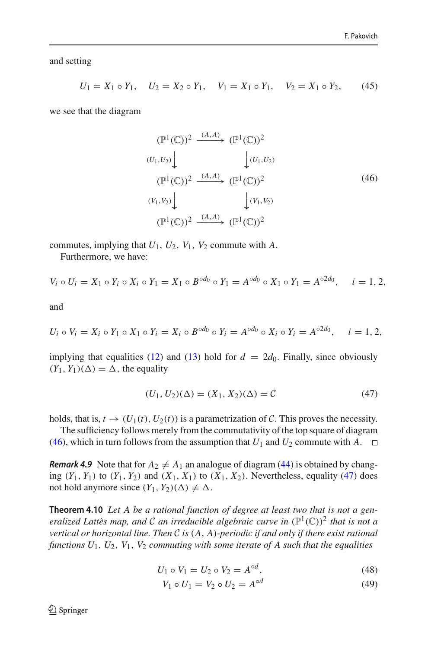and setting

<span id="page-23-4"></span>
$$
U_1 = X_1 \circ Y_1, \quad U_2 = X_2 \circ Y_1, \quad V_1 = X_1 \circ Y_1, \quad V_2 = X_1 \circ Y_2,\tag{45}
$$

we see that the diagram

<span id="page-23-0"></span>
$$
(\mathbb{P}^1(\mathbb{C}))^2 \xrightarrow{(A,A)} (\mathbb{P}^1(\mathbb{C}))^2
$$
  
\n
$$
(U_1, U_2) \downarrow \qquad \qquad (\mathbb{P}^1(U_1, U_2)
$$
  
\n
$$
(\mathbb{P}^1(\mathbb{C}))^2 \xrightarrow{(A,A)} (\mathbb{P}^1(\mathbb{C}))^2
$$
  
\n
$$
(V_1, V_2) \downarrow \qquad \qquad (\mathbb{V}_1, V_2)
$$
  
\n
$$
(\mathbb{P}^1(\mathbb{C}))^2 \xrightarrow{(A,A)} (\mathbb{P}^1(\mathbb{C}))^2
$$
  
\n(46)

commutes, implying that  $U_1$ ,  $U_2$ ,  $V_1$ ,  $V_2$  commute with  $A$ .

Furthermore, we have:

$$
V_i \circ U_i = X_1 \circ Y_i \circ X_i \circ Y_1 = X_1 \circ B^{\circ d_0} \circ Y_1 = A^{\circ d_0} \circ X_1 \circ Y_1 = A^{\circ 2d_0}, \quad i = 1, 2,
$$

and

$$
U_i \circ V_i = X_i \circ Y_1 \circ X_1 \circ Y_i = X_i \circ B^{\circ d_0} \circ Y_i = A^{\circ d_0} \circ X_i \circ Y_i = A^{\circ 2d_0}, \quad i = 1, 2,
$$

implying that equalities [\(12\)](#page-4-2) and [\(13\)](#page-4-2) hold for  $d = 2d_0$ . Finally, since obviously  $(Y_1, Y_1)(\Delta) = \Delta$ , the equality

<span id="page-23-1"></span>
$$
(U_1, U_2)(\Delta) = (X_1, X_2)(\Delta) = C \tag{47}
$$

holds, that is,  $t \to (U_1(t), U_2(t))$  is a parametrization of C. This proves the necessity.

The sufficiency follows merely from the commutativity of the top square of diagram [\(46\)](#page-23-0), which in turn follows from the assumption that  $U_1$  and  $U_2$  commute with  $A$ .  $\Box$ 

*Remark 4.9* Note that for  $A_2 \neq A_1$  an analogue of diagram [\(44\)](#page-22-1) is obtained by changing  $(Y_1, Y_1)$  to  $(Y_1, Y_2)$  and  $(X_1, X_1)$  to  $(X_1, X_2)$ . Nevertheless, equality [\(47\)](#page-23-1) does not hold anymore since  $(Y_1, Y_2)(\Delta) \neq \Delta$ .

<span id="page-23-3"></span>**Theorem 4.10** *Let A be a rational function of degree at least two that is not a generalized Lattès map, and C an irreducible algebraic curve in*  $(\mathbb{P}^1(\mathbb{C}))^2$  *that is not a vertical or horizontal line. Then C is* (*A*, *A*)*-periodic if and only if there exist rational functions U*1, *U*2, *V*1, *V*<sup>2</sup> *commuting with some iterate of A such that the equalities*

<span id="page-23-2"></span>
$$
U_1 \circ V_1 = U_2 \circ V_2 = A^{\circ d}, \tag{48}
$$

$$
V_1 \circ U_1 = V_2 \circ U_2 = A^{\circ d} \tag{49}
$$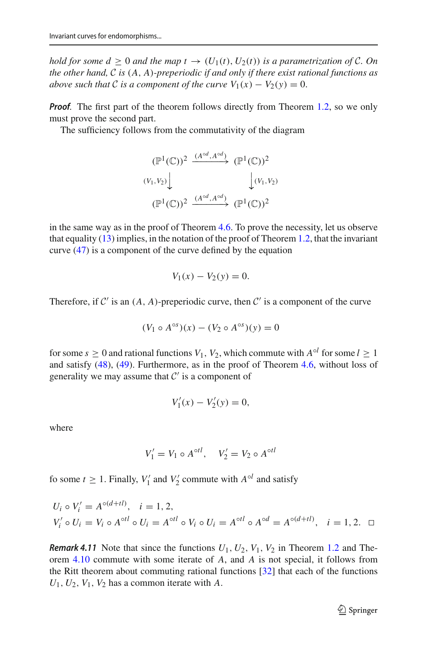*hold for some*  $d \geq 0$  *and the map*  $t \to (U_1(t), U_2(t))$  *is a parametrization of C. On the other hand, C is* (*A*, *A*)*-preperiodic if and only if there exist rational functions as above such that C is a component of the curve*  $V_1(x) - V_2(y) = 0$ .

*Proof.* The first part of the theorem follows directly from Theorem [1.2,](#page-4-0) so we only must prove the second part.

The sufficiency follows from the commutativity of the diagram

$$
(\mathbb{P}^1(\mathbb{C}))^2 \xrightarrow{(A^{\circ d}, A^{\circ d})} (\mathbb{P}^1(\mathbb{C}))^2
$$
  

$$
(V_1, V_2) \downarrow \qquad \qquad \downarrow (V_1, V_2)
$$
  

$$
(\mathbb{P}^1(\mathbb{C}))^2 \xrightarrow{(A^{\circ d}, A^{\circ d})} (\mathbb{P}^1(\mathbb{C}))^2
$$

in the same way as in the proof of Theorem [4.6.](#page-19-0) To prove the necessity, let us observe that equality [\(13\)](#page-4-2) implies, in the notation of the proof of Theorem [1.2,](#page-4-0) that the invariant curve [\(47\)](#page-23-1) is a component of the curve defined by the equation

$$
V_1(x) - V_2(y) = 0.
$$

Therefore, if  $C'$  is an  $(A, A)$ -preperiodic curve, then  $C'$  is a component of the curve

$$
(V_1 \circ A^{\circ s})(x) - (V_2 \circ A^{\circ s})(y) = 0
$$

for some  $s \geq 0$  and rational functions  $V_1$ ,  $V_2$ , which commute with  $A^{\circ l}$  for some  $l \geq 1$ and satisfy [\(48\)](#page-23-2), [\(49\)](#page-23-2). Furthermore, as in the proof of Theorem [4.6,](#page-19-0) without loss of generality we may assume that  $C'$  is a component of

$$
V_1'(x) - V_2'(y) = 0,
$$

where

$$
V_1' = V_1 \circ A^{\circ t l}, \quad V_2' = V_2 \circ A^{\circ t l}
$$

fo some  $t \ge 1$ . Finally,  $V'_1$  and  $V'_2$  commute with  $A^{\circ l}$  and satisfy

$$
U_i \circ V'_i = A^{\circ (d+tl)}, \quad i = 1, 2,
$$
  
\n
$$
V'_i \circ U_i = V_i \circ A^{\circ tl} \circ U_i = A^{\circ tl} \circ V_i \circ U_i = A^{\circ tl} \circ A^{\circ d} = A^{\circ (d+tl)}, \quad i = 1, 2.
$$

<span id="page-24-0"></span>*Remark 4.11* Note that since the functions  $U_1, U_2, V_1, V_2$  in Theorem [1.2](#page-4-0) and Theorem [4.10](#page-23-3) commute with some iterate of *A*, and *A* is not special, it follows from the Ritt theorem about commuting rational functions [\[32](#page-47-23)] that each of the functions  $U_1, U_2, V_1, V_2$  has a common iterate with *A*.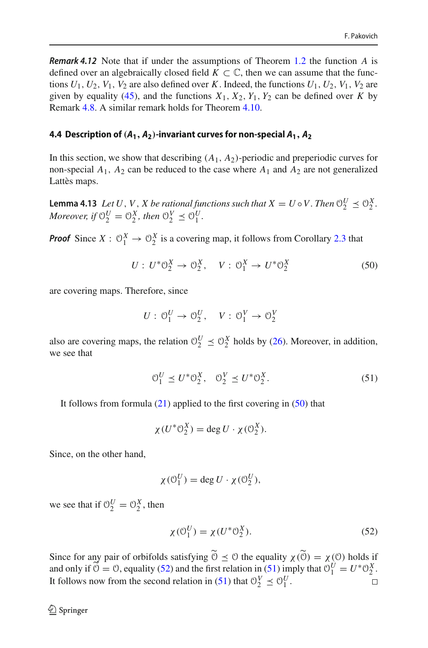*Remark 4.12* Note that if under the assumptions of Theorem [1.2](#page-4-0) the function *A* is defined over an algebraically closed field  $K \subset \mathbb{C}$ , then we can assume that the functions  $U_1$ ,  $U_2$ ,  $V_1$ ,  $V_2$  are also defined over *K*. Indeed, the functions  $U_1$ ,  $U_2$ ,  $V_1$ ,  $V_2$  are given by equality [\(45\)](#page-23-4), and the functions  $X_1, X_2, Y_1, Y_2$  can be defined over *K* by Remark [4.8.](#page-21-0) A similar remark holds for Theorem [4.10.](#page-23-3)

## **4.4 Description of**  $(A_1, A_2)$ -invariant curves for non-special  $A_1, A_2$

In this section, we show that describing  $(A_1, A_2)$ -periodic and preperiodic curves for non-special  $A_1$ ,  $A_2$  can be reduced to the case where  $A_1$  and  $A_2$  are not generalized Lattès maps.

<span id="page-25-3"></span>**Lemma 4.13** *Let U*, *V*, *X be rational functions such that*  $X = U \circ V$ . *Then*  $\mathbb{O}_2^U \preceq \mathbb{O}_2^X$ . *Moreover, if*  $\mathcal{O}_2^U = \mathcal{O}_2^X$ *, then*  $\mathcal{O}_2^V \preceq \mathcal{O}_1^U$ *.* 

*Proof* Since  $X: \mathcal{O}_1^X \to \mathcal{O}_2^X$  is a covering map, it follows from Corollary [2.3](#page-8-4) that

<span id="page-25-0"></span>
$$
U: U^* \mathcal{O}_2^X \to \mathcal{O}_2^X, \quad V: \mathcal{O}_1^X \to U^* \mathcal{O}_2^X \tag{50}
$$

are covering maps. Therefore, since

$$
U: \mathcal{O}_1^U \to \mathcal{O}_2^U, \quad V: \mathcal{O}_1^V \to \mathcal{O}_2^V
$$

also are covering maps, the relation  $\mathcal{O}_2^U \leq \mathcal{O}_2^X$  holds by [\(26\)](#page-9-1). Moreover, in addition, we see that

<span id="page-25-2"></span>
$$
\mathcal{O}_1^U \preceq U^* \mathcal{O}_2^X, \quad \mathcal{O}_2^V \preceq U^* \mathcal{O}_2^X. \tag{51}
$$

It follows from formula [\(21\)](#page-7-1) applied to the first covering in [\(50\)](#page-25-0) that

$$
\chi(U^*\mathbb{O}_2^X) = \deg U \cdot \chi(\mathbb{O}_2^X).
$$

Since, on the other hand,

$$
\chi(\mathcal{O}_1^U) = \deg U \cdot \chi(\mathcal{O}_2^U),
$$

we see that if  $\mathcal{O}_2^U = \mathcal{O}_2^X$ , then

<span id="page-25-1"></span>
$$
\chi(\mathcal{O}_1^U) = \chi(U^*\mathcal{O}_2^X). \tag{52}
$$

<span id="page-25-4"></span>Since for any pair of orbifolds satisfying  $\widetilde{\Theta} \preceq \Theta$  the equality  $\chi(\widetilde{\Theta}) = \chi(\Theta)$  holds if and only if  $\widetilde{\mathcal{O}} = \mathcal{O}$ , equality [\(52\)](#page-25-1) and the first relation in [\(51\)](#page-25-2) imply that  $\mathcal{O}_1^U = U^* \mathcal{O}_2^X$ . It follows now from the second relation in [\(51\)](#page-25-2) that  $\mathcal{O}_2^V \leq \mathcal{O}_1^U$ .  $\Box$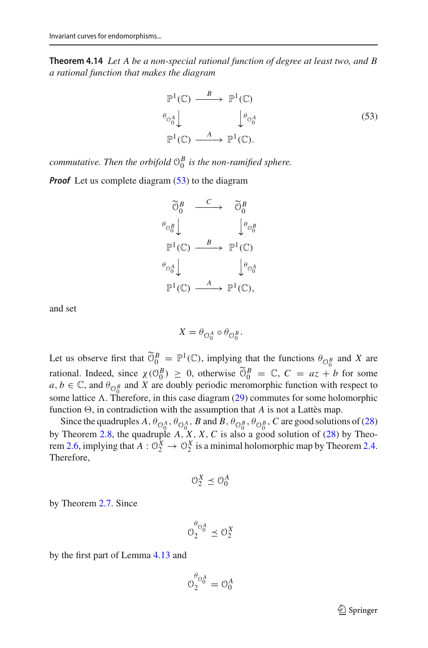**Theorem 4.14** *Let A be a non-special rational function of degree at least two, and B a rational function that makes the diagram*

<span id="page-26-0"></span>
$$
\mathbb{P}^{1}(\mathbb{C}) \xrightarrow{B} \mathbb{P}^{1}(\mathbb{C})
$$
\n
$$
\theta_{\mathcal{O}_{0}^{A}} \downarrow \qquad \qquad \downarrow \theta_{\mathcal{O}_{0}^{A}} \qquad (53)
$$
\n
$$
\mathbb{P}^{1}(\mathbb{C}) \xrightarrow{A} \mathbb{P}^{1}(\mathbb{C}).
$$

*commutative. Then the orbifold*  $\mathcal{O}_0^B$  *is the non-ramified sphere.* 

*Proof* Let us complete diagram [\(53\)](#page-26-0) to the diagram



and set

$$
X = \theta_{\mathcal{O}_0^A} \circ \theta_{\mathcal{O}_0^B}.
$$

Let us observe first that  $\widetilde{\mathcal{O}}_0^B = \mathbb{P}^1(\mathbb{C})$ , implying that the functions  $\theta_{\mathcal{O}_0^B}$  and *X* are rational. Indeed, since  $\chi(\mathcal{O}_0^B) \geq 0$ , otherwise  $\widetilde{\mathcal{O}}_0^B = \mathbb{C}$ ,  $C = az + b$  for some  $a, b \in \mathbb{C}$ , and  $\theta_{\mathbb{O}_{0}^{B}}$  and *X* are doubly periodic meromorphic function with respect to some lattice  $\Lambda$ . Therefore, in this case diagram [\(29\)](#page-11-3) commutes for some holomorphic function  $\Theta$ , in contradiction with the assumption that *A* is not a Lattès map.

Since the quadruples  $A$ ,  $\theta_{\mathcal{O}_0^A}$ ,  $\theta_{\mathcal{O}_0^A}$ ,  $B$  and  $B$ ,  $\theta_{\mathcal{O}_0^B}$ ,  $\theta_{\mathcal{O}_0^B}$ ,  $C$  are good solutions of [\(28\)](#page-9-0) by Theorem [2.8,](#page-12-0) the quadruple *A*, *X*, *X*,*C* is also a good solution of [\(28\)](#page-9-0) by Theo-rem [2.6,](#page-10-1) implying that  $A: \mathbb{O}_2^X \to \mathbb{O}_2^X$  is a minimal holomorphic map by Theorem [2.4.](#page-10-2) Therefore,

$$
\mathcal{O}_2^X \preceq \mathcal{O}_0^A
$$

by Theorem [2.7.](#page-11-2) Since

$$
0_2^{\theta_{0_0^A}} \preceq 0_2^X
$$

by the first part of Lemma [4.13](#page-25-3) and

$$
\mathcal{O}_2^{\theta_{\mathcal{O}_0^A}} = \mathcal{O}_0^A
$$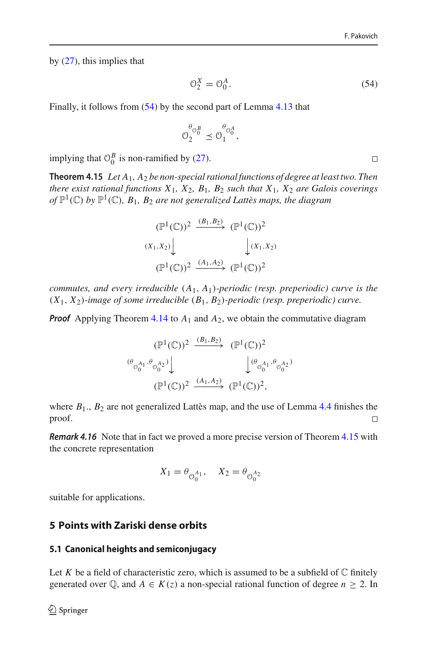by [\(27\)](#page-9-2), this implies that

<span id="page-27-1"></span>
$$
\mathcal{O}_2^X = \mathcal{O}_0^A. \tag{54}
$$

Finally, it follows from [\(54\)](#page-27-1) by the second part of Lemma [4.13](#page-25-3) that

$$
\mathcal{O}_2^{\theta_{\mathcal{O}_0^B}} \preceq \mathcal{O}_1^{\theta_{\mathcal{O}_0^A}},
$$

<span id="page-27-0"></span>implying that  $\mathcal{O}_0^B$  is non-ramified by [\(27\)](#page-9-2).

**Theorem 4.15** *Let A*1*, A*<sup>2</sup> *be non-special rational functions of degree at least two. Then there exist rational functions X*1*, X*2*, B*1*, B*<sup>2</sup> *such that X*1*, X*<sup>2</sup> *are Galois coverings of*  $\mathbb{P}^1(\mathbb{C})$  *by*  $\mathbb{P}^1(\mathbb{C})$ *, B*<sub>1</sub>*, B*<sub>2</sub> *are not generalized Lattès maps, the diagram* 

$$
(\mathbb{P}^1(\mathbb{C}))^2 \xrightarrow{(B_1, B_2)} (\mathbb{P}^1(\mathbb{C}))^2
$$
  

$$
(X_1, X_2) \downarrow \qquad \qquad (\mathbb{P}^1(\mathbb{C}))^2
$$
  

$$
(\mathbb{P}^1(\mathbb{C}))^2 \xrightarrow{(A_1, A_2)} (\mathbb{P}^1(\mathbb{C}))^2
$$

*commutes, and every irreducible* (*A*1, *A*1)*-periodic (resp. preperiodic) curve is the* (*X*1, *X*2)*-image of some irreducible* (*B*1, *B*2)*-periodic (resp. preperiodic) curve.*

*Proof* Applying Theorem [4.14](#page-25-4) to  $A_1$  and  $A_2$ , we obtain the commutative diagram

$$
(\mathbb{P}^1(\mathbb{C}))^2 \xrightarrow{(B_1, B_2)} (\mathbb{P}^1(\mathbb{C}))^2
$$
  

$$
(\mathbb{P}_0{}_{0}^{A_1}, \mathbb{P}_0{}_{0}^{A_2}) \downarrow \qquad \qquad (\mathbb{P}^1(\mathbb{C}))^2 \xrightarrow{(\mathbb{A}_1, \mathbb{A}_2)} (\mathbb{P}^1(\mathbb{C}))^2,
$$
  

$$
(\mathbb{P}^1(\mathbb{C}))^2 \xrightarrow{(\mathbb{A}_1, \mathbb{A}_2)} (\mathbb{P}^1(\mathbb{C}))^2,
$$

where  $B_1$ .,  $B_2$  are not generalized Lattès map, and the use of Lemma [4.4](#page-17-0) finishes the proof.  $\Box$ 

<span id="page-27-2"></span>*Remark 4.16* Note that in fact we proved a more precise version of Theorem [4.15](#page-27-0) with the concrete representation

$$
X_1 = \theta_{\bigcirc_0^{A_1}} , \quad X_2 = \theta_{\bigcirc_0^{A_2}}
$$

suitable for applications.

# **5 Points with Zariski dense orbits**

#### **5.1 Canonical heights and semiconjugacy**

Let *K* be a field of characteristic zero, which is assumed to be a subfield of  $\mathbb C$  finitely generated over  $\mathbb{Q}$ , and  $A \in K(z)$  a non-special rational function of degree  $n \geq 2$ . In

 $\Box$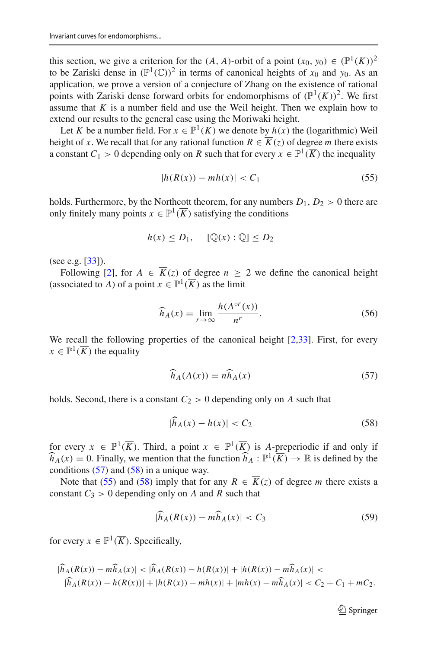this section, we give a criterion for the  $(A, A)$ -orbit of a point  $(x_0, y_0) \in (\mathbb{P}^1(\overline{K}))^2$ to be Zariski dense in  $(\mathbb{P}^1(\mathbb{C}))^2$  in terms of canonical heights of  $x_0$  and  $y_0$ . As an application, we prove a version of a conjecture of Zhang on the existence of rational points with Zariski dense forward orbits for endomorphisms of  $(\mathbb{P}^1(K))^2$ . We first assume that  $K$  is a number field and use the Weil height. Then we explain how to extend our results to the general case using the Moriwaki height.

Let *K* be a number field. For  $x \in \mathbb{P}^1(\overline{K})$  we denote by  $h(x)$  the (logarithmic) Weil height of *x*. We recall that for any rational function  $R \in \overline{K}(z)$  of degree *m* there exists a constant  $C_1 > 0$  depending only on R such that for every  $x \in \mathbb{P}^1(\overline{K})$  the inequality

<span id="page-28-2"></span>
$$
|h(R(x)) - mh(x)| < C_1 \tag{55}
$$

holds. Furthermore, by the Northcott theorem, for any numbers  $D_1, D_2 > 0$  there are only finitely many points  $x \in \mathbb{P}^1(\overline{K})$  satisfying the conditions

$$
h(x) \le D_1, \quad [\mathbb{Q}(x) : \mathbb{Q}] \le D_2
$$

(see e.g. [\[33](#page-47-24)]).

Following [\[2\]](#page-47-25), for  $A \in \overline{K}(z)$  of degree  $n \geq 2$  we define the canonical height (associated to *A*) of a point  $x \in \mathbb{P}^1(\overline{K})$  as the limit

<span id="page-28-4"></span>
$$
\widehat{h}_A(x) = \lim_{r \to \infty} \frac{h(A^{\circ r}(x))}{n^r}.
$$
\n(56)

We recall the following properties of the canonical height [\[2](#page-47-25)[,33](#page-47-24)]. First, for every  $x \in \mathbb{P}^1(\overline{K})$  the equality

<span id="page-28-0"></span>
$$
\widehat{h}_A(A(x)) = n\widehat{h}_A(x) \tag{57}
$$

holds. Second, there is a constant  $C_2 > 0$  depending only on *A* such that

<span id="page-28-1"></span>
$$
|h_A(x) - h(x)| < C_2 \tag{58}
$$

for every  $x \in \mathbb{P}^1(\overline{K})$ . Third, a point  $x \in \mathbb{P}^1(\overline{K})$  is A-preperiodic if and only if  $\hat{h}_A(x) = 0$ . Finally, we mention that the function  $\hat{h}_A : \mathbb{P}^1(\overline{K}) \to \mathbb{R}$  is defined by the conditions  $(57)$  and  $(58)$  in a unique way.

Note that [\(55\)](#page-28-2) and [\(58\)](#page-28-1) imply that for any  $R \in \overline{K}(z)$  of degree *m* there exists a constant  $C_3 > 0$  depending only on *A* and *R* such that

<span id="page-28-5"></span>
$$
|\widehat{h}_A(R(x)) - m\widehat{h}_A(x)| < C_3 \tag{59}
$$

for every  $x \in \mathbb{P}^1(\overline{K})$ . Specifically,

<span id="page-28-3"></span>
$$
|\widehat{h}_A(R(x)) - m\widehat{h}_A(x)| < |\widehat{h}_A(R(x)) - h(R(x))| + |h(R(x)) - m\widehat{h}_A(x)| |\widehat{h}_A(R(x)) - h(R(x))| + |h(R(x)) - mh(x)| + |mh(x) - m\widehat{h}_A(x)| < C_2 + C_1 + mC_2.
$$

 $\mathcal{D}$  Springer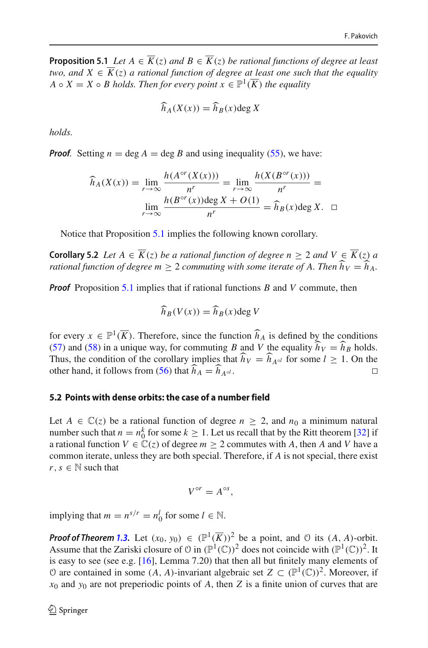**Proposition 5.1** *Let*  $A \in \overline{K}(z)$  *and*  $B \in \overline{K}(z)$  *be rational functions of degree at least two, and*  $X \in \overline{K}(z)$  *a rational function of degree at least one such that the equality A*  $\circ$  *X* = *X*  $\circ$  *B holds. Then for every point*  $x \in \mathbb{P}^1(\overline{K})$  *the equality* 

$$
\widehat{h}_A(X(x)) = \widehat{h}_B(x) \deg X
$$

*holds.*

*Proof.* Setting  $n = \deg A = \deg B$  and using inequality [\(55\)](#page-28-2), we have:

$$
\widehat{h}_A(X(x)) = \lim_{r \to \infty} \frac{h(A^{\circ r}(X(x)))}{n^r} = \lim_{r \to \infty} \frac{h(X(B^{\circ r}(x)))}{n^r} = \lim_{r \to \infty} \frac{h(B^{\circ r}(x)) \deg X + O(1)}{n^r} = \widehat{h}_B(x) \deg X. \quad \Box
$$

Notice that Proposition [5.1](#page-28-3) implies the following known corollary.

<span id="page-29-0"></span>**Corollary 5.2** *Let*  $A \in \overline{K}(z)$  *be a rational function of degree*  $n \geq 2$  *and*  $V \in \overline{K}(z)$  *a rational function of degree m*  $\geq$  2 *commuting with some iterate of A. Then*  $\widehat{h}_V = \widehat{h}_A$ .

*Proof* Proposition [5.1](#page-28-3) implies that if rational functions *B* and *V* commute, then

$$
\widehat{h}_B(V(x)) = \widehat{h}_B(x) \deg V
$$

for every  $x \in \mathbb{P}^1(\overline{K})$ . Therefore, since the function  $\widehat{h}_A$  is defined by the conditions [\(57\)](#page-28-0) and [\(58\)](#page-28-1) in a unique way, for commuting *B* and *V* the equality  $\hat{h}_V = \hat{h}_B$  holds. Thus, the condition of the corollary implies that  $\hat{h}_V = \hat{h}_{A \circ l}$  for some  $l \ge 1$ . On the other hand, it follows from [\(56\)](#page-28-4) that  $\widehat{h}_A = \widehat{h}_{A \circ l}$ .

#### <span id="page-29-1"></span>**5.2 Points with dense orbits: the case of a number field**

Let  $A \in \mathbb{C}(z)$  be a rational function of degree  $n \geq 2$ , and  $n_0$  a minimum natural number such that  $n = n_0^k$  for some  $k \ge 1$ . Let us recall that by the Ritt theorem [\[32](#page-47-23)] if a rational function  $V \in \mathbb{C}(z)$  of degree  $m \geq 2$  commutes with *A*, then *A* and *V* have a common iterate, unless they are both special. Therefore, if *A* is not special, there exist  $r, s \in \mathbb{N}$  such that

$$
V^{\circ r}=A^{\circ s},
$$

implying that  $m = n^{s/r} = n_0^l$  for some  $l \in \mathbb{N}$ .

*Proof of Theorem [1.3.](#page-5-0)* Let  $(x_0, y_0) \in (\mathbb{P}^1(\overline{K}))^2$  be a point, and  $\emptyset$  its  $(A, A)$ -orbit. Assume that the Zariski closure of  $\mathfrak{O}$  in  $(\mathbb{P}^1(\mathbb{C}))^2$  does not coincide with  $(\mathbb{P}^1(\mathbb{C}))^2$ . It is easy to see (see e.g. [\[16](#page-47-2)], Lemma 7.20) that then all but finitely many elements of  $\Theta$  are contained in some (*A*, *A*)-invariant algebraic set *Z* ⊂ ( $\mathbb{P}^1(\mathbb{C})^2$ ). Moreover, if  $x_0$  and  $y_0$  are not preperiodic points of *A*, then *Z* is a finite union of curves that are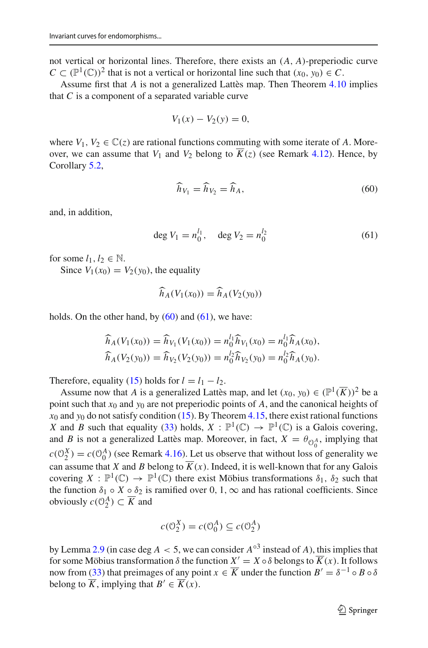not vertical or horizontal lines. Therefore, there exists an (*A*, *A*)-preperiodic curve  $C \subset (\mathbb{P}^1(\mathbb{C}))^2$  that is not a vertical or horizontal line such that  $(x_0, y_0) \in C$ .

Assume first that *A* is not a generalized Lattès map. Then Theorem [4.10](#page-23-3) implies that *C* is a component of a separated variable curve

$$
V_1(x) - V_2(y) = 0,
$$

where  $V_1, V_2 \in \mathbb{C}(z)$  are rational functions commuting with some iterate of A. Moreover, we can assume that  $V_1$  and  $V_2$  belong to  $\overline{K}(z)$  (see Remark [4.12\)](#page-24-0). Hence, by Corollary [5.2,](#page-29-0)

<span id="page-30-0"></span>
$$
\widehat{h}_{V_1} = \widehat{h}_{V_2} = \widehat{h}_A,\tag{60}
$$

and, in addition,

<span id="page-30-1"></span>
$$
\deg V_1 = n_0^{l_1}, \quad \deg V_2 = n_0^{l_2} \tag{61}
$$

for some  $l_1, l_2 \in \mathbb{N}$ .

Since  $V_1(x_0) = V_2(y_0)$ , the equality

$$
\widehat{h}_A(V_1(x_0)) = \widehat{h}_A(V_2(y_0))
$$

holds. On the other hand, by  $(60)$  and  $(61)$ , we have:

$$
\widehat{h}_A(V_1(x_0)) = \widehat{h}_{V_1}(V_1(x_0)) = n_0^{l_1} \widehat{h}_{V_1}(x_0) = n_0^{l_1} \widehat{h}_A(x_0),
$$
  

$$
\widehat{h}_A(V_2(y_0)) = \widehat{h}_{V_2}(V_2(y_0)) = n_0^{l_2} \widehat{h}_{V_2}(y_0) = n_0^{l_2} \widehat{h}_A(y_0).
$$

Therefore, equality [\(15\)](#page-5-3) holds for  $l = l_1 - l_2$ .

Assume now that *A* is a generalized Lattès map, and let  $(x_0, y_0) \in (\mathbb{P}^1(\overline{K}))^2$  be a point such that *x*<sup>0</sup> and *y*<sup>0</sup> are not preperiodic points of *A*, and the canonical heights of  $x_0$  and  $y_0$  do not satisfy condition [\(15\)](#page-5-3). By Theorem [4.15,](#page-27-0) there exist rational functions *X* and *B* such that equality [\(33\)](#page-13-0) holds,  $X : \mathbb{P}^1(\mathbb{C}) \to \mathbb{P}^1(\mathbb{C})$  is a Galois covering, and *B* is not a generalized Lattès map. Moreover, in fact,  $X = \theta_{\theta_0^A}$ , implying that  $c(\mathcal{O}_2^X) = c(\mathcal{O}_0^A)$  (see Remark [4.16\)](#page-27-2). Let us observe that without loss of generality we can assume that *X* and *B* belong to  $\overline{K}(x)$ . Indeed, it is well-known that for any Galois covering  $X : \mathbb{P}^1(\mathbb{C}) \to \mathbb{P}^1(\mathbb{C})$  there exist Möbius transformations  $\delta_1$ ,  $\delta_2$  such that the function  $\delta_1 \circ X \circ \delta_2$  is ramified over 0, 1,  $\infty$  and has rational coefficients. Since obviously  $c(\mathcal{O}_2^A) \subset \overline{K}$  and

$$
c(\mathcal{O}_2^X) = c(\mathcal{O}_0^A) \subseteq c(\mathcal{O}_2^A)
$$

by Lemma [2.9](#page-12-1) (in case deg  $A < 5$ , we can consider  $A^{\circ 3}$  instead of A), this implies that for some Möbius transformation  $\delta$  the function  $X' = X \circ \delta$  belongs to  $\overline{K}(x)$ . It follows now from [\(33\)](#page-13-0) that preimages of any point  $x \in \overline{K}$  under the function  $B' = \delta^{-1} \circ B \circ \delta$ belong to  $\overline{K}$ , implying that  $B' \in \overline{K}(x)$ .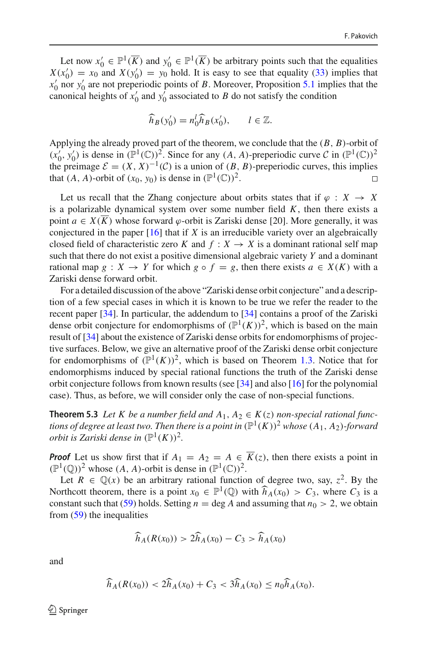Let now  $x'_0 \in \mathbb{P}^1(\overline{K})$  and  $y'_0 \in \mathbb{P}^1(\overline{K})$  be arbitrary points such that the equalities  $X(x_0') = x_0$  and  $X(y_0') = y_0$  hold. It is easy to see that equality [\(33\)](#page-13-0) implies that *x* <sup>0</sup> nor *y* <sup>0</sup> are not preperiodic points of *B*. Moreover, Proposition [5.1](#page-28-3) implies that the canonical heights of  $x'_0$  and  $y'_0$  associated to *B* do not satisfy the condition

$$
\widehat{h}_B(y'_0) = n_0^l \widehat{h}_B(x'_0), \qquad l \in \mathbb{Z}.
$$

Applying the already proved part of the theorem, we conclude that the (*B*, *B*)-orbit of  $(x'_0, y'_0)$  is dense in  $(\mathbb{P}^1(\mathbb{C}))^2$ . Since for any  $(A, A)$ -preperiodic curve  $\mathcal{C}$  in  $(\mathbb{P}^1(\mathbb{C}))^2$ the preimage  $\mathcal{E} = (X, X)^{-1}(\mathcal{C})$  is a union of  $(B, B)$ -preperiodic curves, this implies that  $(A, A)$ -orbit of  $(x_0, y_0)$  is dense in  $(\mathbb{P}^1(\mathbb{C}))^2$ . □ that  $(A, A)$ -orbit of  $(x_0, y_0)$  is dense in  $(\mathbb{P}^1(\mathbb{C}))^2$ .

Let us recall that the Zhang conjecture about orbits states that if  $\varphi : X \to X$ is a polarizable dynamical system over some number field  $K$ , then there exists a point  $a \in X(\overline{K})$  whose forward  $\varphi$ -orbit is Zariski dense [20]. More generally, it was conjectured in the paper [\[16\]](#page-47-2) that if *X* is an irreducible variety over an algebraically closed field of characteristic zero *K* and  $f: X \rightarrow X$  is a dominant rational self map such that there do not exist a positive dimensional algebraic variety *Y* and a dominant rational map  $g: X \to Y$  for which  $g \circ f = g$ , then there exists  $a \in X(K)$  with a Zariski dense forward orbit.

For a detailed discussion of the above "Zariski dense orbit conjecture" and a description of a few special cases in which it is known to be true we refer the reader to the recent paper [\[34\]](#page-48-0). In particular, the addendum to [\[34\]](#page-48-0) contains a proof of the Zariski dense orbit conjecture for endomorphisms of  $(\mathbb{P}^1(K))^2$ , which is based on the main result of [\[34](#page-48-0)] about the existence of Zariski dense orbits for endomorphisms of projective surfaces. Below, we give an alternative proof of the Zariski dense orbit conjecture for endomorphisms of  $(\mathbb{P}^1(K))^2$ , which is based on Theorem [1.3.](#page-5-0) Notice that for endomorphisms induced by special rational functions the truth of the Zariski dense orbit conjecture follows from known results (see [\[34](#page-48-0)] and also [\[16\]](#page-47-2) for the polynomial case). Thus, as before, we will consider only the case of non-special functions.

<span id="page-31-0"></span>**Theorem 5.3** *Let K be a number field and*  $A_1, A_2 \in K(z)$  *non-special rational functions of degree at least two. Then there is a point in*  $(\mathbb{P}^1(K))^2$  *whose*  $(A_1, A_2)$ *-forward orbit is Zariski dense in*  $(\mathbb{P}^1(K))^2$ .

*Proof* Let us show first that if  $A_1 = A_2 = A \in \overline{K}(z)$ , then there exists a point in  $(\mathbb{P}^1(\mathbb{O}))^2$  whose  $(A, A)$ -orbit is dense in  $(\mathbb{P}^1(\mathbb{C}))^2$ .

Let  $R \in \mathbb{Q}(x)$  be an arbitrary rational function of degree two, say,  $z^2$ . By the Northcott theorem, there is a point  $x_0 \in \mathbb{P}^1(\mathbb{Q})$  with  $\widehat{h}_A(x_0) > C_3$ , where  $C_3$  is a constant such that [\(59\)](#page-28-5) holds. Setting  $n = \deg A$  and assuming that  $n_0 > 2$ , we obtain from [\(59\)](#page-28-5) the inequalities

$$
\widehat{h}_A(R(x_0)) > 2\widehat{h}_A(x_0) - C_3 > \widehat{h}_A(x_0)
$$

and

$$
\widehat{h}_A(R(x_0)) < 2\widehat{h}_A(x_0) + C_3 < 3\widehat{h}_A(x_0) \le n_0 \widehat{h}_A(x_0).
$$

 $\textcircled{2}$  Springer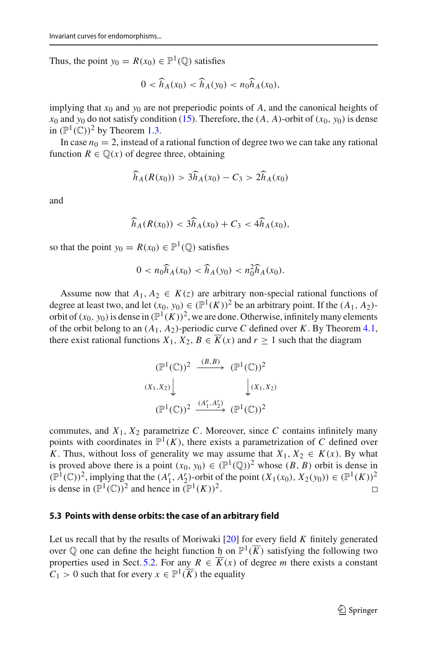Thus, the point  $y_0 = R(x_0) \in \mathbb{P}^1(\mathbb{O})$  satisfies

$$
0 < \widehat{h}_A(x_0) < \widehat{h}_A(y_0) < n_0 \widehat{h}_A(x_0),
$$

implying that  $x_0$  and  $y_0$  are not preperiodic points of *A*, and the canonical heights of  $x_0$  and  $y_0$  do not satisfy condition [\(15\)](#page-5-3). Therefore, the  $(A, A)$ -orbit of  $(x_0, y_0)$  is dense in  $(\mathbb{P}^1(\mathbb{C}))^2$  by Theorem [1.3.](#page-5-0)

In case  $n_0 = 2$ , instead of a rational function of degree two we can take any rational function  $R \in \mathbb{Q}(x)$  of degree three, obtaining

$$
\widehat{h}_A(R(x_0)) > 3\widehat{h}_A(x_0) - C_3 > 2\widehat{h}_A(x_0)
$$

and

$$
\widehat{h}_A(R(x_0)) < 3\widehat{h}_A(x_0) + C_3 < 4\widehat{h}_A(x_0),
$$

so that the point  $y_0 = R(x_0) \in \mathbb{P}^1(\mathbb{Q})$  satisfies

$$
0 < n_0 \widehat{h}_A(x_0) < \widehat{h}_A(y_0) < n_0^2 \widehat{h}_A(x_0).
$$

Assume now that  $A_1, A_2 \in K(z)$  are arbitrary non-special rational functions of degree at least two, and let  $(x_0, y_0) \in (\mathbb{P}^1(K))^2$  be an arbitrary point. If the  $(A_1, A_2)$ orbit of  $(x_0, y_0)$  is dense in  $(\mathbb{P}^1(K))^2$ , we are done. Otherwise, infinitely many elements of the orbit belong to an  $(A_1, A_2)$ -periodic curve *C* defined over *K*. By Theorem [4.1,](#page-16-1) there exist rational functions  $X_1, X_2, B \in \overline{K}(x)$  and  $r \ge 1$  such that the diagram

$$
(\mathbb{P}^1(\mathbb{C}))^2 \xrightarrow{(B,B)} (\mathbb{P}^1(\mathbb{C}))^2
$$
  

$$
(X_1, X_2) \downarrow \qquad \qquad (\mathbb{P}^1(X_1, X_2))
$$
  

$$
(\mathbb{P}^1(\mathbb{C}))^2 \xrightarrow{(A_1^r, A_2^r)} (\mathbb{P}^1(\mathbb{C}))^2
$$

commutes, and  $X_1, X_2$  parametrize *C*. Moreover, since *C* contains infinitely many points with coordinates in  $\mathbb{P}^1(K)$ , there exists a parametrization of *C* defined over *K*. Thus, without loss of generality we may assume that  $X_1, X_2 \in K(x)$ . By what is proved above there is a point  $(x_0, y_0) \in (\mathbb{P}^1(\mathbb{Q}))^2$  whose  $(B, B)$  orbit is dense in  $(\mathbb{P}^1(\mathbb{C}))^2$ , implying that the  $(A_1^r, A_2^r)$ -orbit of the point  $(X_1(x_0), X_2(y_0)) \in (\mathbb{P}^1(K))^2$ is dense in  $(\mathbb{P}^1(\mathbb{C}))^2$  and hence in  $(\mathbb{P}^1(K))^2$ .

#### **5.3 Points with dense orbits: the case of an arbitrary field**

Let us recall that by the results of Moriwaki [\[20](#page-47-26)] for every field *K* finitely generated over  $\mathbb Q$  one can define the height function h on  $\mathbb P^1(\overline{K})$  satisfying the following two properties used in Sect. [5.2.](#page-29-1) For any  $R \in \overline{K}(x)$  of degree *m* there exists a constant  $C_1 > 0$  such that for every  $x \in \mathbb{P}^1(\overline{K})$  the equality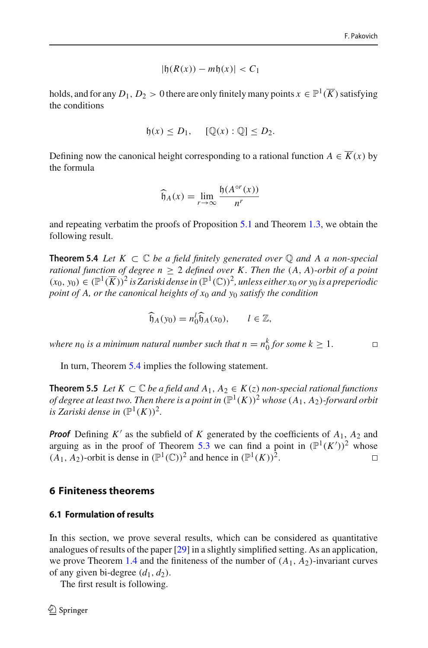$$
|\mathfrak{h}(R(x)) - m\mathfrak{h}(x)| < C_1
$$

holds, and for any  $D_1, D_2 > 0$  there are only finitely many points  $x \in \mathbb{P}^1(\overline{K})$  satisfying the conditions

$$
\mathfrak{h}(x) \leq D_1, \quad [\mathbb{Q}(x) : \mathbb{Q}] \leq D_2.
$$

Defining now the canonical height corresponding to a rational function  $A \in \overline{K}(x)$  by the formula

$$
\widehat{\mathfrak{h}}_A(x) = \lim_{r \to \infty} \frac{\mathfrak{h}(A^{\circ r}(x))}{n^r}
$$

<span id="page-33-0"></span>and repeating verbatim the proofs of Proposition [5.1](#page-28-3) and Theorem [1.3,](#page-5-0) we obtain the following result.

**Theorem 5.4** *Let*  $K \subset \mathbb{C}$  *be a field finitely generated over*  $\mathbb{Q}$  *and* A *a non-special rational function of degree n*  $\geq$  2 *defined over K. Then the*  $(A, A)$ *-orbit of a point*  $(x_0, y_0)$  ∈  $(\mathbb{P}^1(\overline{K}))^2$  *is Zariski dense in*  $(\mathbb{P}^1(\mathbb{C}))^2$ *, unless either*  $x_0$  *or*  $y_0$  *is a preperiodic point of A, or the canonical heights of x*<sup>0</sup> *and y*<sup>0</sup> *satisfy the condition*

$$
\widehat{\mathfrak{h}}_A(y_0) = n_0^l \widehat{\mathfrak{h}}_A(x_0), \qquad l \in \mathbb{Z},
$$

*where n*<sub>0</sub> *is a minimum natural number such that n* =  $n_0^k$  *for some k*  $\geq 1$ *.*  $\Box$ 

<span id="page-33-1"></span>In turn, Theorem [5.4](#page-33-0) implies the following statement.

**Theorem 5.5** *Let*  $K ⊂ \mathbb{C}$  *be a field and*  $A_1, A_2 ∈ K(z)$  *non-special rational functions of degree at least two. Then there is a point in*  $(\mathbb{P}^1(K))^2$  *whose*  $(A_1, A_2)$ *-forward orbit is Zariski dense in*  $(\mathbb{P}^1(K))^2$ .

*Proof* Defining  $K'$  as the subfield of K generated by the coefficients of  $A_1$ ,  $A_2$  and arguing as in the proof of Theorem [5.3](#page-31-0) we can find a point in  $(\mathbb{P}^1(K'))^2$  whose  $(A_1, A_2)$ -orbit is dense in  $(\mathbb{P}^1(\mathbb{C}))^2$  and hence in  $(\mathbb{P}^1(K))^2$ .

#### **6 Finiteness theorems**

## **6.1 Formulation of results**

In this section, we prove several results, which can be considered as quantitative analogues of results of the paper [\[29\]](#page-47-19) in a slightly simplified setting. As an application, we prove Theorem [1.4](#page-5-2) and the finiteness of the number of  $(A_1, A_2)$ -invariant curves of any given bi-degree  $(d_1, d_2)$ .

<span id="page-33-2"></span>The first result is following.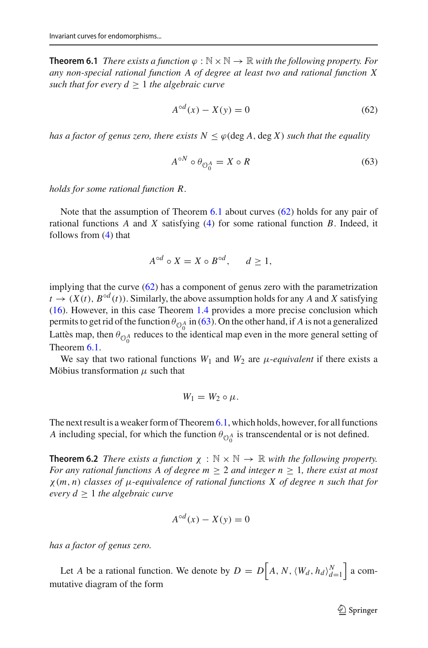**Theorem 6.1** *There exists a function*  $\varphi : \mathbb{N} \times \mathbb{N} \to \mathbb{R}$  *with the following property. For any non-special rational function A of degree at least two and rational function X such that for every*  $d \geq 1$  *the algebraic curve* 

<span id="page-34-0"></span>
$$
A^{\circ d}(x) - X(y) = 0 \tag{62}
$$

*has a factor of genus zero, there exists*  $N \leq \varphi$  (deg A, deg X) *such that the equality* 

<span id="page-34-1"></span>
$$
A^{\circ N} \circ \theta_{\mathcal{O}_0^A} = X \circ R \tag{63}
$$

*holds for some rational function R*.

Note that the assumption of Theorem [6.1](#page-33-2) about curves [\(62\)](#page-34-0) holds for any pair of rational functions *A* and *X* satisfying [\(4\)](#page-1-2) for some rational function *B*. Indeed, it follows from [\(4\)](#page-1-2) that

$$
A^{\circ d} \circ X = X \circ B^{\circ d}, \quad d \ge 1,
$$

implying that the curve [\(62\)](#page-34-0) has a component of genus zero with the parametrization  $t \to (X(t), B^{\circ d}(t))$ . Similarly, the above assumption holds for any *A* and *X* satisfying [\(16\)](#page-5-1). However, in this case Theorem [1.4](#page-5-2) provides a more precise conclusion which permits to get rid of the function  $\theta_{\mathcal{O}_0^A}$  in [\(63\)](#page-34-1). On the other hand, if *A* is not a generalized Lattès map, then  $\theta_{\Theta_0^A}$  reduces to the identical map even in the more general setting of Theorem [6.1.](#page-33-2)

We say that two rational functions  $W_1$  and  $W_2$  are  $\mu$ -equivalent if there exists a Möbius transformation  $\mu$  such that

$$
W_1 = W_2 \circ \mu.
$$

<span id="page-34-2"></span>The next result is a weaker form of Theorem  $6.1$ , which holds, however, for all functions *A* including special, for which the function  $\theta_{\mathcal{O}_0^A}$  is transcendental or is not defined.

**Theorem 6.2** *There exists a function*  $\chi : \mathbb{N} \times \mathbb{N} \to \mathbb{R}$  *with the following property. For any rational functions A of degree m*  $\geq$  2 *and integer n*  $\geq$  1*, there exist at most* χ (*m*, *n*) *classes of* μ*-equivalence of rational functions X of degree n such that for every*  $d \geq 1$  *the algebraic curve* 

$$
A^{\circ d}(x) - X(y) = 0
$$

*has a factor of genus zero.*

Let *A* be a rational function. We denote by  $D = D[A, N, \langle W_d, h_d \rangle_{d=1}^N$  a commutative diagram of the form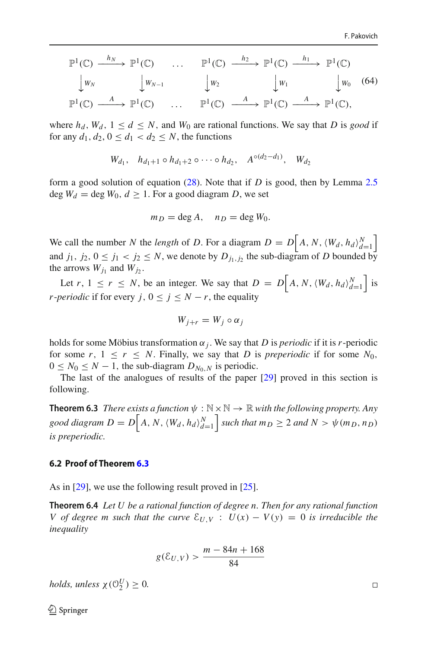<span id="page-35-1"></span>
$$
\mathbb{P}^{1}(\mathbb{C}) \xrightarrow{h_{N}} \mathbb{P}^{1}(\mathbb{C}) \cdots \mathbb{P}^{1}(\mathbb{C}) \xrightarrow{h_{2}} \mathbb{P}^{1}(\mathbb{C}) \xrightarrow{h_{1}} \mathbb{P}^{1}(\mathbb{C})
$$
  
\n
$$
\downarrow w_{N}
$$
\n
$$
\downarrow w_{N-1}
$$
\n
$$
\downarrow w_{2}
$$
\n
$$
\downarrow w_{1}
$$
\n
$$
\downarrow w_{1}
$$
\n
$$
\downarrow w_{0}
$$
\n
$$
W_{1}
$$
\n
$$
\downarrow w_{0}
$$
\n
$$
W_{0}
$$
\n
$$
(\mathbf{64})
$$
  
\n
$$
\mathbb{P}^{1}(\mathbb{C}) \xrightarrow{A} \mathbb{P}^{1}(\mathbb{C}) \xrightarrow{A} \mathbb{P}^{1}(\mathbb{C}) \xrightarrow{A} \mathbb{P}^{1}(\mathbb{C}),
$$

where  $h_d$ ,  $W_d$ ,  $1 \leq d \leq N$ , and  $W_0$  are rational functions. We say that *D* is *good* if for any  $d_1, d_2, 0 \leq d_1 < d_2 \leq N$ , the functions

$$
W_{d_1}
$$
,  $h_{d_1+1} \circ h_{d_1+2} \circ \cdots \circ h_{d_2}$ ,  $A^{\circ(d_2-d_1)}$ ,  $W_{d_2}$ 

form a good solution of equation [\(28\)](#page-9-0). Note that if *D* is good, then by Lemma [2.5](#page-10-0)  $\deg W_d = \deg W_0, d \geq 1$ . For a good diagram *D*, we set

$$
m_D = \deg A, \quad n_D = \deg W_0.
$$

We call the number *N* the *length* of *D*. For a diagram  $D = D \left[ A, N, \langle W_d, h_d \rangle \right]_{d=1}^N$  $\overline{\phantom{a}}$ and  $j_1, j_2, 0 \le j_1 < j_2 \le N$ , we denote by  $D_{j_1, j_2}$  the sub-diagram of *D* bounded by the arrows  $W_{j_1}$  and  $W_{j_2}$ .

Let *r*,  $1 \le r \le N$ , be an integer. We say that  $D = D \Big[ A, N, \langle W_d, h_d \rangle_{d=1}^N$  is *r*-*periodic* if for every *j*,  $0 \le j \le N - r$ , the equality

$$
W_{j+r}=W_j\circ\alpha_j
$$

holds for some Möbius transformation  $\alpha_j$ . We say that *D* is *periodic* if it is *r*-periodic for some  $r, 1 \leq r \leq N$ . Finally, we say that *D* is *preperiodic* if for some  $N_0$ ,  $0 \leq N_0 \leq N-1$ , the sub-diagram  $D_{N_0,N}$  is periodic.

<span id="page-35-0"></span>The last of the analogues of results of the paper [\[29\]](#page-47-19) proved in this section is following.

**Theorem 6.3** *There exists a function*  $\psi : \mathbb{N} \times \mathbb{N} \to \mathbb{R}$  *with the following property. Any*  $\gcd \, diagram \, D = D \Big[ A, N, \langle W_d, h_d \rangle_{d=1}^N \Big]$  $\int$  *such that*  $m_D \geq 2$  *and*  $N > \psi(m_D, n_D)$ *is preperiodic.*

#### **6.2 Proof of Theorem [6.3](#page-35-0)**

<span id="page-35-2"></span>As in [\[29\]](#page-47-19), we use the following result proved in [\[25\]](#page-47-27).

**Theorem 6.4** *Let U be a rational function of degree n. Then for any rational function V* of degree *m* such that the curve  $\mathcal{E}_{U,V}$  :  $U(x) - V(y) = 0$  is irreducible the *inequality*

$$
g(\mathcal{E}_{U,V}) > \frac{m - 84n + 168}{84}
$$

*holds, unless*  $\chi$  ( $\mathcal{O}_2^U$ )  $\geq$  0*.* 

 $\Box$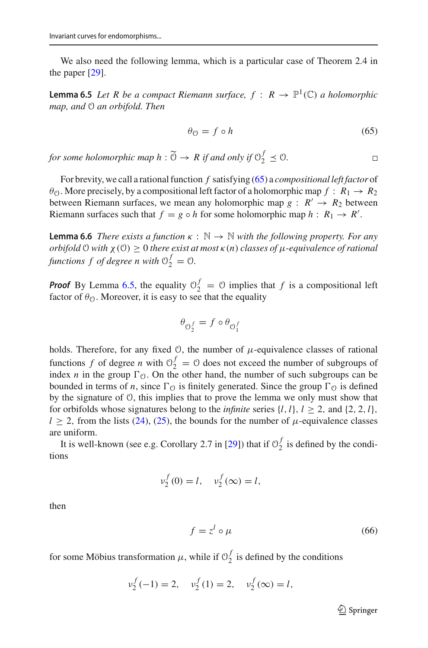<span id="page-36-1"></span>We also need the following lemma, which is a particular case of Theorem 2.4 in the paper [\[29](#page-47-19)].

**Lemma 6.5** *Let R be a compact Riemann surface,*  $f : R \to \mathbb{P}^1(\mathbb{C})$  *a holomorphic map, and* O *an orbifold. Then*

<span id="page-36-0"></span>
$$
\theta_{\mathcal{O}} = f \circ h \tag{65}
$$

 $\Box$ 

*for some holomorphic map*  $h : \widetilde{\Theta} \to R$  *if and only if*  $\Theta_2^f \preceq \Theta$ *.* 

For brevity, we call a rational function *f* satisfying [\(65\)](#page-36-0) a *compositional left factor* of  $\theta_{\mathcal{O}}$ . More precisely, by a compositional left factor of a holomorphic map  $f : R_1 \to R_2$ between Riemann surfaces, we mean any holomorphic map  $g : R' \rightarrow R_2$  between Riemann surfaces such that  $f = g \circ h$  for some holomorphic map  $h : R_1 \to R'$ .

<span id="page-36-2"></span>**Lemma 6.6** *There exists a function*  $\kappa : \mathbb{N} \to \mathbb{N}$  *with the following property. For any orbifold*  $\theta$  *with*  $\chi(\theta) \geq 0$  *there exist at most*  $\kappa(n)$  *classes of*  $\mu$ *-equivalence of rational functions f of degree n with*  $\mathcal{O}_2^f = \mathcal{O}$ .

**Proof** By Lemma [6.5,](#page-36-1) the equality  $\mathcal{O}_2^f = \mathcal{O}$  implies that *f* is a compositional left factor of  $\theta_{\mathcal{O}}$ . Moreover, it is easy to see that the equality

$$
\theta_{\mathcal{O}_2^f}=f\circ\theta_{\mathcal{O}_1^f}
$$

holds. Therefore, for any fixed  $\theta$ , the number of  $\mu$ -equivalence classes of rational functions *f* of degree *n* with  $0_2^f = 0$  does not exceed the number of subgroups of index *n* in the group  $\Gamma_0$ . On the other hand, the number of such subgroups can be bounded in terms of *n*, since  $\Gamma_{\odot}$  is finitely generated. Since the group  $\Gamma_{\odot}$  is defined by the signature of O, this implies that to prove the lemma we only must show that for orbifolds whose signatures belong to the *infinite* series  $\{l, l\}$ ,  $l \geq 2$ , and  $\{2, 2, l\}$ ,  $l \geq 2$ , from the lists [\(24\)](#page-8-2), [\(25\)](#page-8-3), the bounds for the number of  $\mu$ -equivalence classes are uniform.

It is well-known (see e.g. Corollary 2.7 in [\[29](#page-47-19)]) that if  $\mathcal{O}_2^f$  is defined by the conditions

$$
v_2^f(0) = l, v_2^f(\infty) = l,
$$

then

<span id="page-36-3"></span>
$$
f = z^l \circ \mu \tag{66}
$$

for some Möbius transformation  $\mu$ , while if  $\mathcal{O}_2^f$  is defined by the conditions

$$
v_2^f(-1) = 2
$$
,  $v_2^f(1) = 2$ ,  $v_2^f(\infty) = l$ ,

 $\mathcal{D}$  Springer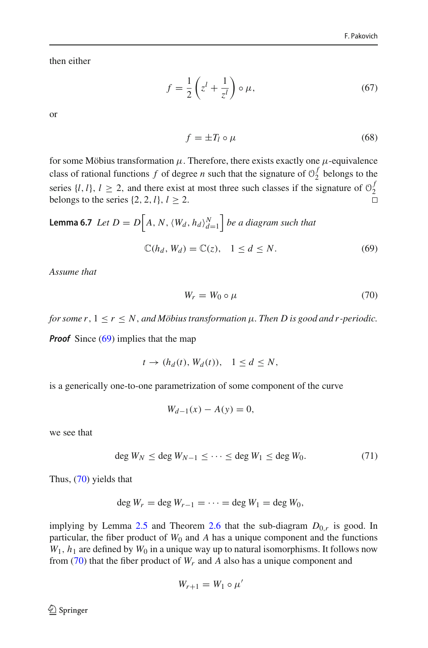then either

<span id="page-37-3"></span>
$$
f = \frac{1}{2} \left( z^l + \frac{1}{z^l} \right) \circ \mu, \tag{67}
$$

or

<span id="page-37-4"></span>
$$
f = \pm T_l \circ \mu \tag{68}
$$

for some Möbius transformation  $\mu$ . Therefore, there exists exactly one  $\mu$ -equivalence class of rational functions *f* of degree *n* such that the signature of  $\mathcal{O}_2^f$  belongs to the series  $\{l, l\}$ ,  $l \ge 2$ , and there exist at most three such classes if the signature of  $\mathcal{O}_2^f$ belongs to the series  $\{2, 2, l\}, l \geq 2$ .

<span id="page-37-2"></span>**Lemma 6.7** Let 
$$
D = D[A, N, \langle W_d, h_d \rangle_{d=1}^N]
$$
 be a diagram such that  

$$
\mathbb{C}(h_d, W_d) = \mathbb{C}(z), \quad 1 \le d \le N.
$$
 (69)

*Assume that*

<span id="page-37-1"></span><span id="page-37-0"></span>
$$
W_r = W_0 \circ \mu \tag{70}
$$

*for some r*,  $1 \le r \le N$ , *and Möbius transformation*  $\mu$ . *Then D is good and r-periodic.* 

*Proof* Since [\(69\)](#page-37-0) implies that the map

$$
t \to (h_d(t), W_d(t)), \quad 1 \le d \le N,
$$

is a generically one-to-one parametrization of some component of the curve

$$
W_{d-1}(x) - A(y) = 0,
$$

we see that

<span id="page-37-5"></span>
$$
\deg W_N \le \deg W_{N-1} \le \cdots \le \deg W_1 \le \deg W_0. \tag{71}
$$

Thus, [\(70\)](#page-37-1) yields that

$$
\deg W_r = \deg W_{r-1} = \cdots = \deg W_1 = \deg W_0,
$$

implying by Lemma [2.5](#page-10-0) and Theorem [2.6](#page-10-1) that the sub-diagram  $D_{0,r}$  is good. In particular, the fiber product of  $W_0$  and  $A$  has a unique component and the functions  $W_1$ ,  $h_1$  are defined by  $W_0$  in a unique way up to natural isomorphisms. It follows now from  $(70)$  that the fiber product of  $W_r$  and A also has a unique component and

$$
W_{r+1}=W_1\circ\mu'
$$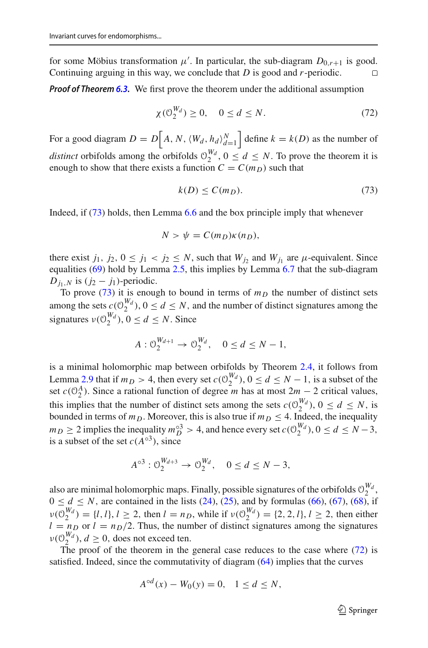for some Möbius transformation  $\mu'$ . In particular, the sub-diagram  $D_{0,r+1}$  is good. Continuing arguing in this way, we conclude that *D* is good and *r*-periodic.

*Proof of Theorem [6.3.](#page-35-0)* We first prove the theorem under the additional assumption

<span id="page-38-1"></span>
$$
\chi(\mathcal{O}_2^{W_d}) \ge 0, \quad 0 \le d \le N. \tag{72}
$$

For a good diagram  $D = D\left[A, N, \langle W_d, h_d \rangle_{d=1}^N\right]$ define  $k = k(D)$  as the number of *distinct* orbifolds among the orbifolds  $0_2^{W_d}$ ,  $0 \le d \le N$ . To prove the theorem it is enough to show that there exists a function  $C = C(m_D)$  such that

<span id="page-38-0"></span>
$$
k(D) \le C(m_D). \tag{73}
$$

Indeed, if  $(73)$  holds, then Lemma [6.6](#page-36-2) and the box principle imply that whenever

$$
N > \psi = C(m_D) \kappa(n_D),
$$

there exist  $j_1$ ,  $j_2$ ,  $0 \le j_1 < j_2 \le N$ , such that  $W_{j_2}$  and  $W_{j_1}$  are  $\mu$ -equivalent. Since equalities [\(69\)](#page-37-0) hold by Lemma [2.5,](#page-10-0) this implies by Lemma [6.7](#page-37-2) that the sub-diagram *D*<sub>*i*1</sub>,*N* is ( $j_2 - j_1$ )-periodic.

To prove [\(73\)](#page-38-0) it is enough to bound in terms of  $m<sub>D</sub>$  the number of distinct sets among the sets  $c(\theta_2^{W_d})$ ,  $0 \le d \le N$ , and the number of distinct signatures among the signatures  $v(\theta_2^{W_d})$ ,  $0 \le d \le N$ . Since

$$
A: \mathcal{O}_2^{W_{d+1}} \to \mathcal{O}_2^{W_d}, \quad 0 \le d \le N - 1,
$$

is a minimal holomorphic map between orbifolds by Theorem [2.4,](#page-10-2) it follows from Lemma [2.9](#page-12-1) that if  $m_D > 4$ , then every set  $c(\theta_2^{W_d})$ ,  $0 \le d \le N - 1$ , is a subset of the set  $c(\mathcal{O}_2^A)$ . Since a rational function of degree *m* has at most  $2m - 2$  critical values, this implies that the number of distinct sets among the sets  $c(\mathcal{O}_2^{W_d})$ ,  $0 \le d \le N$ , is bounded in terms of  $m_D$ . Moreover, this is also true if  $m_D \leq 4$ . Indeed, the inequality  $m_D \geq 2$  implies the inequality  $m_D^{0.3} > 4$ , and hence every set  $c(\mathcal{O}_2^{W_d})$ ,  $0 \leq d \leq N-3$ , is a subset of the set  $c(A^{\circ 3})$ , since

$$
A^{\circ 3}: \mathcal{O}_2^{W_{d+3}} \to \mathcal{O}_2^{W_d}, \quad 0 \le d \le N-3,
$$

also are minimal holomorphic maps. Finally, possible signatures of the orbifolds  $\mathcal{O}_2^{W_d}$ ,  $0 \le d \le N$ , are contained in the lists [\(24\)](#page-8-2), [\(25\)](#page-8-3), and by formulas [\(66\)](#page-36-3), [\(67\)](#page-37-3), [\(68\)](#page-37-4), if  $\nu(\mathcal{O}_2^{W_d}) = \{l, l\}, l \ge 2$ , then  $l = n_D$ , while if  $\nu(\mathcal{O}_2^{W_d}) = \{2, 2, l\}, l \ge 2$ , then either  $l = n_D$  or  $l = n_D/2$ . Thus, the number of distinct signatures among the signatures  $v(\mathcal{O}_2^{W_d})$ ,  $d \geq 0$ , does not exceed ten.

The proof of the theorem in the general case reduces to the case where [\(72\)](#page-38-1) is satisfied. Indeed, since the commutativity of diagram [\(64\)](#page-35-1) implies that the curves

$$
A^{\circ d}(x) - W_0(y) = 0, \quad 1 \le d \le N,
$$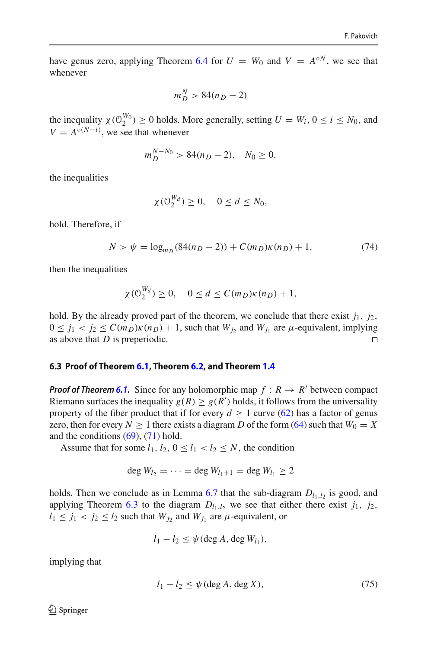have genus zero, applying Theorem [6.4](#page-35-2) for  $U = W_0$  and  $V = A^{\circ N}$ , we see that whenever

$$
m_D^N > 84(n_D - 2)
$$

the inequality  $\chi(\mathcal{O}_2^{W_0}) \ge 0$  holds. More generally, setting  $U = W_i$ ,  $0 \le i \le N_0$ , and  $V = A^{\circ (N-i)}$ , we see that whenever

$$
m_D^{N-N_0} > 84(n_D - 2), \quad N_0 \ge 0,
$$

the inequalities

$$
\chi(\mathcal{O}_2^{W_d}) \ge 0, \quad 0 \le d \le N_0,
$$

hold. Therefore, if

<span id="page-39-0"></span>
$$
N > \psi = \log_{m_D}(84(n_D - 2)) + C(m_D)\kappa(n_D) + 1,\tag{74}
$$

then the inequalities

$$
\chi(\mathcal{O}_2^{W_d}) \ge 0, \quad 0 \le d \le C(m_D)\kappa(n_D) + 1,
$$

hold. By the already proved part of the theorem, we conclude that there exist  $j_1$ ,  $j_2$ ,  $0 \le j_1 < j_2 \le C(m_D)\kappa(n_D) + 1$ , such that  $W_{j_2}$  and  $W_{j_1}$  are  $\mu$ -equivalent, implying as above that *D* is preperiodic as above that *D* is preperiodic.

#### **6.3 Proof of Theorem [6.1,](#page-33-2) Theorem [6.2,](#page-34-2) and Theorem [1.4](#page-5-2)**

*Proof of Theorem [6.1.](#page-33-2)* Since for any holomorphic map  $f : R \to R'$  between compact Riemann surfaces the inequality  $g(R) \ge g(R')$  holds, it follows from the universality property of the fiber product that if for every  $d \ge 1$  curve [\(62\)](#page-34-0) has a factor of genus zero, then for every  $N \ge 1$  there exists a diagram *D* of the form [\(64\)](#page-35-1) such that  $W_0 = X$ and the conditions  $(69)$ ,  $(71)$  hold.

Assume that for some  $l_1$ ,  $l_2$ ,  $0 \le l_1 < l_2 \le N$ , the condition

$$
\deg W_{l_2}=\cdots=\deg W_{l_1+1}=\deg W_{l_1}\geq 2
$$

holds. Then we conclude as in Lemma [6.7](#page-37-2) that the sub-diagram  $D_{l_1,l_2}$  is good, and applying Theorem [6.3](#page-35-0) to the diagram  $D_{l_1,l_2}$  we see that either there exist  $j_1$ ,  $j_2$ ,  $l_1 \le j_1 < j_2 \le l_2$  such that  $W_{j_2}$  and  $W_{j_1}$  are  $\mu$ -equivalent, or

$$
l_1-l_2\leq \psi(\deg A,\deg W_{l_1}),
$$

implying that

<span id="page-39-1"></span>
$$
l_1 - l_2 \le \psi(\deg A, \deg X),\tag{75}
$$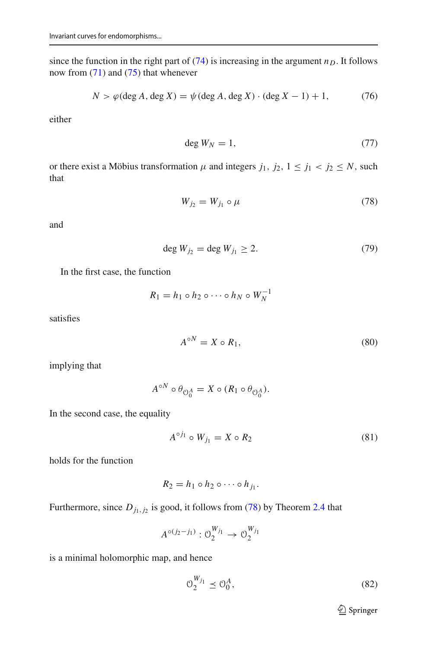since the function in the right part of  $(74)$  is increasing in the argument  $n<sub>D</sub>$ . It follows now from [\(71\)](#page-37-5) and [\(75\)](#page-39-1) that whenever

<span id="page-40-2"></span>
$$
N > \varphi(\deg A, \deg X) = \psi(\deg A, \deg X) \cdot (\deg X - 1) + 1,\tag{76}
$$

either

<span id="page-40-3"></span>
$$
\deg W_N = 1,\tag{77}
$$

or there exist a Möbius transformation  $\mu$  and integers  $j_1$ ,  $j_2$ ,  $1 \le j_1 < j_2 \le N$ , such that

<span id="page-40-0"></span>
$$
W_{j_2} = W_{j_1} \circ \mu \tag{78}
$$

and

<span id="page-40-6"></span>
$$
\deg W_{j_2} = \deg W_{j_1} \ge 2. \tag{79}
$$

In the first case, the function

$$
R_1 = h_1 \circ h_2 \circ \cdots \circ h_N \circ W_N^{-1}
$$

satisfies

<span id="page-40-4"></span>
$$
A^{\circ N} = X \circ R_1,\tag{80}
$$

implying that

$$
A^{\circ N} \circ \theta_{\mathcal{O}_0^A} = X \circ (R_1 \circ \theta_{\mathcal{O}_0^A}).
$$

In the second case, the equality

<span id="page-40-1"></span>
$$
A^{\circ j_1} \circ W_{j_1} = X \circ R_2 \tag{81}
$$

holds for the function

$$
R_2=h_1\circ h_2\circ\cdots\circ h_{j_1}.
$$

Furthermore, since  $D_{j_1,j_2}$  is good, it follows from [\(78\)](#page-40-0) by Theorem [2.4](#page-10-2) that

$$
A^{\circ (j_2 - j_1)} : \mathcal{O}_2^{W_{j_1}} \to \mathcal{O}_2^{W_{j_1}}
$$

is a minimal holomorphic map, and hence

<span id="page-40-5"></span>
$$
\mathcal{O}_2^{W_{j_1}} \le \mathcal{O}_0^A,\tag{82}
$$

<sup>2</sup> Springer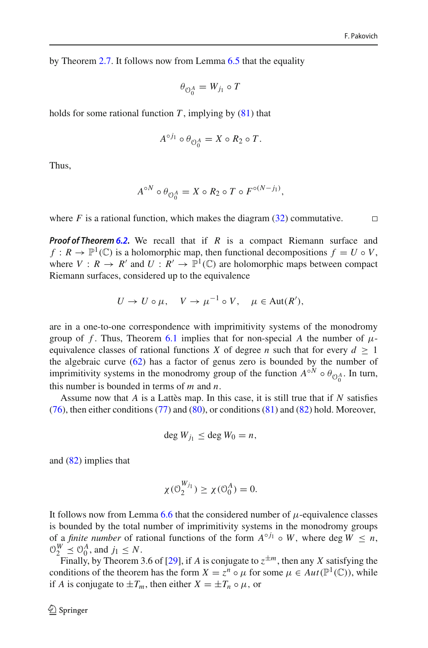$\Box$ 

by Theorem [2.7.](#page-11-2) It follows now from Lemma [6.5](#page-36-1) that the equality

$$
\theta_{\mathcal{O}_0^A}=W_{j_1}\circ T
$$

holds for some rational function  $T$ , implying by  $(81)$  that

$$
A^{\circ j_1} \circ \theta_{\mathcal{O}_0^A} = X \circ R_2 \circ T.
$$

Thus,

$$
A^{\circ N} \circ \theta_{\mathcal{O}_0^A} = X \circ R_2 \circ T \circ F^{\circ (N-j_1)},
$$

where  $F$  is a rational function, which makes the diagram  $(32)$  commutative.

*Proof of Theorem [6.2.](#page-34-2)* We recall that if *R* is a compact Riemann surface and  $f: R \to \mathbb{P}^1(\mathbb{C})$  is a holomorphic map, then functional decompositions  $f = U \circ V$ , where  $V: R \to R'$  and  $U: R' \to \mathbb{P}^1(\mathbb{C})$  are holomorphic maps between compact Riemann surfaces, considered up to the equivalence

$$
U \to U \circ \mu, \quad V \to \mu^{-1} \circ V, \quad \mu \in \text{Aut}(R'),
$$

are in a one-to-one correspondence with imprimitivity systems of the monodromy group of *f*. Thus, Theorem [6.1](#page-33-2) implies that for non-special *A* the number of  $\mu$ equivalence classes of rational functions *X* of degree *n* such that for every  $d > 1$ the algebraic curve  $(62)$  has a factor of genus zero is bounded by the number of imprimitivity systems in the monodromy group of the function  $A^{\circ N} \circ \theta_{\mathcal{O}_0^A}$ . In turn, this number is bounded in terms of *m* and *n*.

Assume now that *A* is a Lattès map. In this case, it is still true that if *N* satisfies [\(76\)](#page-40-2), then either conditions [\(77\)](#page-40-3) and [\(80\)](#page-40-4), or conditions [\(81\)](#page-40-1) and [\(82\)](#page-40-5) hold. Moreover,

$$
\deg W_{j_1} \leq \deg W_0 = n,
$$

and [\(82\)](#page-40-5) implies that

$$
\chi(\mathcal{O}_2^{W_{j_1}}) \ge \chi(\mathcal{O}_0^A) = 0.
$$

It follows now from Lemma [6.6](#page-36-2) that the considered number of  $\mu$ -equivalence classes is bounded by the total number of imprimitivity systems in the monodromy groups of a *finite number* of rational functions of the form  $A^{\circ j_1} \circ W$ , where deg  $W \le n$ ,  $\mathcal{O}_2^W \preceq \mathcal{O}_0^A$ , and  $j_1 \leq N$ .

Finally, by Theorem 3.6 of [\[29\]](#page-47-19), if *A* is conjugate to  $z^{\pm m}$ , then any *X* satisfying the conditions of the theorem has the form  $X = z^n \circ \mu$  for some  $\mu \in Aut(\mathbb{P}^1(\mathbb{C}))$ , while if *A* is conjugate to  $\pm T_m$ , then either  $X = \pm T_n \circ \mu$ , or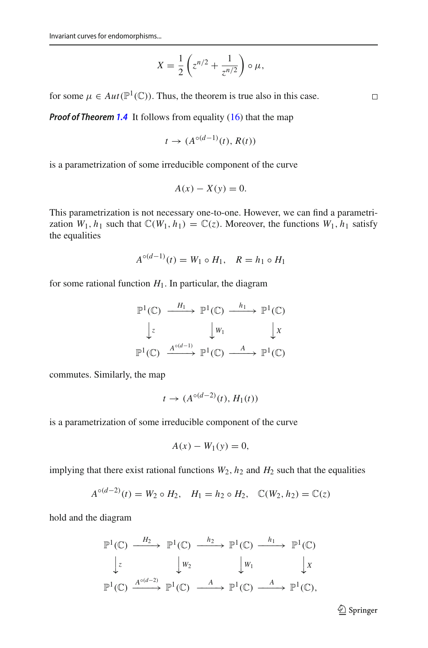$$
X = \frac{1}{2} \left( z^{n/2} + \frac{1}{z^{n/2}} \right) \circ \mu,
$$

for some  $\mu \in Aut(\mathbb{P}^1(\mathbb{C}))$ . Thus, the theorem is true also in this case.

*Proof of Theorem* **[1.4](#page-5-2)** It follows from equality [\(16\)](#page-5-1) that the map

$$
t \to (A^{\circ (d-1)}(t), R(t))
$$

is a parametrization of some irreducible component of the curve

$$
A(x) - X(y) = 0.
$$

This parametrization is not necessary one-to-one. However, we can find a parametrization  $W_1, h_1$  such that  $\mathbb{C}(W_1, h_1) = \mathbb{C}(z)$ . Moreover, the functions  $W_1, h_1$  satisfy the equalities

$$
A^{\circ(d-1)}(t) = W_1 \circ H_1, \quad R = h_1 \circ H_1
$$

for some rational function  $H_1$ . In particular, the diagram

$$
\mathbb{P}^1(\mathbb{C}) \xrightarrow{H_1} \mathbb{P}^1(\mathbb{C}) \xrightarrow{h_1} \mathbb{P}^1(\mathbb{C})
$$
  

$$
\downarrow z \qquad \qquad \downarrow w_1 \qquad \qquad \downarrow x
$$
  

$$
\mathbb{P}^1(\mathbb{C}) \xrightarrow{A^{\circ(d-1)}} \mathbb{P}^1(\mathbb{C}) \xrightarrow{A} \mathbb{P}^1(\mathbb{C})
$$

commutes. Similarly, the map

$$
t \to (A^{\circ (d-2)}(t), H_1(t))
$$

is a parametrization of some irreducible component of the curve

$$
A(x) - W_1(y) = 0,
$$

implying that there exist rational functions  $W_2$ ,  $h_2$  and  $H_2$  such that the equalities

$$
A^{\circ(d-2)}(t) = W_2 \circ H_2, \quad H_1 = h_2 \circ H_2, \quad \mathbb{C}(W_2, h_2) = \mathbb{C}(z)
$$

hold and the diagram

$$
\mathbb{P}^{1}(\mathbb{C}) \xrightarrow{H_{2}} \mathbb{P}^{1}(\mathbb{C}) \xrightarrow{h_{2}} \mathbb{P}^{1}(\mathbb{C}) \xrightarrow{h_{1}} \mathbb{P}^{1}(\mathbb{C})
$$
  

$$
\downarrow z \qquad \qquad \downarrow w_{2} \qquad \qquad \downarrow w_{1} \qquad \qquad \downarrow x
$$
  

$$
\mathbb{P}^{1}(\mathbb{C}) \xrightarrow{A^{\circ(d-2)}} \mathbb{P}^{1}(\mathbb{C}) \xrightarrow{A} \mathbb{P}^{1}(\mathbb{C}) \xrightarrow{A} \mathbb{P}^{1}(\mathbb{C}),
$$

<sup>2</sup> Springer

 $\Box$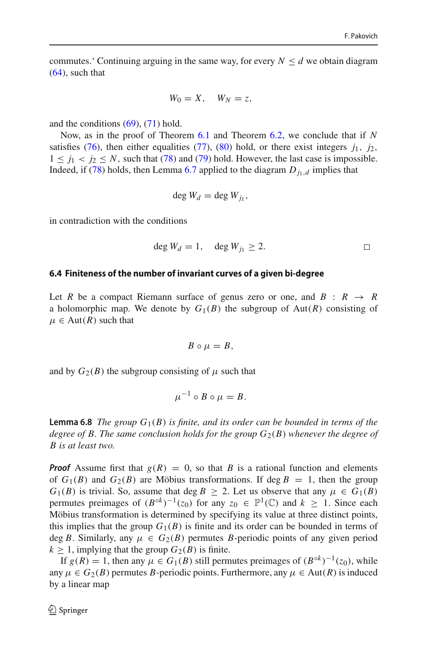commutes.' Continuing arguing in the same way, for every  $N \le d$  we obtain diagram [\(64\)](#page-35-1), such that

$$
W_0=X, \quad W_N=z,
$$

and the conditions  $(69)$ ,  $(71)$  hold.

Now, as in the proof of Theorem [6.1](#page-33-2) and Theorem [6.2,](#page-34-2) we conclude that if *N* satisfies [\(76\)](#page-40-2), then either equalities [\(77\)](#page-40-3), [\(80\)](#page-40-4) hold, or there exist integers  $j_1$ ,  $j_2$ ,  $1 \le j_1 < j_2 \le N$ , such that [\(78\)](#page-40-0) and [\(79\)](#page-40-6) hold. However, the last case is impossible. Indeed, if [\(78\)](#page-40-0) holds, then Lemma [6.7](#page-37-2) applied to the diagram  $D_{i_1,d}$  implies that

$$
\deg W_d = \deg W_{j_1},
$$

in contradiction with the conditions

$$
\deg W_d = 1, \quad \deg W_{j_1} \ge 2. \Box
$$

#### **6.4 Finiteness of the number of invariant curves of a given bi-degree**

Let *R* be a compact Riemann surface of genus zero or one, and  $B : R \rightarrow R$ a holomorphic map. We denote by  $G_1(B)$  the subgroup of  $Aut(R)$  consisting of  $\mu \in Aut(R)$  such that

$$
B\circ \mu=B,
$$

and by  $G_2(B)$  the subgroup consisting of  $\mu$  such that

$$
\mu^{-1}\circ B\circ\mu=B.
$$

<span id="page-43-0"></span>**Lemma 6.8** *The group*  $G_1(B)$  *is finite, and its order can be bounded in terms of the degree of B. The same conclusion holds for the group*  $G_2(B)$  *whenever the degree of B is at least two.*

*Proof* Assume first that  $g(R) = 0$ , so that *B* is a rational function and elements of  $G_1(B)$  and  $G_2(B)$  are Möbius transformations. If deg  $B = 1$ , then the group  $G_1(B)$  is trivial. So, assume that deg  $B \geq 2$ . Let us observe that any  $\mu \in G_1(B)$ permutes preimages of  $(B^{\circ k})^{-1}(z_0)$  for any  $z_0 \in \mathbb{P}^1(\mathbb{C})$  and  $k \geq 1$ . Since each Möbius transformation is determined by specifying its value at three distinct points, this implies that the group  $G_1(B)$  is finite and its order can be bounded in terms of deg *B*. Similarly, any  $\mu \in G_2(B)$  permutes *B*-periodic points of any given period  $k \geq 1$ , implying that the group  $G_2(B)$  is finite.

If *g*(*R*) = 1, then any  $\mu \in G_1(B)$  still permutes preimages of  $(B^{\circ k})^{-1}(z_0)$ , while any  $\mu \in G_2(B)$  permutes *B*-periodic points. Furthermore, any  $\mu \in Aut(R)$  is induced by a linear map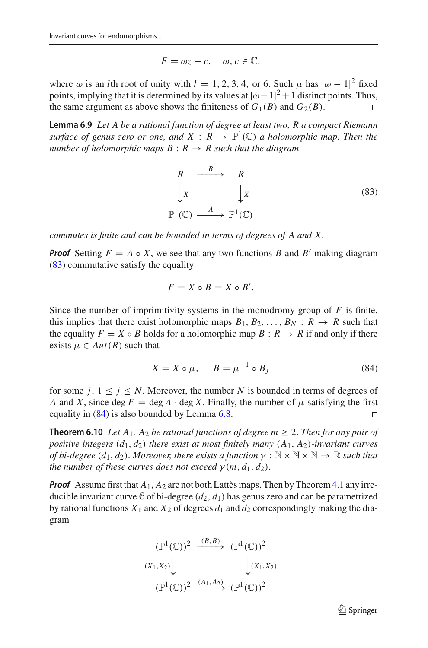$$
F = \omega z + c, \quad \omega, c \in \mathbb{C},
$$

where  $\omega$  is an *l*th root of unity with  $l = 1, 2, 3, 4$ , or 6. Such  $\mu$  has  $|\omega - 1|^2$  fixed points, implying that it is determined by its values at  $|\omega - 1|^2 + 1$  distinct points. Thus, the same argument as above shows the finiteness of  $G_1(B)$  and  $G_2(B)$ .

<span id="page-44-3"></span>**Lemma 6.9** *Let A be a rational function of degree at least two, R a compact Riemann surface of genus zero or one, and*  $X: R \to \mathbb{P}^1(\mathbb{C})$  *a holomorphic map. Then the number of holomorphic maps*  $B: R \rightarrow R$  *such that the diagram* 

<span id="page-44-1"></span>
$$
R \xrightarrow{B} R
$$
  
\n
$$
\downarrow x \qquad \qquad \downarrow x
$$
  
\n
$$
\mathbb{P}^1(\mathbb{C}) \xrightarrow{A} \mathbb{P}^1(\mathbb{C})
$$
  
\n(83)

*commutes is finite and can be bounded in terms of degrees of A and X.*

*Proof* Setting  $F = A \circ X$ , we see that any two functions *B* and *B'* making diagram [\(83\)](#page-44-1) commutative satisfy the equality

$$
F = X \circ B = X \circ B'.
$$

Since the number of imprimitivity systems in the monodromy group of  $F$  is finite, this implies that there exist holomorphic maps  $B_1, B_2, \ldots, B_N : R \to R$  such that the equality  $F = X \circ B$  holds for a holomorphic map  $B : R \to R$  if and only if there exists  $\mu \in Aut(R)$  such that

<span id="page-44-2"></span>
$$
X = X \circ \mu, \qquad B = \mu^{-1} \circ B_j \tag{84}
$$

for some  $j, 1 \leq j \leq N$ . Moreover, the number N is bounded in terms of degrees of *A* and *X*, since deg *F* = deg *A* · deg *X*. Finally, the number of  $\mu$  satisfying the first equality in (84) is also bounded by Lemma 6.8. equality in [\(84\)](#page-44-2) is also bounded by Lemma [6.8.](#page-43-0)

<span id="page-44-0"></span>**Theorem 6.10** *Let*  $A_1$ ,  $A_2$  *be rational functions of degree m*  $\geq$  2. *Then for any pair of positive integers* (*d*1, *d*2) *there exist at most finitely many* (*A*1, *A*2)*-invariant curves of bi-degree*  $(d_1, d_2)$ . *Moreover, there exists a function*  $\gamma : \mathbb{N} \times \mathbb{N} \times \mathbb{N} \to \mathbb{R}$  *such that the number of these curves does not exceed*  $\gamma$  (*m*,  $d_1$ ,  $d_2$ ).

*Proof* Assume first that  $A_1$ ,  $A_2$  are not both Lattès maps. Then by Theorem [4.1](#page-16-1) any irreducible invariant curve C of bi-degree  $(d_2, d_1)$  has genus zero and can be parametrized by rational functions  $X_1$  and  $X_2$  of degrees  $d_1$  and  $d_2$  correspondingly making the diagram

$$
(\mathbb{P}^1(\mathbb{C}))^2 \xrightarrow{(B,B)} (\mathbb{P}^1(\mathbb{C}))^2
$$
  

$$
(X_1, X_2) \downarrow \qquad \qquad \downarrow (X_1, X_2)
$$
  

$$
(\mathbb{P}^1(\mathbb{C}))^2 \xrightarrow{(A_1, A_2)} (\mathbb{P}^1(\mathbb{C}))^2
$$

 $\mathcal{D}$  Springer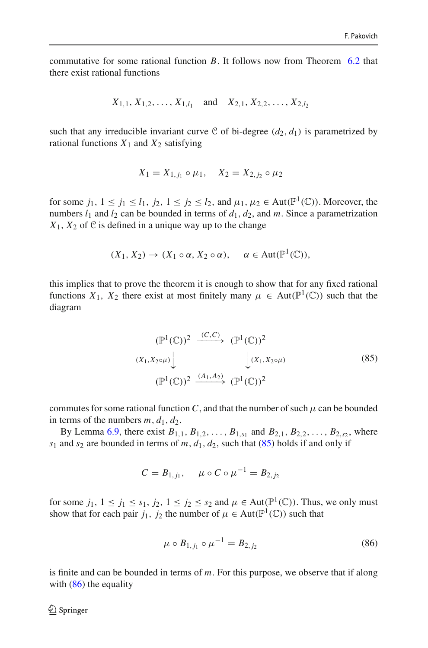commutative for some rational function *B*. It follows now from Theorem [6.2](#page-34-2) that there exist rational functions

$$
X_{1,1}, X_{1,2}, \ldots, X_{1,l_1}
$$
 and  $X_{2,1}, X_{2,2}, \ldots, X_{2,l_2}$ 

such that any irreducible invariant curve C of bi-degree  $(d_2, d_1)$  is parametrized by rational functions  $X_1$  and  $X_2$  satisfying

$$
X_1 = X_{1,j_1} \circ \mu_1, \quad X_2 = X_{2,j_2} \circ \mu_2
$$

for some  $j_1, 1 \le j_1 \le l_1, j_2, 1 \le j_2 \le l_2$ , and  $\mu_1, \mu_2 \in \text{Aut}(\mathbb{P}^1(\mathbb{C}))$ . Moreover, the numbers  $l_1$  and  $l_2$  can be bounded in terms of  $d_1$ ,  $d_2$ , and *m*. Since a parametrization  $X_1, X_2$  of  $\mathcal C$  is defined in a unique way up to the change

$$
(X_1, X_2) \to (X_1 \circ \alpha, X_2 \circ \alpha), \quad \alpha \in \text{Aut}(\mathbb{P}^1(\mathbb{C})),
$$

this implies that to prove the theorem it is enough to show that for any fixed rational functions  $X_1$ ,  $X_2$  there exist at most finitely many  $\mu \in Aut(\mathbb{P}^1(\mathbb{C}))$  such that the diagram

<span id="page-45-0"></span>
$$
(\mathbb{P}^1(\mathbb{C}))^2 \xrightarrow{(C,C)} (\mathbb{P}^1(\mathbb{C}))^2
$$
  

$$
(X_1, X_2 \circ \mu) \downarrow \qquad \qquad \downarrow (X_1, X_2 \circ \mu)
$$
  

$$
(\mathbb{P}^1(\mathbb{C}))^2 \xrightarrow{(A_1, A_2)} (\mathbb{P}^1(\mathbb{C}))^2
$$
 (85)

commutes for some rational function *C*, and that the number of such  $\mu$  can be bounded in terms of the numbers  $m$ ,  $d_1$ ,  $d_2$ .

By Lemma [6.9,](#page-44-3) there exist  $B_{1,1}$ ,  $B_{1,2}$ , ...,  $B_{1,s_1}$  and  $B_{2,1}$ ,  $B_{2,2}$ , ...,  $B_{2,s_2}$ , where  $s_1$  and  $s_2$  are bounded in terms of *m*,  $d_1$ ,  $d_2$ , such that [\(85\)](#page-45-0) holds if and only if

$$
C = B_{1,j_1}, \quad \mu \circ C \circ \mu^{-1} = B_{2,j_2}
$$

for some  $j_1, 1 \le j_1 \le s_1, j_2, 1 \le j_2 \le s_2$  and  $\mu \in \text{Aut}(\mathbb{P}^1(\mathbb{C}))$ . Thus, we only must show that for each pair  $j_1$ ,  $j_2$  the number of  $\mu \in Aut(\mathbb{P}^1(\mathbb{C}))$  such that

<span id="page-45-1"></span>
$$
\mu \circ B_{1,j_1} \circ \mu^{-1} = B_{2,j_2} \tag{86}
$$

is finite and can be bounded in terms of *m*. For this purpose, we observe that if along with  $(86)$  the equality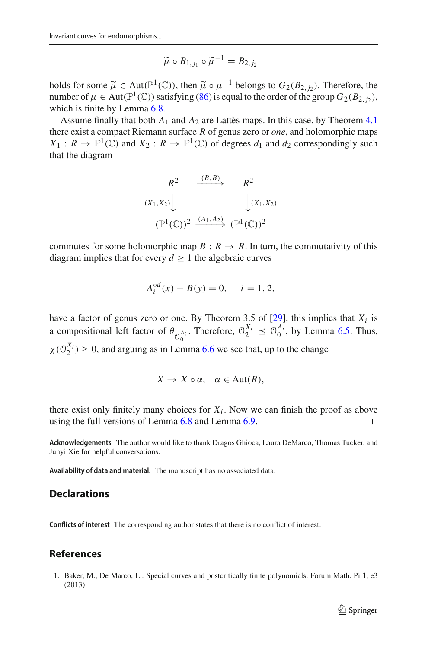$$
\widetilde{\mu}\circ B_{1,j_1}\circ \widetilde{\mu}^{-1}=B_{2,j_2}
$$

holds for some  $\widetilde{\mu} \in Aut(\mathbb{P}^1(\mathbb{C}))$ , then  $\widetilde{\mu} \circ \mu^{-1}$  belongs to  $G_2(B_{2, j_2})$ . Therefore, the number of  $\mu \in Aut(\mathbb{P}^1(\mathbb{C}))$  satisfying [\(86\)](#page-45-1) is equal to the order of the group  $G_2(B_{2,j_2})$ , which is finite by Lemma [6.8.](#page-43-0)

Assume finally that both *A*<sup>1</sup> and *A*<sup>2</sup> are Lattès maps. In this case, by Theorem [4.1](#page-16-1) there exist a compact Riemann surface *R* of genus zero or *one*, and holomorphic maps  $X_1: R \to \mathbb{P}^1(\mathbb{C})$  and  $X_2: R \to \mathbb{P}^1(\mathbb{C})$  of degrees  $d_1$  and  $d_2$  correspondingly such that the diagram

$$
R^{2} \xrightarrow{(B,B)} R^{2}
$$
  

$$
(X_1, X_2) \downarrow \qquad \qquad \downarrow (X_1, X_2)
$$
  

$$
(\mathbb{P}^1(\mathbb{C}))^2 \xrightarrow{(A_1, A_2)} (\mathbb{P}^1(\mathbb{C}))^2
$$

commutes for some holomorphic map  $B: R \to R$ . In turn, the commutativity of this diagram implies that for every  $d \geq 1$  the algebraic curves

$$
A_i^{\circ d}(x) - B(y) = 0, \quad i = 1, 2,
$$

have a factor of genus zero or one. By Theorem 3.5 of  $[29]$  $[29]$ , this implies that  $X_i$  is a compositional left factor of  $\theta_{\mathcal{O}_0^{A_i}}$ . Therefore,  $\mathcal{O}_2^{X_i} \preceq \mathcal{O}_0^{A_i}$ , by Lemma [6.5.](#page-36-1) Thus,  $\chi(\mathcal{O}_2^{X_i}) \geq 0$ , and arguing as in Lemma [6.6](#page-36-2) we see that, up to the change

$$
X \to X \circ \alpha, \quad \alpha \in \text{Aut}(R),
$$

there exist only finitely many choices for  $X_i$ . Now we can finish the proof as above using the full versions of Lemma [6.8](#page-43-0) and Lemma [6.9.](#page-44-3)  $\Box$ 

**Acknowledgements** The author would like to thank Dragos Ghioca, Laura DeMarco, Thomas Tucker, and Junyi Xie for helpful conversations.

**Availability of data and material.** The manuscript has no associated data.

# **Declarations**

**Conflicts of interest** The corresponding author states that there is no conflict of interest.

# **References**

<span id="page-46-0"></span>1. Baker, M., De Marco, L.: Special curves and postcritically finite polynomials. Forum Math. Pi **1**, e3 (2013)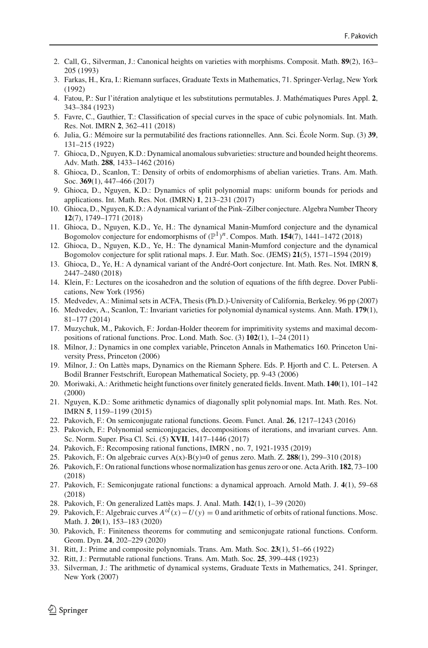- <span id="page-47-25"></span>2. Call, G., Silverman, J.: Canonical heights on varieties with morphisms. Composit. Math. **89**(2), 163– 205 (1993)
- <span id="page-47-20"></span>3. Farkas, H., Kra, I.: Riemann surfaces, Graduate Texts in Mathematics, 71. Springer-Verlag, New York (1992)
- 4. Fatou, P.: Sur l'itération analytique et les substitutions permutables. J. Mathématiques Pures Appl. **2**, 343–384 (1923)
- <span id="page-47-4"></span>5. Favre, C., Gauthier, T.: Classification of special curves in the space of cubic polynomials. Int. Math. Res. Not. IMRN **2**, 362–411 (2018)
- 6. Julia, G.: Mémoire sur la permutabilité des fractions rationnelles. Ann. Sci. École Norm. Sup. (3) **39**, 131–215 (1922)
- <span id="page-47-5"></span>7. Ghioca, D., Nguyen, K.D.: Dynamical anomalous subvarieties: structure and bounded height theorems. Adv. Math. **288**, 1433–1462 (2016)
- 8. Ghioca, D., Scanlon, T.: Density of orbits of endomorphisms of abelian varieties. Trans. Am. Math. Soc. **369**(1), 447–466 (2017)
- <span id="page-47-6"></span>9. Ghioca, D., Nguyen, K.D.: Dynamics of split polynomial maps: uniform bounds for periods and applications. Int. Math. Res. Not. (IMRN) **1**, 213–231 (2017)
- <span id="page-47-7"></span>10. Ghioca, D., Nguyen, K.D.: A dynamical variant of the Pink–Zilber conjecture. Algebra Number Theory **12**(7), 1749–1771 (2018)
- <span id="page-47-0"></span>11. Ghioca, D., Nguyen, K.D., Ye, H.: The dynamical Manin-Mumford conjecture and the dynamical Bogomolov conjecture for endomorphisms of  $(\mathbb{P}^1)^n$ . Compos. Math. **154**(7), 1441–1472 (2018)
- <span id="page-47-8"></span>12. Ghioca, D., Nguyen, K.D., Ye, H.: The dynamical Manin-Mumford conjecture and the dynamical Bogomolov conjecture for split rational maps. J. Eur. Math. Soc. (JEMS) **21**(5), 1571–1594 (2019)
- <span id="page-47-9"></span>13. Ghioca, D., Ye, H.: A dynamical variant of the André-Oort conjecture. Int. Math. Res. Not. IMRN **8**, 2447–2480 (2018)
- <span id="page-47-21"></span>14. Klein, F.: Lectures on the icosahedron and the solution of equations of the fifth degree. Dover Publications, New York (1956)
- <span id="page-47-1"></span>15. Medvedev, A.: Minimal sets in ACFA, Thesis (Ph.D.)-University of California, Berkeley. 96 pp (2007)
- <span id="page-47-2"></span>16. Medvedev, A., Scanlon, T.: Invariant varieties for polynomial dynamical systems. Ann. Math. **179**(1), 81–177 (2014)
- <span id="page-47-11"></span>17. Muzychuk, M., Pakovich, F.: Jordan-Holder theorem for imprimitivity systems and maximal decompositions of rational functions. Proc. Lond. Math. Soc. (3) **102**(1), 1–24 (2011)
- 18. Milnor, J.: Dynamics in one complex variable, Princeton Annals in Mathematics 160. Princeton University Press, Princeton (2006)
- <span id="page-47-18"></span>19. Milnor, J.: On Lattès maps, Dynamics on the Riemann Sphere. Eds. P. Hjorth and C. L. Petersen. A Bodil Branner Festschrift, European Mathematical Society, pp. 9-43 (2006)
- <span id="page-47-26"></span>20. Moriwaki, A.: Arithmetic height functions over finitely generated fields. Invent. Math. **140**(1), 101–142 (2000)
- <span id="page-47-10"></span>21. Nguyen, K.D.: Some arithmetic dynamics of diagonally split polynomial maps. Int. Math. Res. Not. IMRN **5**, 1159–1199 (2015)
- <span id="page-47-13"></span>22. Pakovich, F.: On semiconjugate rational functions. Geom. Funct. Anal. **26**, 1217–1243 (2016)
- <span id="page-47-12"></span>23. Pakovich, F.: Polynomial semiconjugacies, decompositions of iterations, and invariant curves. Ann. Sc. Norm. Super. Pisa Cl. Sci. (5) **XVII**, 1417–1446 (2017)
- <span id="page-47-14"></span>24. Pakovich, F.: Recomposing rational functions, IMRN , no. 7, 1921-1935 (2019)
- <span id="page-47-27"></span>25. Pakovich, F.: On algebraic curves A(x)-B(y)=0 of genus zero. Math. Z. **288**(1), 299–310 (2018)
- <span id="page-47-22"></span>26. Pakovich, F.: On rational functions whose normalization has genus zero or one. Acta Arith. **182**, 73–100 (2018)
- <span id="page-47-15"></span>27. Pakovich, F.: Semiconjugate rational functions: a dynamical approach. Arnold Math. J. **4**(1), 59–68 (2018)
- <span id="page-47-16"></span>28. Pakovich, F.: On generalized Lattès maps. J. Anal. Math. **142**(1), 1–39 (2020)
- <span id="page-47-19"></span>29. Pakovich, F.: Algebraic curves  $A^{\circ l}(x) - U(y) = 0$  and arithmetic of orbits of rational functions. Mosc. Math. J. **20**(1), 153–183 (2020)
- <span id="page-47-17"></span>30. Pakovich, F.: Finiteness theorems for commuting and semiconjugate rational functions. Conform. Geom. Dyn. **24**, 202–229 (2020)
- <span id="page-47-3"></span>31. Ritt, J.: Prime and composite polynomials. Trans. Am. Math. Soc. **23**(1), 51–66 (1922)
- <span id="page-47-23"></span>32. Ritt, J.: Permutable rational functions. Trans. Am. Math. Soc. **25**, 399–448 (1923)
- <span id="page-47-24"></span>33. Silverman, J.: The arithmetic of dynamical systems, Graduate Texts in Mathematics, 241. Springer, New York (2007)